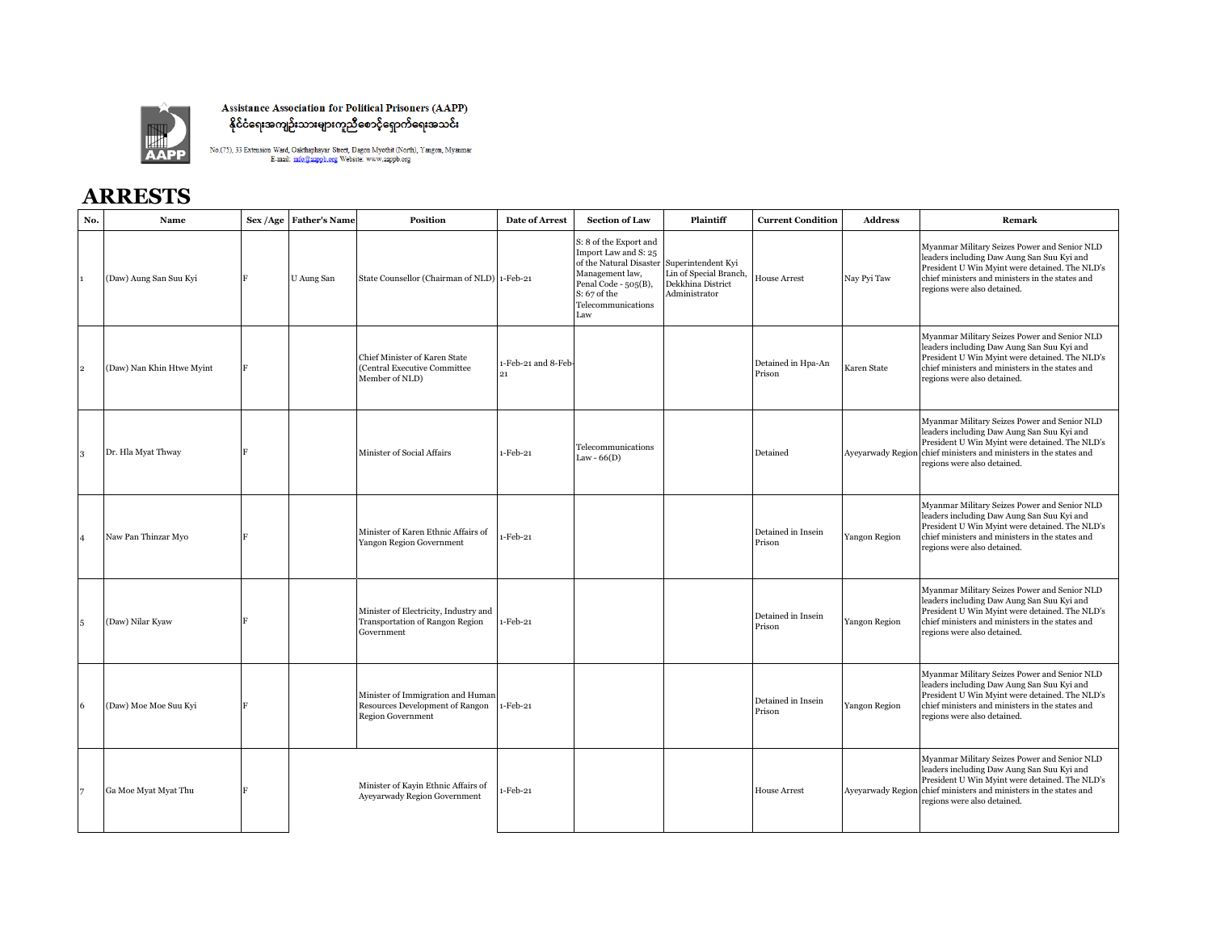

## **Assistance Association for Political Prisoners (AAPP)** .<br>နိုင်ငံရေးအကျဉ်းသားများကူညီစောင့်ရှောက်ရေးအသင်း

 $\rm No.(75),$ 33<br> Extension Ward, Oakthaphayar Street, Dagon Myo<br/>thit (North), Yangon, Myanmar E-mail:  $\overline{\mbox{mfo@sappb.org}}$  We<br/>bsite: www.aappb.org

## **ARRESTS**

| No. | Name                      | Sex /Age Father's Name | <b>Position</b>                                                                                  | <b>Date of Arrest</b> | <b>Section of Law</b>                                                                                                                                               | Plaintiff                                                                          | <b>Current Condition</b>     | <b>Address</b>    | Remark                                                                                                                                                                                                                                           |
|-----|---------------------------|------------------------|--------------------------------------------------------------------------------------------------|-----------------------|---------------------------------------------------------------------------------------------------------------------------------------------------------------------|------------------------------------------------------------------------------------|------------------------------|-------------------|--------------------------------------------------------------------------------------------------------------------------------------------------------------------------------------------------------------------------------------------------|
|     | (Daw) Aung San Suu Kyi    | U Aung San             | State Counsellor (Chairman of NLD) 1-Feb-21                                                      |                       | S: 8 of the Export and<br>Import Law and S: 25<br>of the Natural Disaster<br>Management law,<br>Penal Code - 505(B),<br>$S: 67$ of the<br>Telecommunications<br>Law | Superintendent Kyi<br>Lin of Special Branch,<br>Dekkhina District<br>Administrator | <b>House Arrest</b>          | Nay Pyi Taw       | Myanmar Military Seizes Power and Senior NLD<br>leaders including Daw Aung San Suu Kyi and<br>President U Win Myint were detained. The NLD's<br>chief ministers and ministers in the states and<br>regions were also detained.                   |
|     | (Daw) Nan Khin Htwe Myint |                        | Chief Minister of Karen State<br>(Central Executive Committee<br>Member of NLD)                  | 1-Feb-21 and 8-Feb-   |                                                                                                                                                                     |                                                                                    | Detained in Hpa-An<br>Prison | Karen State       | Myanmar Military Seizes Power and Senior NLD<br>leaders including Daw Aung San Suu Kyi and<br>President U Win Myint were detained. The NLD's<br>chief ministers and ministers in the states and<br>regions were also detained.                   |
| 3   | Dr. Hla Myat Thway        |                        | Minister of Social Affairs                                                                       | 1-Feb-21              | Telecommunications<br>Law - $66(D)$                                                                                                                                 |                                                                                    | Detained                     |                   | Myanmar Military Seizes Power and Senior NLD<br>leaders including Daw Aung San Suu Kyi and<br>President U Win Myint were detained. The NLD's<br>Ayeyarwady Region chief ministers and ministers in the states and<br>regions were also detained. |
|     | Naw Pan Thinzar Myo       |                        | Minister of Karen Ethnic Affairs of<br>Yangon Region Government                                  | -Feb-21               |                                                                                                                                                                     |                                                                                    | Detained in Insein<br>Prison | Yangon Region     | Myanmar Military Seizes Power and Senior NLD<br>leaders including Daw Aung San Suu Kyi and<br>President U Win Myint were detained. The NLD's<br>chief ministers and ministers in the states and<br>regions were also detained.                   |
|     | (Daw) Nilar Kyaw          |                        | Minister of Electricity, Industry and<br>Transportation of Rangon Region<br>Government           | 1-Feb-21              |                                                                                                                                                                     |                                                                                    | Detained in Insein<br>Prison | Yangon Region     | Myanmar Military Seizes Power and Senior NLD<br>leaders including Daw Aung San Suu Kyi and<br>President U Win Myint were detained. The NLD's<br>chief ministers and ministers in the states and<br>regions were also detained.                   |
|     | (Daw) Moe Moe Suu Kyi     |                        | Minister of Immigration and Human<br>Resources Development of Rangon<br><b>Region Government</b> | 1-Feb-21              |                                                                                                                                                                     |                                                                                    | Detained in Insein<br>Prison | Yangon Region     | Myanmar Military Seizes Power and Senior NLD<br>leaders including Daw Aung San Suu Kyi and<br>President U Win Myint were detained. The NLD's<br>chief ministers and ministers in the states and<br>regions were also detained.                   |
|     | Ga Moe Myat Myat Thu      |                        | Minister of Kayin Ethnic Affairs of<br>Ayeyarwady Region Government                              | -Feb-21               |                                                                                                                                                                     |                                                                                    | <b>House Arrest</b>          | Ayeyarwady Regior | Myanmar Military Seizes Power and Senior NLD<br>leaders including Daw Aung San Suu Kyi and<br>President U Win Myint were detained. The NLD's<br>chief ministers and ministers in the states and<br>regions were also detained.                   |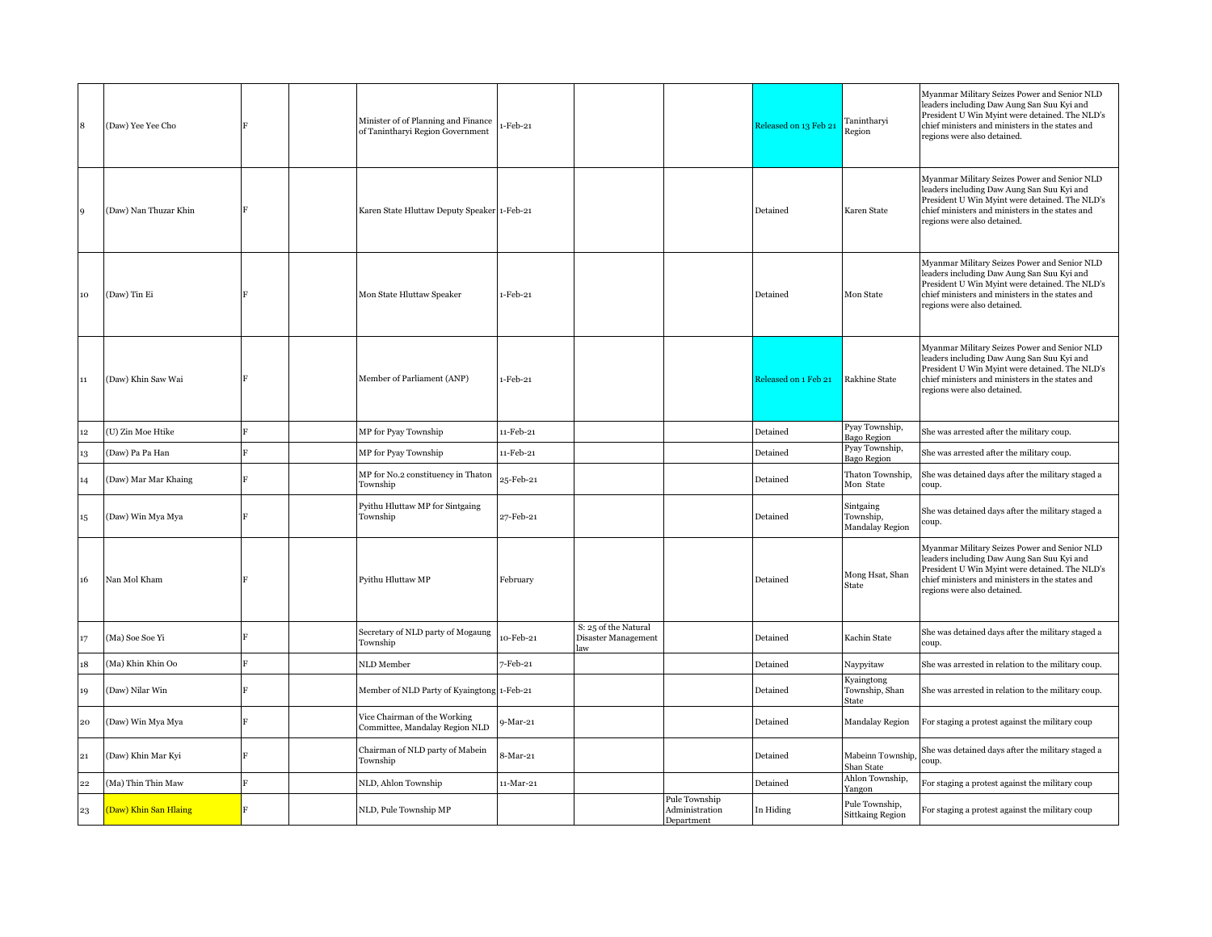| 8      | (Daw) Yee Yee Cho     |  | Minister of of Planning and Finance<br>of Tanintharyi Region Government | -Feb-21   |                                                    |                                               | Released on 13 Feb 21 | Tanintharyi<br>Region                     | Myanmar Military Seizes Power and Senior NLD<br>leaders including Daw Aung San Suu Kyi and<br>President U Win Myint were detained. The NLD's<br>chief ministers and ministers in the states and<br>regions were also detained. |
|--------|-----------------------|--|-------------------------------------------------------------------------|-----------|----------------------------------------------------|-----------------------------------------------|-----------------------|-------------------------------------------|--------------------------------------------------------------------------------------------------------------------------------------------------------------------------------------------------------------------------------|
| 9      | (Daw) Nan Thuzar Khin |  | Karen State Hluttaw Deputy Speaker 1-Feb-21                             |           |                                                    |                                               | Detained              | Karen State                               | Myanmar Military Seizes Power and Senior NLD<br>leaders including Daw Aung San Suu Kyi and<br>President U Win Myint were detained. The NLD's<br>chief ministers and ministers in the states and<br>regions were also detained. |
| 10     | (Daw) Tin Ei          |  | Mon State Hluttaw Speaker                                               | 1-Feb-21  |                                                    |                                               | Detained              | Mon State                                 | Myanmar Military Seizes Power and Senior NLD<br>leaders including Daw Aung San Suu Kyi and<br>President U Win Myint were detained. The NLD's<br>chief ministers and ministers in the states and<br>regions were also detained. |
| 11     | (Daw) Khin Saw Wai    |  | Member of Parliament (ANP)                                              | 1-Feb-21  |                                                    |                                               | Released on 1 Feb 21  | <b>Rakhine State</b>                      | Myanmar Military Seizes Power and Senior NLD<br>leaders including Daw Aung San Suu Kyi and<br>President U Win Myint were detained. The NLD's<br>chief ministers and ministers in the states and<br>regions were also detained. |
| $12\,$ | (U) Zin Moe Htike     |  | MP for Pyay Township                                                    | 11-Feb-21 |                                                    |                                               | Detained              | Pyay Township,<br>Bago Region             | She was arrested after the military coup.                                                                                                                                                                                      |
| 13     | (Daw) Pa Pa Han       |  | MP for Pyay Township                                                    | 11-Feb-21 |                                                    |                                               | Detained              | Pyay Township,<br>Bago Region             | She was arrested after the military coup.                                                                                                                                                                                      |
| 14     | (Daw) Mar Mar Khaing  |  | MP for No.2 constituency in Thaton<br>Township                          | 25-Feb-21 |                                                    |                                               | Detained              | Thaton Township,<br>Mon State             | She was detained days after the military staged a<br>coup.                                                                                                                                                                     |
| 15     | (Daw) Win Mya Mya     |  | Pyithu Hluttaw MP for Sintgaing<br>Township                             | 27-Feb-21 |                                                    |                                               | Detained              | Sintgaing<br>Township,<br>Mandalay Region | She was detained days after the military staged a<br>coup.                                                                                                                                                                     |
| 16     | Nan Mol Kham          |  | Pvithu Hluttaw MP                                                       | February  |                                                    |                                               | Detained              | Mong Hsat, Shan<br>State                  | Myanmar Military Seizes Power and Senior NLD<br>leaders including Daw Aung San Suu Kyi and<br>President U Win Myint were detained. The NLD's<br>chief ministers and ministers in the states and<br>regions were also detained. |
| 17     | (Ma) Soe Soe Yi       |  | Secretary of NLD party of Mogaung<br>Township                           | 10-Feb-21 | S: 25 of the Natural<br>Disaster Management<br>law |                                               | Detained              | Kachin State                              | She was detained days after the military staged a<br>coup.                                                                                                                                                                     |
| $18\,$ | (Ma) Khin Khin Oo     |  | NLD Member                                                              | 7-Feb-21  |                                                    |                                               | Detained              | Naypyitaw                                 | She was arrested in relation to the military coup.                                                                                                                                                                             |
| 19     | (Daw) Nilar Win       |  | Member of NLD Party of Kyaingtong 1-Feb-21                              |           |                                                    |                                               | Detained              | Kyaingtong<br>Township, Shan<br>State     | She was arrested in relation to the military coup.                                                                                                                                                                             |
| 20     | (Daw) Win Mya Mya     |  | Vice Chairman of the Working<br>Committee, Mandalay Region NLD          | -Mar-21   |                                                    |                                               | Detained              | Mandalay Region                           | For staging a protest against the military coup                                                                                                                                                                                |
| 21     | (Daw) Khin Mar Kyi    |  | Chairman of NLD party of Mabein<br>Township                             | 8-Mar-21  |                                                    |                                               | Detained              | Mabeinn Township.<br>Shan State           | She was detained days after the military staged a<br>coup.                                                                                                                                                                     |
| 22     | (Ma) Thin Thin Maw    |  | NLD, Ahlon Township                                                     | 11-Mar-21 |                                                    |                                               | Detained              | Ahlon Township,<br>Yangon                 | For staging a protest against the military coup                                                                                                                                                                                |
| 23     | (Daw) Khin San Hlaing |  | NLD, Pule Township MP                                                   |           |                                                    | Pule Township<br>Administration<br>Department | In Hiding             | Pule Township,<br><b>Sittkaing Region</b> | For staging a protest against the military coup                                                                                                                                                                                |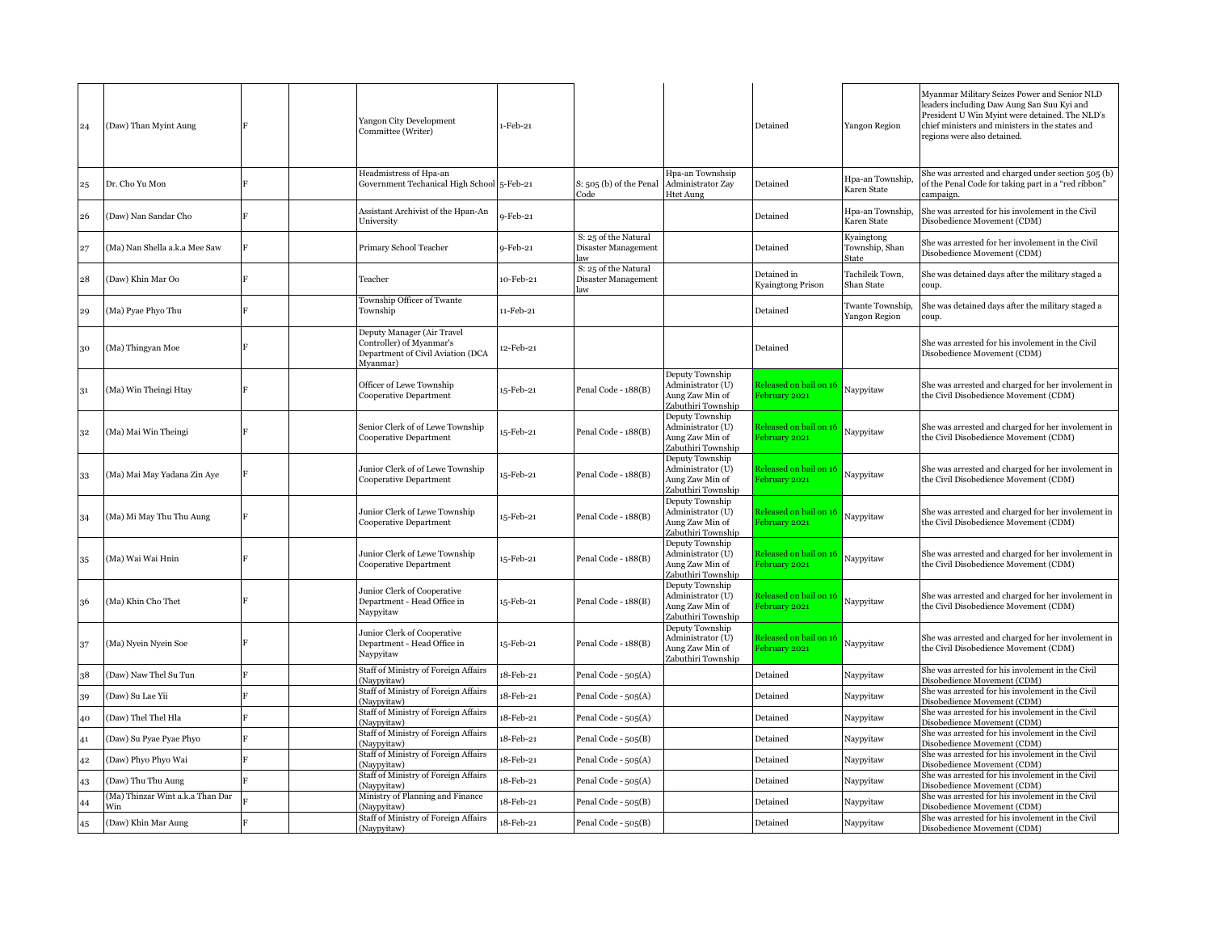| 24 | (Daw) Than Myint Aung                   |  | Yangon City Development<br>Committee (Writer)                                                           | -Feb-21     |                                                    |                                                                               | Detained                                | Yangon Region                         | Myanmar Military Seizes Power and Senior NLD<br>leaders including Daw Aung San Suu Kyi and<br>President U Win Myint were detained. The NLD's<br>chief ministers and ministers in the states and<br>regions were also detained. |
|----|-----------------------------------------|--|---------------------------------------------------------------------------------------------------------|-------------|----------------------------------------------------|-------------------------------------------------------------------------------|-----------------------------------------|---------------------------------------|--------------------------------------------------------------------------------------------------------------------------------------------------------------------------------------------------------------------------------|
| 25 | Dr. Cho Yu Mon                          |  | Headmistress of Hpa-an<br>Government Techanical High School 5-Feb-21                                    |             | S: 505 (b) of the Penal<br>Code                    | Hpa-an Townshsip<br>Administrator Zay<br>Htet Aung                            | Detained                                | Hpa-an Township.<br>Karen State       | She was arrested and charged under section 505 (b)<br>of the Penal Code for taking part in a "red ribbon"<br>ampaign.                                                                                                          |
| 26 | (Daw) Nan Sandar Cho                    |  | Assistant Archivist of the Hpan-An<br>University                                                        | $-Feb-21$   |                                                    |                                                                               | Detained                                | Hpa-an Township,<br>Karen State       | She was arrested for his involement in the Civil<br>Disobedience Movement (CDM)                                                                                                                                                |
| 27 | (Ma) Nan Shella a.k.a Mee Saw           |  | Primary School Teacher                                                                                  | $-Feb-21$   | S: 25 of the Natural<br>Disaster Management<br>law |                                                                               | Detained                                | Kyaingtong<br>Township, Shan<br>State | She was arrested for her involement in the Civil<br>Disobedience Movement (CDM)                                                                                                                                                |
| 28 | (Daw) Khin Mar Oo                       |  | Teacher                                                                                                 | 10-Feb-21   | S: 25 of the Natural<br>Disaster Management<br>law |                                                                               | Detained in<br>Kyaingtong Prison        | Tachileik Town,<br>Shan State         | She was detained days after the military staged a<br>coup.                                                                                                                                                                     |
| 29 | (Ma) Pyae Phyo Thu                      |  | Township Officer of Twante<br>Township                                                                  | 11-Feb-21   |                                                    |                                                                               | Detained                                | Twante Township,<br>Yangon Region     | She was detained days after the military staged a<br>coup.                                                                                                                                                                     |
| 30 | (Ma) Thingyan Moe                       |  | Deputy Manager (Air Travel<br>Controller) of Myanmar's<br>Department of Civil Aviation (DCA<br>(Myanmar | 2-Feb-21    |                                                    |                                                                               | Detained                                |                                       | She was arrested for his involement in the Civil<br>Disobedience Movement (CDM)                                                                                                                                                |
| 31 | (Ma) Win Theingi Htay                   |  | Officer of Lewe Township<br>Cooperative Department                                                      | 5-Feb-21    | Penal Code - 188(B)                                | Deputy Township<br>Administrator (U)<br>Aung Zaw Min of<br>Zabuthiri Township | Released on bail on 16<br>February 2021 | Naypyitaw                             | She was arrested and charged for her involement in<br>the Civil Disobedience Movement (CDM)                                                                                                                                    |
| 32 | (Ma) Mai Win Theingi                    |  | Senior Clerk of of Lewe Township<br>Cooperative Department                                              | 5-Feb-21    | Penal Code - 188(B)                                | Deputy Township<br>Administrator (U)<br>Aung Zaw Min of<br>Zabuthiri Township | Released on bail on 16<br>February 2021 | Naypyitaw                             | She was arrested and charged for her involement in<br>the Civil Disobedience Movement (CDM)                                                                                                                                    |
| 33 | (Ma) Mai May Yadana Zin Aye             |  | Junior Clerk of of Lewe Township<br>Cooperative Department                                              | 5-Feb-21    | Penal Code - 188(B)                                | Deputy Township<br>Administrator (U)<br>Aung Zaw Min of<br>Zabuthiri Township | Released on bail on 10<br>February 2021 | Naypyitaw                             | She was arrested and charged for her involement in<br>the Civil Disobedience Movement (CDM)                                                                                                                                    |
| 34 | (Ma) Mi May Thu Thu Aung                |  | Junior Clerk of Lewe Township<br><b>Cooperative Department</b>                                          | 15-Feb-21   | Penal Code - 188(B)                                | Deputy Township<br>Administrator (U)<br>Aung Zaw Min of<br>Zabuthiri Township | Released on bail on 16<br>February 2021 | Naypyitaw                             | She was arrested and charged for her involement in<br>the Civil Disobedience Movement (CDM)                                                                                                                                    |
| 35 | (Ma) Wai Wai Hnin                       |  | Junior Clerk of Lewe Township<br>Cooperative Department                                                 | 15-Feb-21   | Penal Code - 188(B)                                | Deputy Township<br>Administrator (U)<br>Aung Zaw Min of<br>Zabuthiri Township | Released on bail on 16<br>ebruary 2021  | Naypyitaw                             | She was arrested and charged for her involement in<br>the Civil Disobedience Movement (CDM)                                                                                                                                    |
| 36 | (Ma) Khin Cho Thet                      |  | Junior Clerk of Cooperative<br>Department - Head Office in<br>Naypyitaw                                 | 5-Feb-21    | Penal Code - 188(B)                                | Deputy Township<br>Administrator (U)<br>Aung Zaw Min of<br>Zabuthiri Township | Released on bail on 16<br>February 2021 | Naypyitaw                             | She was arrested and charged for her involement in<br>the Civil Disobedience Movement (CDM)                                                                                                                                    |
| 37 | (Ma) Nyein Nyein Soe                    |  | Junior Clerk of Cooperative<br>Department - Head Office in<br>Naypyitaw                                 | 5-Feb-21    | Penal Code - 188(B)                                | Deputy Township<br>Administrator (U)<br>Aung Zaw Min of<br>Zabuthiri Township | Released on bail on 10<br>February 2021 | Naypyitaw                             | She was arrested and charged for her involement in<br>the Civil Disobedience Movement (CDM)                                                                                                                                    |
| 38 | Daw) Naw Thel Su Tun                    |  | Staff of Ministry of Foreign Affairs<br>Naypyitaw)                                                      | $8$ -Feb-21 | Penal Code - 505(A)                                |                                                                               | Detained                                | Naypyitaw                             | She was arrested for his involement in the Civil<br>Disobedience Movement (CDM)                                                                                                                                                |
| 39 | (Daw) Su Lae Yii                        |  | Staff of Ministry of Foreign Affairs<br>Naypyitaw)                                                      | $8$ -Feb-21 | Penal Code - 505(A)                                |                                                                               | Detained                                | Naypyitaw                             | She was arrested for his involement in the Civil<br>Disobedience Movement (CDM)                                                                                                                                                |
| 40 | Daw) Thel Thel Hla                      |  | Staff of Ministry of Foreign Affairs<br>Navpyitaw)                                                      | 8-Feb-21    | Penal Code - 505(A)                                |                                                                               | Detained                                | Naypyitaw                             | She was arrested for his involement in the Civil<br>Disobedience Movement (CDM)                                                                                                                                                |
| 41 | Daw) Su Pyae Pyae Phyo                  |  | Staff of Ministry of Foreign Affairs<br>Navpyitaw)                                                      | $8$ -Feb-21 | Penal Code - 505(B)                                |                                                                               | Detained                                | Naypyitaw                             | She was arrested for his involement in the Civil<br>Disobedience Movement (CDM)                                                                                                                                                |
| 42 | Daw) Phyo Phyo Wai                      |  | Staff of Ministry of Foreign Affairs<br>Naypyitaw)                                                      | $8$ -Feb-21 | Penal Code - 505(A)                                |                                                                               | Detained                                | Naypyitaw                             | She was arrested for his involement in the Civil<br>Disobedience Movement (CDM)                                                                                                                                                |
| 43 | (Daw) Thu Thu Aung                      |  | Staff of Ministry of Foreign Affairs<br>Naypyitaw)                                                      | $8$ -Feb-21 | Penal Code - 505(A)                                |                                                                               | Detained                                | Naypyitaw                             | She was arrested for his involement in the Civil<br>Disobedience Movement (CDM)                                                                                                                                                |
| 44 | (Ma) Thinzar Wint a.k.a Than Dar<br>Win |  | Ministry of Planning and Finance<br>Naypyitaw)                                                          | $8$ -Feb-21 | Penal Code - 505(B)                                |                                                                               | Detained                                | Naypyitaw                             | She was arrested for his involement in the Civil<br>Disobedience Movement (CDM)                                                                                                                                                |
| 45 | (Daw) Khin Mar Aung                     |  | Staff of Ministry of Foreign Affairs<br>Navpyitaw)                                                      | $8$ -Feb-21 | Penal Code - 505(B)                                |                                                                               | Detained                                | Naypyitaw                             | She was arrested for his involement in the Civil<br>Disobedience Movement (CDM)                                                                                                                                                |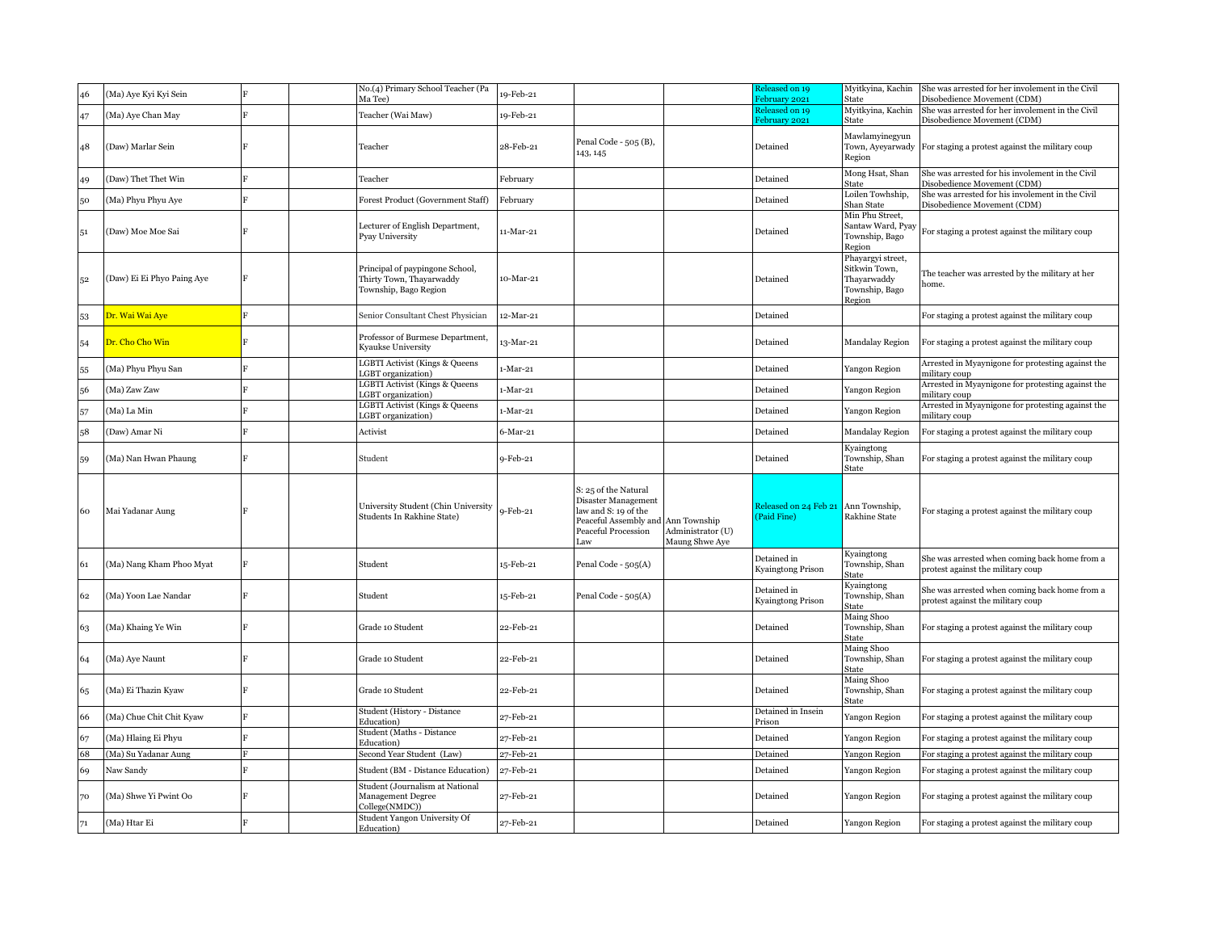|    | (Ma) Aye Kyi Kyi Sein        |  | No.(4) Primary School Teacher (Pa<br>Ma Tee)                                         | 19-Feb-21     |                                                                                                                            |                                                     | Released on 19<br>ebruary 2021          | Myitkyina, Kachin<br>State                                                    | She was arrested for her involement in the Civil<br>Disobedience Movement (CDM)    |
|----|------------------------------|--|--------------------------------------------------------------------------------------|---------------|----------------------------------------------------------------------------------------------------------------------------|-----------------------------------------------------|-----------------------------------------|-------------------------------------------------------------------------------|------------------------------------------------------------------------------------|
| 47 | (Ma) Aye Chan May            |  | Teacher (Wai Maw)                                                                    | 19-Feb-21     |                                                                                                                            |                                                     | Released on 19<br>ebruary 2021          | Myitkyina, Kachin<br>State                                                    | She was arrested for her involement in the Civil<br>Disobedience Movement (CDM)    |
| 48 | (Daw) Marlar Sein            |  | Teacher                                                                              | 28-Feb-21     | Penal Code - 505 (B),<br>143, 145                                                                                          |                                                     | Detained                                | Mawlamyinegyun<br>Region                                                      | Town, Ayeyarwady For staging a protest against the military coup                   |
| 49 | (Daw) Thet Thet Win          |  | Teacher                                                                              | February      |                                                                                                                            |                                                     | Detained                                | Mong Hsat, Shan<br>State                                                      | She was arrested for his involement in the Civil<br>Disobedience Movement (CDM)    |
| 50 | (Ma) Phyu Phyu Aye           |  | Forest Product (Government Staff)                                                    | February      |                                                                                                                            |                                                     | Detained                                | Loilen Towhship,<br>Shan State                                                | She was arrested for his involement in the Civil<br>Disobedience Movement (CDM)    |
| 51 | (Daw) Moe Moe Sai            |  | Lecturer of English Department,<br>Pyay University                                   | 11-Mar-21     |                                                                                                                            |                                                     | Detained                                | Min Phu Street,<br>Santaw Ward, Pyay<br>Township, Bago<br>Region              | For staging a protest against the military coup                                    |
| 52 | (Daw) Ei Ei Phyo Paing Aye   |  | Principal of paypingone School,<br>Thirty Town, Thayarwaddy<br>Township, Bago Region | 10-Mar-21     |                                                                                                                            |                                                     | Detained                                | Phayargyi street,<br>Sitkwin Town,<br>Thayarwaddy<br>Township, Bago<br>Region | The teacher was arrested by the military at her<br>home.                           |
| 53 | <mark>Dr. Wai Wai Aye</mark> |  | Senior Consultant Chest Physician                                                    | 12-Mar-21     |                                                                                                                            |                                                     | Detained                                |                                                                               | For staging a protest against the military coup                                    |
|    | Dr. Cho Cho Win              |  | Professor of Burmese Department,<br><b>Kyaukse University</b>                        | 13-Mar-21     |                                                                                                                            |                                                     | Detained                                | Mandalay Region                                                               | For staging a protest against the military coup                                    |
| 55 | (Ma) Phyu Phyu San           |  | LGBTI Activist (Kings & Queens<br><b>GBT</b> organization)                           | $-Mar-21$     |                                                                                                                            |                                                     | Detained                                | Yangon Region                                                                 | Arrested in Myaynigone for protesting against the<br>military coup                 |
| 56 | (Ma) Zaw Zaw                 |  | <b>LGBTI Activist (Kings &amp; Queens</b><br>LGBT organization)                      | $-Mar-21$     |                                                                                                                            |                                                     | Detained                                | Yangon Region                                                                 | Arrested in Myaynigone for protesting against the<br>nilitary coup                 |
| 57 | (Ma) La Min                  |  | <b>LGBTI Activist (Kings &amp; Queens</b><br>LGBT organization)                      | $-Mar-21$     |                                                                                                                            |                                                     | Detained                                | Yangon Region                                                                 | Arrested in Myaynigone for protesting against the<br>military coup                 |
| 58 | (Daw) Amar Ni                |  | Activist                                                                             | 6-Mar-21      |                                                                                                                            |                                                     | Detained                                | Mandalay Region                                                               | For staging a protest against the military coup                                    |
| 59 | (Ma) Nan Hwan Phaung         |  | Student                                                                              | $9$ -Feb-21   |                                                                                                                            |                                                     | Detained                                | Kyaingtong<br>Township, Shan<br><b>State</b>                                  | For staging a protest against the military coup                                    |
| 60 | Mai Yadanar Aung             |  | University Student (Chin University<br>Students In Rakhine State)                    | $-$ Feb $-21$ | S: 25 of the Natural<br>Disaster Management<br>law and S: 19 of the<br>Peaceful Assembly and<br>Peaceful Procession<br>Law | Ann Township<br>Administrator (U)<br>Maung Shwe Aye | Released on 24 Feb 21<br>(Paid Fine)    | Ann Township,<br><b>Rakhine State</b>                                         | For staging a protest against the military coup                                    |
|    | (Ma) Nang Kham Phoo Myat     |  | Student                                                                              | 15-Feb-21     | Penal Code - 505(A)                                                                                                        |                                                     | Detained in<br>Kyaingtong Prison        | Kyaingtong<br>Township, Shan<br>State                                         | She was arrested when coming back home from a<br>protest against the military coup |
| 62 | (Ma) Yoon Lae Nandar         |  | Student                                                                              | 15-Feb-21     | Penal Code - 505(A)                                                                                                        |                                                     | Detained in<br><b>Kyaingtong Prison</b> | Kyaingtong<br>Township, Shan<br>State                                         | She was arrested when coming back home from a<br>protest against the military coup |
|    | (Ma) Khaing Ye Win           |  | Grade 10 Student                                                                     | 22-Feb-21     |                                                                                                                            |                                                     | Detained                                | Maing Shoo<br>Township, Shan<br><b>State</b>                                  | For staging a protest against the military coup                                    |
|    | (Ma) Aye Naunt               |  | Grade 10 Student                                                                     | 22-Feb-21     |                                                                                                                            |                                                     | Detained                                | Maing Shoo<br>Township, Shan<br>State                                         | For staging a protest against the military coup                                    |
| 65 | (Ma) Ei Thazin Kyaw          |  | Grade 10 Student                                                                     | 22-Feb-21     |                                                                                                                            |                                                     | Detained                                | Maing Shoo<br>Township, Shan<br><b>State</b>                                  | For staging a protest against the military coup                                    |
| 66 | (Ma) Chue Chit Chit Kyaw     |  | Student (History - Distance<br>Education)                                            | 27-Feb-21     |                                                                                                                            |                                                     | Detained in Insein<br>Prison            | Yangon Region                                                                 | For staging a protest against the military coup                                    |
|    | (Ma) Hlaing Ei Phyu          |  | Student (Maths - Distance<br>Education)                                              | 27-Feb-21     |                                                                                                                            |                                                     | Detained                                | Yangon Region                                                                 | For staging a protest against the military coup                                    |
| 68 | (Ma) Su Yadanar Aung         |  | Second Year Student (Law)                                                            | 27-Feb-21     |                                                                                                                            |                                                     | Detained                                | Yangon Region                                                                 | For staging a protest against the military coup                                    |
| 69 | Naw Sandy                    |  | Student (BM - Distance Education)                                                    | 27-Feb-21     |                                                                                                                            |                                                     | Detained                                | Yangon Region                                                                 | For staging a protest against the military coup                                    |
| 70 | (Ma) Shwe Yi Pwint Oo        |  | Student (Journalism at National<br>Management Degree<br>College(NMDC))               | 27-Feb-21     |                                                                                                                            |                                                     | Detained                                | Yangon Region                                                                 | For staging a protest against the military coup                                    |
| 71 | (Ma) Htar Ei                 |  | Student Yangon University Of<br>Education)                                           | 27-Feb-21     |                                                                                                                            |                                                     | Detained                                | Yangon Region                                                                 | For staging a protest against the military coup                                    |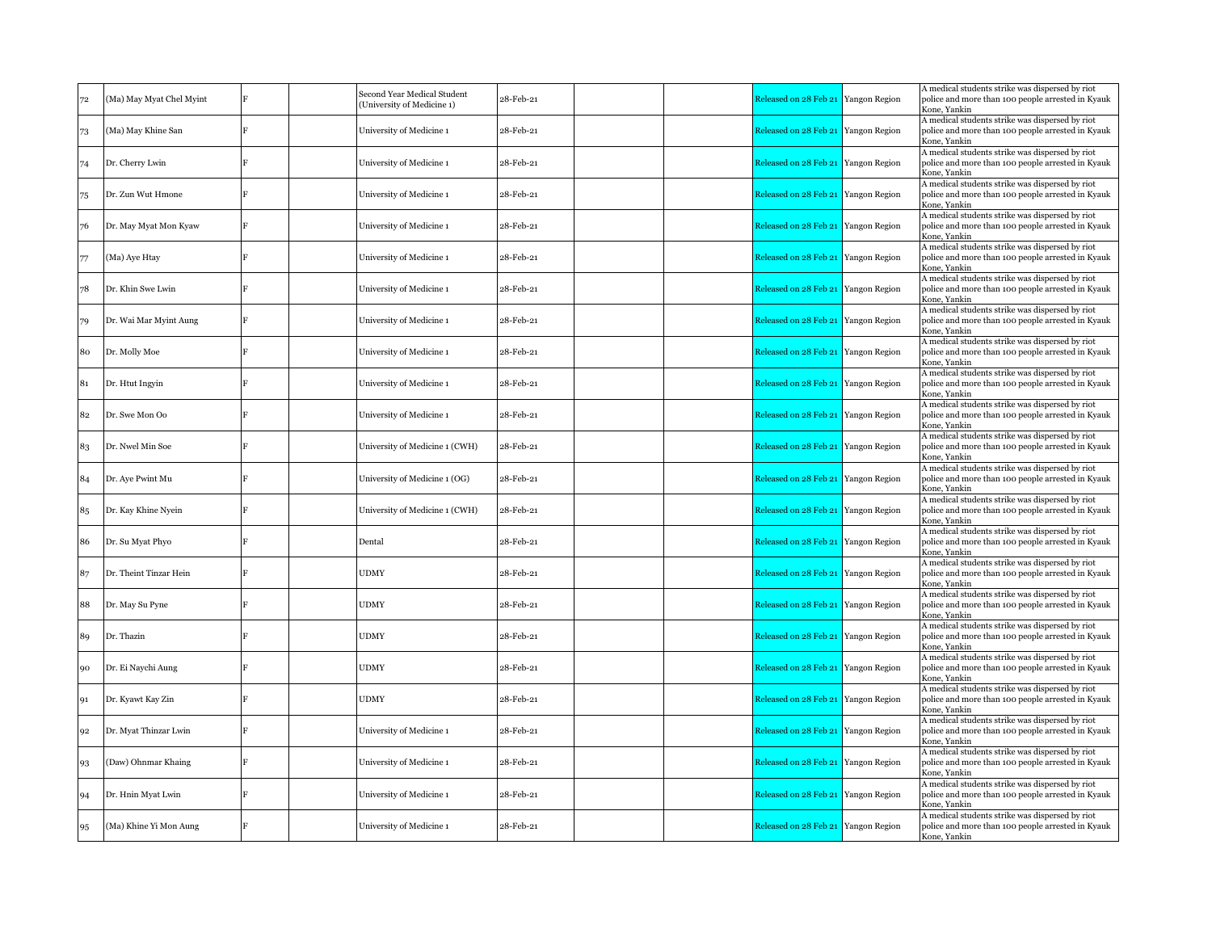| 72 | (Ma) May Myat Chel Myint |  | Second Year Medical Student<br>(University of Medicine 1) | 28-Feb-21 |  | Released on 28 Feb 21 Yangon Region | A medical students strike was dispersed by riot<br>police and more than 100 people arrested in Kyauk                 |
|----|--------------------------|--|-----------------------------------------------------------|-----------|--|-------------------------------------|----------------------------------------------------------------------------------------------------------------------|
| 73 | (Ma) May Khine San       |  | University of Medicine 1                                  | 28-Feb-21 |  | Released on 28 Feb 21 Yangon Region | Kone, Yankin<br>A medical students strike was dispersed by riot<br>police and more than 100 people arrested in Kyauk |
|    | Dr. Cherry Lwin          |  | University of Medicine 1                                  | 28-Feb-21 |  | Released on 28 Feb 21 Yangon Region | Kone, Yankin<br>A medical students strike was dispersed by riot<br>police and more than 100 people arrested in Kyauk |
| 75 | Dr. Zun Wut Hmone        |  | University of Medicine 1                                  | 28-Feb-21 |  | Released on 28 Feb 21 Yangon Region | Kone, Yankin<br>A medical students strike was dispersed by riot<br>police and more than 100 people arrested in Kyauk |
|    |                          |  |                                                           |           |  |                                     | Kone, Yankin<br>A medical students strike was dispersed by riot                                                      |
|    | Dr. May Myat Mon Kyaw    |  | University of Medicine 1                                  | 28-Feb-21 |  | Released on 28 Feb 21 Yangon Region | police and more than 100 people arrested in Kyauk<br>Kone, Yankin<br>A medical students strike was dispersed by riot |
|    | (Ma) Aye Htay            |  | University of Medicine 1                                  | 28-Feb-21 |  | Released on 28 Feb 21 Yangon Region | police and more than 100 people arrested in Kyauk<br>Kone, Yankin                                                    |
|    | Dr. Khin Swe Lwin        |  | University of Medicine 1                                  | 28-Feb-21 |  | Released on 28 Feb 21 Yangon Region | A medical students strike was dispersed by riot<br>police and more than 100 people arrested in Kyauk<br>Kone, Yankin |
|    | Dr. Wai Mar Myint Aung   |  | University of Medicine 1                                  | 28-Feb-21 |  | Released on 28 Feb 21 Yangon Region | A medical students strike was dispersed by riot<br>police and more than 100 people arrested in Kyauk<br>Kone, Yankin |
| 80 | Dr. Molly Moe            |  | University of Medicine 1                                  | 28-Feb-21 |  | Released on 28 Feb 21 Yangon Region | A medical students strike was dispersed by riot<br>police and more than 100 people arrested in Kyauk<br>Kone, Yankin |
| 81 | Dr. Htut Ingyin          |  | University of Medicine 1                                  | 28-Feb-21 |  | Released on 28 Feb 21 Yangon Region | A medical students strike was dispersed by riot<br>police and more than 100 people arrested in Kyauk                 |
| 82 | Dr. Swe Mon Oo           |  | University of Medicine 1                                  | 28-Feb-21 |  | Released on 28 Feb 21 Yangon Region | Kone, Yankin<br>A medical students strike was dispersed by riot<br>police and more than 100 people arrested in Kyauk |
| 83 | Dr. Nwel Min Soe         |  | University of Medicine 1 (CWH)                            | 28-Feb-21 |  | Released on 28 Feb 21 Yangon Region | Kone, Yankin<br>A medical students strike was dispersed by riot<br>police and more than 100 people arrested in Kyauk |
|    | Dr. Aye Pwint Mu         |  | University of Medicine 1 (OG)                             | 28-Feb-21 |  | Released on 28 Feb 21 Yangon Region | Kone, Yankin<br>A medical students strike was dispersed by riot<br>police and more than 100 people arrested in Kyauk |
| 85 | Dr. Kay Khine Nyein      |  | University of Medicine 1 (CWH)                            | 28-Feb-21 |  | Released on 28 Feb 21 Yangon Region | Kone, Yankin<br>A medical students strike was dispersed by riot<br>police and more than 100 people arrested in Kyauk |
|    |                          |  |                                                           |           |  |                                     | Kone, Yankin<br>A medical students strike was dispersed by riot                                                      |
| 86 | Dr. Su Myat Phyo         |  | Dental                                                    | 28-Feb-21 |  | Released on 28 Feb 21 Yangon Region | police and more than 100 people arrested in Kyauk<br>Kone, Yankin<br>A medical students strike was dispersed by riot |
|    | Dr. Theint Tinzar Hein   |  | UDMY                                                      | 28-Feb-21 |  | Released on 28 Feb 21 Yangon Region | police and more than 100 people arrested in Kyauk<br>Kone, Yankin                                                    |
|    | Dr. May Su Pyne          |  | UDMY                                                      | 28-Feb-21 |  | Released on 28 Feb 21 Yangon Region | A medical students strike was dispersed by riot<br>police and more than 100 people arrested in Kyauk<br>Kone, Yankin |
| 89 | Dr. Thazin               |  | <b>UDMY</b>                                               | 28-Feb-21 |  | Released on 28 Feb 21 Yangon Region | A medical students strike was dispersed by riot<br>police and more than 100 people arrested in Kyauk                 |
| 90 | Dr. Ei Naychi Aung       |  | <b>UDMY</b>                                               | 28-Feb-21 |  | Released on 28 Feb 21 Yangon Region | Kone, Yankin<br>A medical students strike was dispersed by riot<br>police and more than 100 people arrested in Kyauk |
|    | Dr. Kyawt Kay Zin        |  | <b>UDMY</b>                                               | 28-Feb-21 |  | Released on 28 Feb 21 Yangon Region | Kone, Yankin<br>A medical students strike was dispersed by riot<br>police and more than 100 people arrested in Kyauk |
| 92 | Dr. Myat Thinzar Lwin    |  | University of Medicine 1                                  | 28-Feb-21 |  | Released on 28 Feb 21 Yangon Region | Kone, Yankin<br>A medical students strike was dispersed by riot<br>police and more than 100 people arrested in Kyauk |
|    | (Daw) Ohnmar Khaing      |  | University of Medicine 1                                  | 28-Feb-21 |  | Released on 28 Feb 21 Yangon Region | Kone, Yankin<br>A medical students strike was dispersed by riot<br>police and more than 100 people arrested in Kyauk |
| 93 |                          |  |                                                           |           |  |                                     | Kone, Yankin<br>A medical students strike was dispersed by riot                                                      |
|    | Dr. Hnin Myat Lwin       |  | University of Medicine 1                                  | 28-Feb-21 |  | Released on 28 Feb 21 Yangon Region | police and more than 100 people arrested in Kyauk<br>Kone, Yankin                                                    |
|    | (Ma) Khine Yi Mon Aung   |  | University of Medicine 1                                  | 28-Feb-21 |  | Released on 28 Feb 21 Yangon Region | A medical students strike was dispersed by riot<br>police and more than 100 people arrested in Kyauk<br>Kone, Yankin |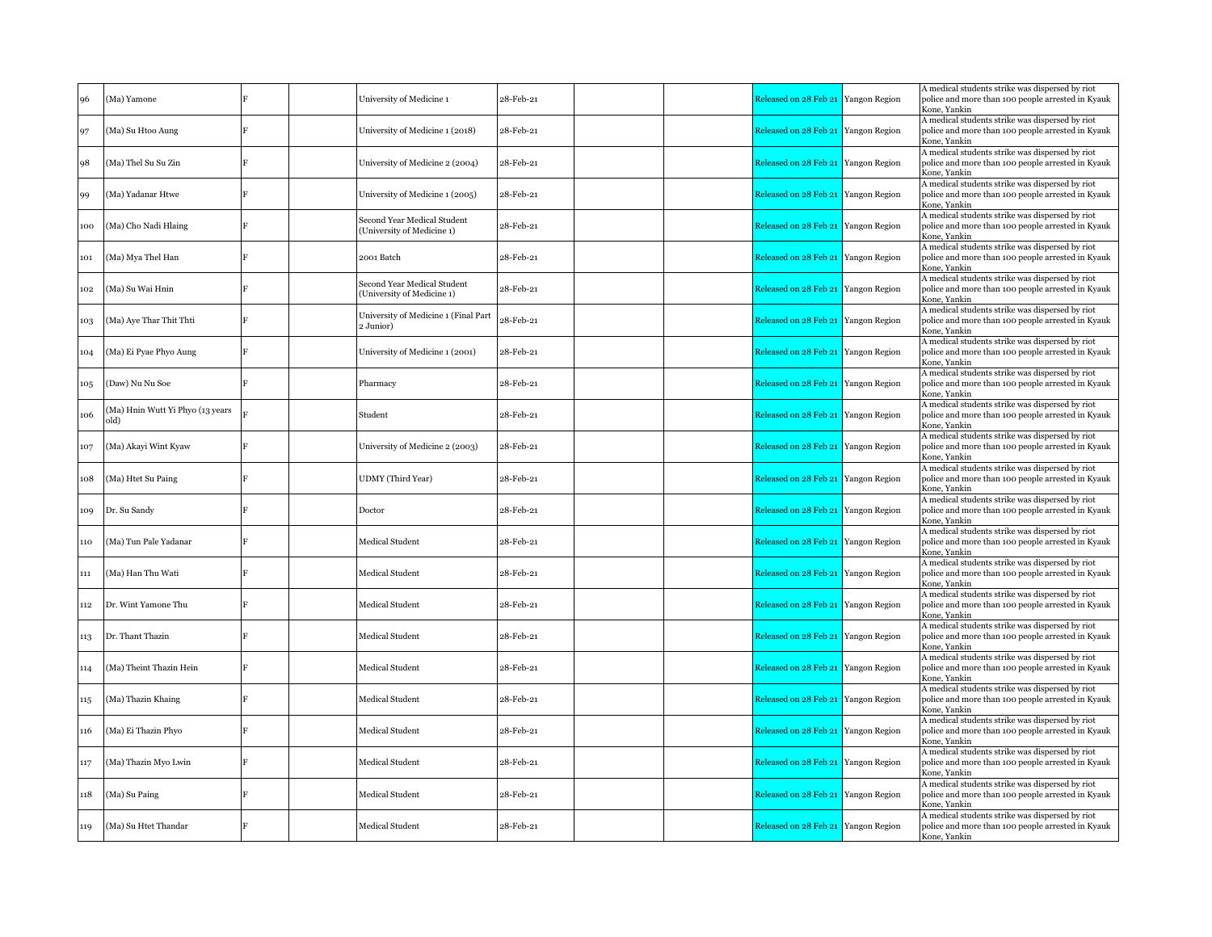|     | (Ma) Yamone                              |  | University of Medicine 1                                  | 28-Feb-21 |  | Released on 28 Feb 21 Yangon Region | A medical students strike was dispersed by riot<br>police and more than 100 people arrested in Kyauk                                 |
|-----|------------------------------------------|--|-----------------------------------------------------------|-----------|--|-------------------------------------|--------------------------------------------------------------------------------------------------------------------------------------|
| 97  | (Ma) Su Htoo Aung                        |  | University of Medicine 1 (2018)                           | 28-Feb-21 |  | Released on 28 Feb 21 Yangon Region | Kone, Yankin<br>A medical students strike was dispersed by riot<br>police and more than 100 people arrested in Kyauk                 |
| ο8  | (Ma) Thel Su Su Zin                      |  | University of Medicine 2 (2004)                           | 28-Feb-21 |  | Released on 28 Feb 21 Yangon Region | Kone, Yankin<br>A medical students strike was dispersed by riot<br>police and more than 100 people arrested in Kyauk                 |
|     | (Ma) Yadanar Htwe                        |  | University of Medicine 1 (2005)                           | 28-Feb-21 |  | Released on 28 Feb 21 Yangon Region | Kone, Yankin<br>A medical students strike was dispersed by riot<br>police and more than 100 people arrested in Kyauk                 |
| 100 | (Ma) Cho Nadi Hlaing                     |  | Second Year Medical Student<br>(University of Medicine 1) | 28-Feb-21 |  | Released on 28 Feb 21 Yangon Region | Kone, Yankin<br>A medical students strike was dispersed by riot<br>police and more than 100 people arrested in Kyauk                 |
| 101 | (Ma) Mya Thel Han                        |  | 2001 Batch                                                | 28-Feb-21 |  | Released on 28 Feb 21 Yangon Region | Kone, Yankin<br>A medical students strike was dispersed by riot<br>police and more than 100 people arrested in Kyauk                 |
| 02  | (Ma) Su Wai Hnin                         |  | Second Year Medical Student<br>(University of Medicine 1) | 28-Feb-21 |  | Released on 28 Feb 21 Yangon Region | Kone, Yankin<br>A medical students strike was dispersed by riot<br>police and more than 100 people arrested in Kyauk<br>Kone, Yankin |
| 103 | (Ma) Aye Thar Thit Thti                  |  | University of Medicine 1 (Final Part<br>dunior)           | 28-Feb-21 |  | Released on 28 Feb 21 Yangon Region | A medical students strike was dispersed by riot<br>police and more than 100 people arrested in Kyauk<br>Kone, Yankin                 |
| 104 | (Ma) Ei Pyae Phyo Aung                   |  | University of Medicine 1 (2001)                           | 28-Feb-21 |  | Released on 28 Feb 21 Yangon Region | A medical students strike was dispersed by riot<br>police and more than 100 people arrested in Kyauk<br>Kone, Yankin                 |
| 105 | (Daw) Nu Nu Soe                          |  | Pharmacy                                                  | 28-Feb-21 |  | Released on 28 Feb 21 Yangon Region | A medical students strike was dispersed by riot<br>police and more than 100 people arrested in Kyauk<br>Kone, Yankin                 |
| 106 | (Ma) Hnin Wutt Yi Phyo (13 years<br>old) |  | Student                                                   | 28-Feb-21 |  | Released on 28 Feb 21 Yangon Region | A medical students strike was dispersed by riot<br>police and more than 100 people arrested in Kyauk<br>Kone, Yankin                 |
| 107 | (Ma) Akayi Wint Kyaw                     |  | University of Medicine 2 (2003)                           | 28-Feb-21 |  | Released on 28 Feb 21 Yangon Region | A medical students strike was dispersed by riot<br>police and more than 100 people arrested in Kyauk<br>Kone, Yankin                 |
| 108 | (Ma) Htet Su Paing                       |  | UDMY (Third Year)                                         | 28-Feb-21 |  | Released on 28 Feb 21 Yangon Region | A medical students strike was dispersed by riot<br>police and more than 100 people arrested in Kyauk<br>Kone, Yankin                 |
| 109 | Dr. Su Sandy                             |  | Doctor                                                    | 28-Feb-21 |  | Released on 28 Feb 21 Yangon Region | A medical students strike was dispersed by riot<br>police and more than 100 people arrested in Kyauk<br>Kone, Yankin                 |
| 110 | (Ma) Tun Pale Yadanar                    |  | <b>Medical Student</b>                                    | 28-Feb-21 |  | Released on 28 Feb 21 Yangon Region | A medical students strike was dispersed by riot<br>police and more than 100 people arrested in Kyauk<br>Kone, Yankin                 |
| 11  | (Ma) Han Thu Wati                        |  | Medical Student                                           | 28-Feb-21 |  | Released on 28 Feb 21 Yangon Region | A medical students strike was dispersed by riot<br>police and more than 100 people arrested in Kyauk<br>Kone, Yankin                 |
| 112 | Dr. Wint Yamone Thu                      |  | <b>Medical Student</b>                                    | 28-Feb-21 |  | Released on 28 Feb 21 Yangon Region | A medical students strike was dispersed by riot<br>police and more than 100 people arrested in Kyauk<br>Kone, Yankin                 |
| 113 | Dr. Thant Thazin                         |  | Medical Student                                           | 28-Feb-21 |  | Released on 28 Feb 21 Yangon Region | A medical students strike was dispersed by riot<br>police and more than 100 people arrested in Kyauk<br>Kone, Yankin                 |
| 114 | (Ma) Theint Thazin Hein                  |  | Medical Student                                           | 28-Feb-21 |  | Released on 28 Feb 21 Yangon Region | A medical students strike was dispersed by riot<br>police and more than 100 people arrested in Kyauk<br>Kone, Yankin                 |
| 115 | (Ma) Thazin Khaing                       |  | Medical Student                                           | 28-Feb-21 |  | Released on 28 Feb 21 Yangon Region | A medical students strike was dispersed by riot<br>police and more than 100 people arrested in Kyauk<br>Kone, Yankin                 |
| 116 | (Ma) Ei Thazin Phyo                      |  | Medical Student                                           | 28-Feb-21 |  | Released on 28 Feb 21 Yangon Region | A medical students strike was dispersed by riot<br>police and more than 100 people arrested in Kyauk<br>Kone, Yankin                 |
| 117 | (Ma) Thazin Myo Lwin                     |  | Medical Student                                           | 28-Feb-21 |  | Released on 28 Feb 21 Yangon Region | A medical students strike was dispersed by riot<br>police and more than 100 people arrested in Kyauk<br>Kone, Yankin                 |
| 118 | (Ma) Su Paing                            |  | <b>Medical Student</b>                                    | 28-Feb-21 |  | Released on 28 Feb 21 Yangon Region | A medical students strike was dispersed by riot<br>police and more than 100 people arrested in Kyauk<br>Kone, Yankin                 |
| 119 | (Ma) Su Htet Thandar                     |  | Medical Student                                           | 28-Feb-21 |  | Released on 28 Feb 21 Yangon Region | A medical students strike was dispersed by riot<br>police and more than 100 people arrested in Kyauk<br>Kone, Yankin                 |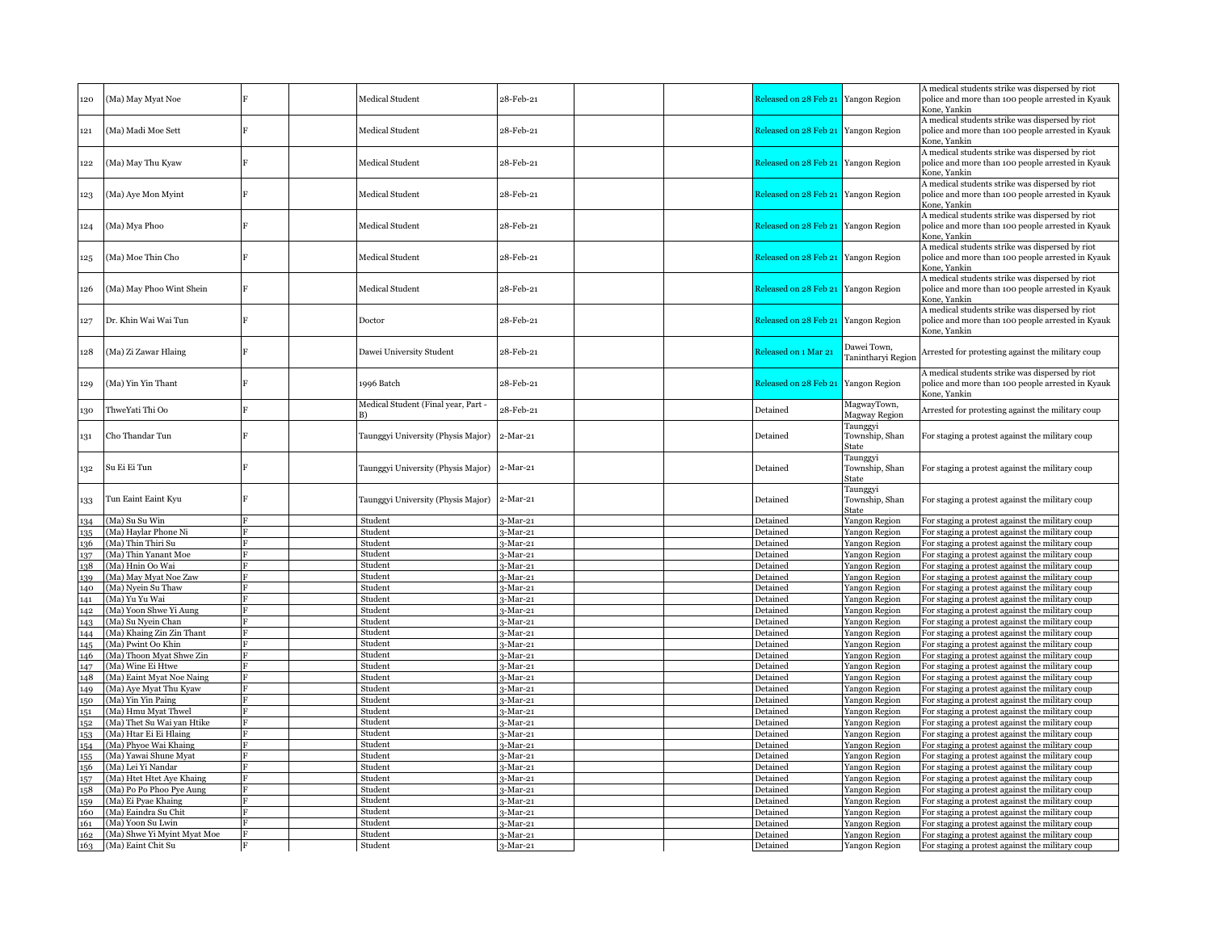|            |                                                |  |                                    |                          |  |                                     |                                | A medical students strike was dispersed by riot                                                      |
|------------|------------------------------------------------|--|------------------------------------|--------------------------|--|-------------------------------------|--------------------------------|------------------------------------------------------------------------------------------------------|
| 120        | (Ma) May Myat Noe                              |  | <b>Medical Student</b>             | 28-Feb-21                |  | Released on 28 Feb 21 Yangon Region |                                | police and more than 100 people arrested in Kyauk                                                    |
|            |                                                |  |                                    |                          |  |                                     |                                | Kone, Yankin<br>A medical students strike was dispersed by riot                                      |
| 121        | (Ma) Madi Moe Sett                             |  | Medical Student                    | 28-Feb-21                |  | Released on 28 Feb 21 Yangon Region |                                | police and more than 100 people arrested in Kyauk                                                    |
|            |                                                |  |                                    |                          |  |                                     |                                | Kone, Yankin                                                                                         |
|            |                                                |  |                                    |                          |  |                                     |                                | A medical students strike was dispersed by riot                                                      |
| 122        | (Ma) May Thu Kyaw                              |  | Medical Student                    | 28-Feb-21                |  | Released on 28 Feb 21 Yangon Region |                                | police and more than 100 people arrested in Kyauk<br>Kone, Yankin                                    |
|            |                                                |  |                                    |                          |  |                                     |                                | A medical students strike was dispersed by riot                                                      |
| 123        | (Ma) Aye Mon Myint                             |  | Medical Student                    | 28-Feb-21                |  | Released on 28 Feb 21 Yangon Region |                                | police and more than 100 people arrested in Kyauk                                                    |
|            |                                                |  |                                    |                          |  |                                     |                                | Kone. Yankin                                                                                         |
|            |                                                |  |                                    |                          |  |                                     |                                | A medical students strike was dispersed by riot                                                      |
| 124        | (Ma) Mya Phoo                                  |  | Medical Student                    | 28-Feb-21                |  | Released on 28 Feb 21 Yangon Region |                                | police and more than 100 people arrested in Kyauk                                                    |
|            |                                                |  |                                    |                          |  |                                     |                                | Kone, Yankin<br>A medical students strike was dispersed by riot                                      |
| 125        | (Ma) Moe Thin Cho                              |  | <b>Medical Student</b>             | 28-Feb-21                |  | Released on 28 Feb 21 Yangon Region |                                | police and more than 100 people arrested in Kyauk                                                    |
|            |                                                |  |                                    |                          |  |                                     |                                | Kone, Yankin                                                                                         |
|            |                                                |  |                                    |                          |  |                                     |                                | A medical students strike was dispersed by riot                                                      |
| 126        | (Ma) May Phoo Wint Shein                       |  | Medical Student                    | 28-Feb-21                |  | Released on 28 Feb 21 Yangon Region |                                | police and more than 100 people arrested in Kyauk                                                    |
|            |                                                |  |                                    |                          |  |                                     |                                | Kone, Yankin<br>A medical students strike was dispersed by riot                                      |
| 127        | Dr. Khin Wai Wai Tun                           |  | Doctor                             | 28-Feb-21                |  | Released on 28 Feb 21 Yangon Region |                                | police and more than 100 people arrested in Kyauk                                                    |
|            |                                                |  |                                    |                          |  |                                     |                                | Kone, Yankin                                                                                         |
|            |                                                |  |                                    |                          |  |                                     | Dawei Town,                    |                                                                                                      |
| 128        | (Ma) Zi Zawar Hlaing                           |  | Dawei University Student           | 28-Feb-21                |  | Released on 1 Mar 21                | Tanintharyi Region             | Arrested for protesting against the military coup                                                    |
|            |                                                |  |                                    |                          |  |                                     |                                |                                                                                                      |
| 129        | (Ma) Yin Yin Thant                             |  | 1996 Batch                         | 28-Feb-21                |  | Released on 28 Feb 21 Yangon Region |                                | A medical students strike was dispersed by riot<br>police and more than 100 people arrested in Kyauk |
|            |                                                |  |                                    |                          |  |                                     |                                | Kone, Yankin                                                                                         |
|            | ThweYati Thi Oo                                |  | Medical Student (Final year, Part  | 28-Feb-21                |  | Detained                            | MagwayTown,                    |                                                                                                      |
| 130        |                                                |  |                                    |                          |  |                                     | Magway Region                  | Arrested for protesting against the military coup                                                    |
|            |                                                |  |                                    |                          |  |                                     | Taunggyi                       |                                                                                                      |
| 131        | Cho Thandar Tun                                |  | Taunggyi University (Physis Major) | $2-Mar-21$               |  | Detained                            | Township, Shan<br>State        | For staging a protest against the military coup                                                      |
|            |                                                |  |                                    |                          |  |                                     | Taunggyi                       |                                                                                                      |
| 132        | Su Ei Ei Tun                                   |  | Taunggyi University (Physis Major) | $2-Mar-21$               |  | Detained                            | Township, Shan                 | For staging a protest against the military coup                                                      |
|            |                                                |  |                                    |                          |  |                                     | State                          |                                                                                                      |
|            |                                                |  |                                    |                          |  |                                     | Taunggyi                       |                                                                                                      |
| 133        | Tun Eaint Eaint Kyu                            |  | Taunggyi University (Physis Major) | $2-Mar-21$               |  | Detained                            | Township, Shan<br>State        | For staging a protest against the military coup                                                      |
| 134        | Ma) Su Su Win                                  |  | Student                            | $3-Mar-21$               |  | Detained                            | Yangon Region                  | For staging a protest against the military coup                                                      |
| 135        | Ma) Haylar Phone Ni                            |  | Student                            | $3-Mar-21$               |  | Detained                            | Yangon Region                  | For staging a protest against the military coup                                                      |
| 136        | Ma) Thin Thiri Su                              |  | Student                            | $3-Mar-21$               |  | Detained                            | Yangon Region                  | For staging a protest against the military coup                                                      |
| 137        | Ma) Thin Yanant Moe                            |  | Student                            | $3-Mar-21$               |  | Detained                            | Yangon Region                  | For staging a protest against the military coup                                                      |
| 138        | Ma) Hnin Oo Wai                                |  | Student                            | $-Mar-21$                |  | Detained                            | Yangon Region                  | For staging a protest against the military coup                                                      |
| 139        | (Ma) May Myat Noe Zaw                          |  | Student                            | 3-Mar-21                 |  | Detained                            | Yangon Region                  | For staging a protest against the military coup                                                      |
| 140        | (Ma) Nyein Su Thaw                             |  | Student                            | $3-Mar-21$               |  | Detained                            | Yangon Region                  | For staging a protest against the military coup                                                      |
| 141        | (Ma) Yu Yu Wai                                 |  | Student                            | $3-Mar-21$               |  | Detained                            | Yangon Region                  | For staging a protest against the military coup                                                      |
| 142<br>143 | Ma) Yoon Shwe Yi Aung<br>Ma) Su Nyein Chan     |  | Student<br>Student                 | $3-Mar-21$<br>$3-Mar-21$ |  | Detained<br>Detained                | Yangon Region<br>Yangon Region | For staging a protest against the military coup<br>For staging a protest against the military coup   |
|            |                                                |  | Student                            | $3-Mar-21$               |  | Detained                            |                                |                                                                                                      |
| 144<br>145 | Ma) Khaing Zin Zin Thant<br>(Ma) Pwint Oo Khin |  | Student                            | $3-Mar-21$               |  | Detained                            | Yangon Region<br>Yangon Region | For staging a protest against the military coup<br>For staging a protest against the military coup   |
| 146        | (Ma) Thoon Myat Shwe Zin                       |  | Student                            | $3-Mar-21$               |  | Detained                            | Yangon Region                  | For staging a protest against the military coup                                                      |
| 147        | Ma) Wine Ei Htwe                               |  | Student                            | $3-Mar-21$               |  | Detained                            | Yangon Region                  | For staging a protest against the military coup                                                      |
| 148        | Ma) Eaint Myat Noe Naing                       |  | Student                            | $3-Mar-21$               |  | Detained                            | Yangon Region                  | For staging a protest against the military coup                                                      |
| 149        | (Ma) Aye Myat Thu Kyaw                         |  | Student                            | $-Mar-21$                |  | Detained                            | Yangon Region                  | For staging a protest against the military coup                                                      |
| 150        | (Ma) Yin Yin Paing                             |  | Student                            | $3-Mar-21$               |  | Detained                            | Yangon Region                  | For staging a protest against the military coup                                                      |
| 151        | (Ma) Hmu Myat Thwel                            |  | Student                            | 3-Mar-21                 |  | Detained                            | Yangon Region                  | For staging a protest against the military coup                                                      |
| 152        | Ma) Thet Su Wai yan Htike                      |  | Student                            | $3-Mar-21$               |  | Detained                            | Yangon Region                  | For staging a protest against the military coup                                                      |
| 153        | Ma) Htar Ei Ei Hlaing                          |  | Student<br>Student                 | $3-Mar-21$               |  | Detained                            | Yangon Region                  | For staging a protest against the military coup                                                      |
| 154<br>155 | Ma) Phyoe Wai Khaing<br>(Ma) Yawai Shune Myat  |  | Student                            | $3-Mar-21$<br>$-Mar-21$  |  | Detained<br>Detained                | Yangon Region<br>Yangon Region | For staging a protest against the military coup<br>For staging a protest against the military coup   |
| 156        | (Ma) Lei Yi Nandar                             |  | Student                            | $3-Mar-21$               |  | Detained                            | Yangon Region                  | For staging a protest against the military coup                                                      |
| 157        | Ma) Htet Htet Ave Khaing                       |  | Student                            | $3-Mar-21$               |  | Detained                            | Yangon Region                  | For staging a protest against the military coup                                                      |
| 158        | Ma) Po Po Phoo Pye Aung                        |  | Student                            | $3-Mar-21$               |  | Detained                            | Yangon Region                  | For staging a protest against the military coup                                                      |
| 159        | Ma) Ei Pyae Khaing                             |  | Student                            | $3-Mar-21$               |  | Detained                            | Yangon Region                  | For staging a protest against the military coup                                                      |
| 160        | Ma) Eaindra Su Chit                            |  | Student                            | $3-Mar-21$               |  | Detained                            | Yangon Region                  | For staging a protest against the military coup                                                      |
| 161        | Ma) Yoon Su Lwin                               |  | Student                            | $3-Mar-21$               |  | Detained                            | rangon Region                  | For staging a protest against the military coup                                                      |
| 162        | (Ma) Shwe Yi Myint Myat Moe                    |  | Student                            | $3-Mar-21$               |  | Detained                            | Yangon Region                  | For staging a protest against the military coup                                                      |
| 163        | (Ma) Eaint Chit Su                             |  | Student                            | $3-Mar-21$               |  | Detained                            | Yangon Region                  | For staging a protest against the military coup                                                      |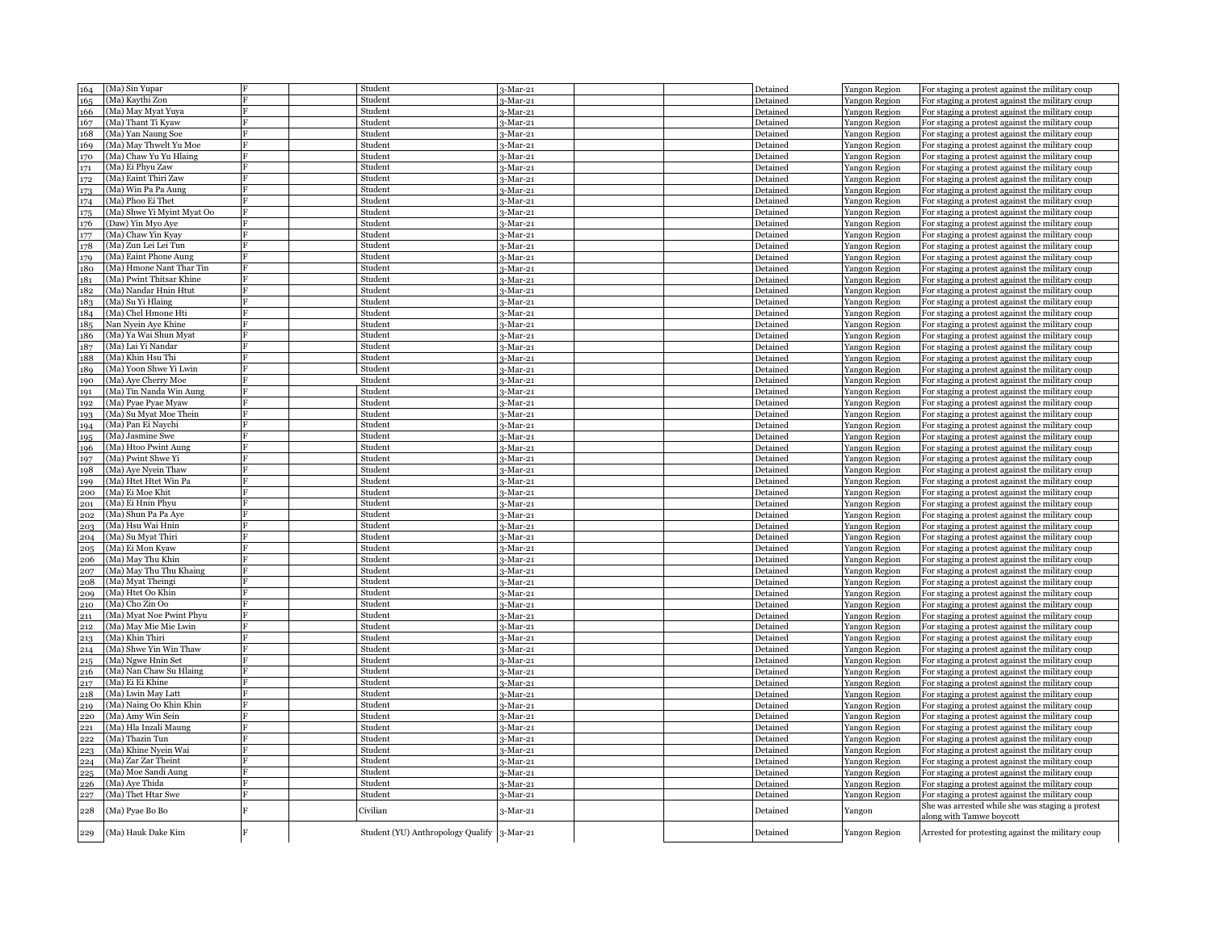| 164 | (Ma) Sin Yupar             |    | Student                           | $-Mar-21$ |  | Detained | Yangon Region | For staging a protest against the military coup   |
|-----|----------------------------|----|-----------------------------------|-----------|--|----------|---------------|---------------------------------------------------|
| 165 | (Ma) Kaythi Zon            |    | Student                           | -Mar-21   |  | Detained | Yangon Region | For staging a protest against the military coup   |
| 166 | (Ma) May Myat Yuya         |    | Student                           | $-Mar-21$ |  | Detained | Yangon Region | For staging a protest against the military coup   |
| 167 | (Ma) Thant Ti Kyaw         |    | Student                           | -Mar-21   |  | Detained | Yangon Region | For staging a protest against the military coup   |
| 168 | (Ma) Yan Naung Soe         |    | Student                           | -Mar-21   |  | Detained | Yangon Region | For staging a protest against the military coup   |
| 160 | (Ma) May Thwelt Yu Moe     |    | Student                           | $-Mar-21$ |  | Detained | Yangon Region | For staging a protest against the military coup   |
| 170 | (Ma) Chaw Yu Yu Hlaing     |    | Student                           | $-Mar-21$ |  | Detained | Yangon Region | For staging a protest against the military coup   |
| 171 | (Ma) Ei Phyu Zaw           |    | Student                           | $-Mar-21$ |  | Detained |               | For staging a protest against the military coup   |
|     |                            |    |                                   |           |  |          | Yangon Region |                                                   |
| 172 | (Ma) Eaint Thiri Zaw       |    | Student                           | $-Mar-21$ |  | Detained | Yangon Region | For staging a protest against the military coup   |
| 173 | (Ma) Win Pa Pa Aung        |    | Student                           | -Mar-21   |  | Detained | Yangon Region | For staging a protest against the military coup   |
| 174 | (Ma) Phoo Ei Thet          |    | Student                           | $-Mar-21$ |  | Detained | Yangon Region | For staging a protest against the military coup   |
| 175 | (Ma) Shwe Yi Myint Myat Oo |    | Student                           | -Mar-21   |  | Detained | Yangon Region | For staging a protest against the military coup   |
| 176 | (Daw) Yin Myo Aye          |    | Student                           | $-Mar-21$ |  | Detained | Yangon Region | For staging a protest against the military coup   |
|     | (Ma) Chaw Yin Kyay         |    | Student                           | -Mar-21   |  | Detained | Yangon Region | For staging a protest against the military coup   |
| 178 | (Ma) Zun Lei Lei Tun       |    | Student                           | -Mar-21   |  | Detained | Yangon Region | For staging a protest against the military coup   |
| 179 | (Ma) Eaint Phone Aung      |    | Student                           | $-Mar-21$ |  | Detained | Yangon Region | For staging a protest against the military coup   |
| 180 | Ma) Hmone Nant Thar Tin    |    | Student                           | $-Mar-21$ |  | Detained | Yangon Region | For staging a protest against the military coup   |
| 181 | (Ma) Pwint Thitsar Khine   |    | Student                           | $-Mar-21$ |  | Detained | Yangon Region | For staging a protest against the military coup   |
| 182 | (Ma) Nandar Hnin Htut      |    | Student                           | -Mar-21   |  | Detained | Yangon Region | For staging a protest against the military coup   |
| 183 | (Ma) Su Yi Hlaing          |    | Student                           | $-Mar-21$ |  | Detainec | Yangon Region | For staging a protest against the military coup   |
| 184 | (Ma) Chel Hmone Hti        |    | Student                           | $-Mar-21$ |  | Detained | Yangon Region | For staging a protest against the military coup   |
| 185 | Nan Nyein Aye Khine        |    | Student                           | -Mar-21   |  | Detained | Yangon Region | For staging a protest against the military coup   |
|     |                            |    |                                   |           |  |          |               |                                                   |
| 186 | (Ma) Ya Wai Shun Myat      |    | Student                           | -Mar-21   |  | Detained | Yangon Region | For staging a protest against the military coup   |
| 187 | (Ma) Lai Yi Nandar         |    | Student                           | -Mar-21   |  | Detained | Yangon Region | For staging a protest against the military coup   |
| 188 | (Ma) Khin Hsu Thi          |    | Student                           | $-Mar-21$ |  | Detained | Yangon Region | For staging a protest against the military coup   |
| 189 | (Ma) Yoon Shwe Yi Lwin     |    | Student                           | $-Mar-21$ |  | Detained | Yangon Region | For staging a protest against the military coup   |
| 190 | (Ma) Aye Cherry Moe        |    | Student                           | -Mar-21   |  | Detained | Yangon Region | For staging a protest against the military coup   |
| 191 | (Ma) Tin Nanda Win Aung    |    | Student                           | $-Mar-21$ |  | Detained | Yangon Region | For staging a protest against the military coup   |
| 192 | (Ma) Pyae Pyae Myaw        |    | Student                           | -Mar-21   |  | Detained | Yangon Region | For staging a protest against the military coup   |
| 193 | (Ma) Su Myat Moe Thein     | F  | Student                           | $-Mar-21$ |  | Detained | Yangon Region | For staging a protest against the military coup   |
| 194 | (Ma) Pan Ei Naychi         |    | Student                           | -Mar-21   |  | Detained | Yangon Region | For staging a protest against the military coup   |
| 195 | (Ma) Jasmine Swe           |    | Student                           | -Mar-21   |  | Detained | Yangon Region | For staging a protest against the military coup   |
| 196 | (Ma) Htoo Pwint Aung       |    | Student                           | -Mar-21   |  | Detained | Yangon Region | For staging a protest against the military coup   |
| 197 | (Ma) Pwint Shwe Yi         |    | Student                           | -Mar-21   |  | Detained | Yangon Region | For staging a protest against the military coup   |
| 198 | (Ma) Aye Nyein Thaw        |    | Student                           | $-Mar-21$ |  | Detained | Yangon Region | For staging a protest against the military coup   |
| 199 | (Ma) Htet Htet Win Pa      |    | Student                           | -Mar-21   |  | Detained | Yangon Region | For staging a protest against the military coup   |
|     | (Ma) Ei Moe Khit           |    | Student                           |           |  | Detained |               |                                                   |
| 200 |                            |    |                                   | $-Mar-21$ |  |          | Yangon Region | For staging a protest against the military coup   |
| 201 | (Ma) Ei Hnin Phyu          |    | Student                           | $-Mar-21$ |  | Detained | Yangon Region | For staging a protest against the military coup   |
| 202 | (Ma) Shun Pa Pa Aye        | F  | Student                           | $-Mar-21$ |  | Detained | Yangon Region | For staging a protest against the military coup   |
| 203 | (Ma) Hsu Wai Hnin          |    | Student                           | -Mar-21   |  | Detained | Yangon Region | For staging a protest against the military coup   |
| 204 | (Ma) Su Myat Thiri         |    | Student                           | $-Mar-21$ |  | Detained | Yangon Region | For staging a protest against the military coup   |
| 205 | (Ma) Ei Mon Kyaw           |    | Student                           | $-Mar-21$ |  | Detained | Yangon Region | For staging a protest against the military coup   |
| 206 | (Ma) May Thu Khin          |    | Student                           | $-Mar-21$ |  | Detained | Yangon Region | For staging a protest against the military coup   |
| 207 | Ma) May Thu Thu Khaing     |    | Student                           | $-Mar-21$ |  | Detained | Yangon Region | For staging a protest against the military coup   |
| 208 | Ma) Myat Theingi           |    | Student                           | $-Mar-21$ |  | Detained | Yangon Region | For staging a protest against the military coup   |
| 200 | (Ma) Htet Oo Khin          |    | Student                           | $-Mar-21$ |  | Detained | Yangon Region | For staging a protest against the military coup   |
| 210 | (Ma) Cho Zin Oo            |    | Student                           | $-Mar-21$ |  | Detained | Yangon Region | For staging a protest against the military coup   |
| 211 | (Ma) Myat Noe Pwint Phyu   | lF | Student                           | $-Mar-21$ |  | Detained | Yangon Region | For staging a protest against the military coup   |
| 212 | (Ma) May Mie Mie Lwin      | F  | Student                           | $-Mar-21$ |  | Detained | Yangon Region | For staging a protest against the military coup   |
| 213 | Ma) Khin Thiri             |    | Student                           | -Mar-21   |  | Detained | Yangon Region | For staging a protest against the military coup   |
| 214 | (Ma) Shwe Yin Win Thaw     |    | Student                           | $-Mar-21$ |  | Detained | Yangon Region | For staging a protest against the military coup   |
|     | (Ma) Ngwe Hnin Set         |    | Student                           |           |  |          |               |                                                   |
| 215 |                            | lF |                                   | -Mar-21   |  | Detained | Yangon Region | For staging a protest against the military coup   |
| 216 | (Ma) Nan Chaw Su Hlaing    |    | Student                           | $-Mar-21$ |  | Detained | Yangon Region | For staging a protest against the military coup   |
| 217 | (Ma) Ei Ei Khine           |    | Student                           | $-Mar-21$ |  | Detained | Yangon Region | For staging a protest against the military coup   |
| 218 | Ma) Lwin May Latt          |    | Student                           | $-Mar-21$ |  | Detained | Yangon Region | For staging a protest against the military coup   |
| 219 | (Ma) Naing Oo Khin Khin    |    | Student                           | $-Mar-21$ |  | Detained | Yangon Region | For staging a protest against the military coup   |
| 220 | (Ma) Amy Win Sein          |    | Student                           | -Mar-21   |  | Detained | Yangon Region | For staging a protest against the military coup   |
| 221 | (Ma) Hla Inzali Maung      | F  | Student                           | $-Mar-21$ |  | Detained | Yangon Region | For staging a protest against the military coup   |
| 222 | (Ma) Thazin Tun            |    | Student                           | -Mar-21   |  | Detained | Yangon Region | For staging a protest against the military coup   |
| 223 | (Ma) Khine Nyein Wai       |    | Student                           | $-Mar-21$ |  | Detained | Yangon Region | For staging a protest against the military coup   |
| 224 | Ma) Zar Zar Theint         |    | Student                           | $-Mar-21$ |  | Detained | Yangon Region | For staging a protest against the military coup   |
| 225 | (Ma) Moe Sandi Aung        |    | Student                           | $-Mar-21$ |  | Detained | Yangon Region | For staging a protest against the military coup   |
| 226 | Ma) Aye Thida              |    | Student                           | -Mar-21   |  | Detained | Yangon Region | For staging a protest against the military coup   |
| 27  | (Ma) Thet Htar Swe         |    | Student                           | -Mar-21   |  | Detained | Yangon Region | For staging a protest against the military coup   |
|     |                            |    |                                   |           |  |          |               | She was arrested while she was staging a protest  |
| 228 | (Ma) Pyae Bo Bo            |    | Civilian                          | $-Mar-21$ |  | Detained | Yangon        | along with Tamwe boycott                          |
| 229 | (Ma) Hauk Dake Kim         |    | Student (YU) Anthropology Qualify | 3-Mar-21  |  | Detained | Yangon Region | Arrested for protesting against the military coup |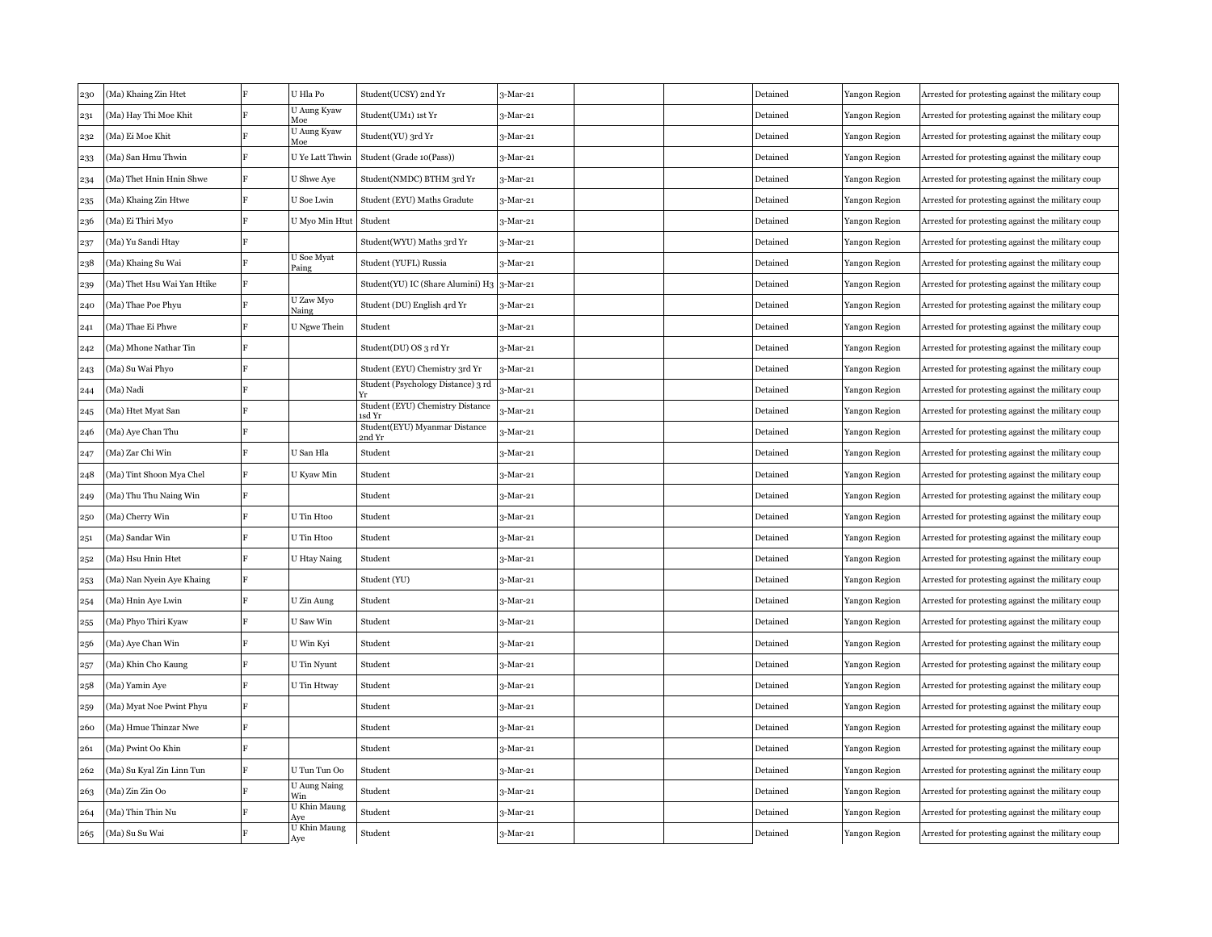| 230 | (Ma) Khaing Zin Htet        | U Hla Po            | Student(UCSY) 2nd Yr                       | $3-Mar-21$ |  | Detained | Yangon Region | Arrested for protesting against the military coup |
|-----|-----------------------------|---------------------|--------------------------------------------|------------|--|----------|---------------|---------------------------------------------------|
| 231 | (Ma) Hay Thi Moe Khit       | U Aung Kyaw<br>Moe  | Student(UM1) 1st Yr                        | 3-Mar-21   |  | Detained | Yangon Region | Arrested for protesting against the military coup |
| 232 | (Ma) Ei Moe Khit            | U Aung Kyaw<br>Moe  | Student(YU) 3rd Yr                         | 3-Mar-21   |  | Detained | Yangon Region | Arrested for protesting against the military coup |
| 233 | (Ma) San Hmu Thwin          | U Ye Latt Thwin     | Student (Grade 10(Pass))                   | 3-Mar-21   |  | Detained | Yangon Region | Arrested for protesting against the military coup |
| 234 | (Ma) Thet Hnin Hnin Shwe    | U Shwe Aye          | Student(NMDC) BTHM 3rd Yr                  | 3-Mar-21   |  | Detained | Yangon Region | Arrested for protesting against the military coup |
| 235 | (Ma) Khaing Zin Htwe        | U Soe Lwin          | Student (EYU) Maths Gradute                | $3-Mar-21$ |  | Detained | Yangon Region | Arrested for protesting against the military coup |
| 236 | (Ma) Ei Thiri Myo           | U Myo Min Htut      | Student                                    | 3-Mar-21   |  | Detained | Yangon Region | Arrested for protesting against the military coup |
| 237 | (Ma) Yu Sandi Htay          |                     | Student(WYU) Maths 3rd Yr                  | $3-Mar-21$ |  | Detained | Yangon Region | Arrested for protesting against the military coup |
| 238 | (Ma) Khaing Su Wai          | U Soe Myat<br>Paing | Student (YUFL) Russia                      | $3-Mar-21$ |  | Detained | Yangon Region | Arrested for protesting against the military coup |
| 239 | (Ma) Thet Hsu Wai Yan Htike |                     | Student(YU) IC (Share Alumini) H3 3-Mar-21 |            |  | Detained | Yangon Region | Arrested for protesting against the military coup |
| 240 | (Ma) Thae Poe Phyu          | U Zaw Myo<br>Naing  | Student (DU) English 4rd Yr                | 3-Mar-21   |  | Detained | Yangon Region | Arrested for protesting against the military coup |
| 241 | (Ma) Thae Ei Phwe           | U Ngwe Thein        | Student                                    | 3-Mar-21   |  | Detained | Yangon Region | Arrested for protesting against the military coup |
| 242 | (Ma) Mhone Nathar Tin       |                     | Student(DU) OS 3 rd Yr                     | $3-Mar-21$ |  | Detained | Yangon Region | Arrested for protesting against the military coup |
| 243 | (Ma) Su Wai Phyo            |                     | Student (EYU) Chemistry 3rd Yr             | 3-Mar-21   |  | Detained | Yangon Region | Arrested for protesting against the military coup |
| 244 | (Ma) Nadi                   |                     | Student (Psychology Distance) 3 rd         | $3-Mar-21$ |  | Detained | Yangon Region | Arrested for protesting against the military coup |
| 245 | (Ma) Htet Myat San          |                     | Student (EYU) Chemistry Distance<br>sd Yr  | 3-Mar-21   |  | Detained | Yangon Region | Arrested for protesting against the military coup |
| 246 | (Ma) Aye Chan Thu           |                     | Student(EYU) Myanmar Distance<br>2nd Yr    | 3-Mar-21   |  | Detained | Yangon Region | Arrested for protesting against the military coup |
| 247 | (Ma) Zar Chi Win            | U San Hla           | Student                                    | 3-Mar-21   |  | Detained | Yangon Region | Arrested for protesting against the military coup |
| 248 | (Ma) Tint Shoon Mya Chel    | U Kyaw Min          | Student                                    | $3-Mar-21$ |  | Detained | Yangon Region | Arrested for protesting against the military coup |
| 249 | (Ma) Thu Thu Naing Win      |                     | Student                                    | 3-Mar-21   |  | Detained | Yangon Region | Arrested for protesting against the military coup |
| 250 | (Ma) Cherry Win             | U Tin Htoo          | Student                                    | 3-Mar-21   |  | Detained | Yangon Region | Arrested for protesting against the military coup |
| 251 | (Ma) Sandar Win             | U Tin Htoo          | Student                                    | $3-Mar-21$ |  | Detained | Yangon Region | Arrested for protesting against the military coup |
| 252 | (Ma) Hsu Hnin Htet          | <b>U Htay Naing</b> | Student                                    | 3-Mar-21   |  | Detained | Yangon Region | Arrested for protesting against the military coup |
| 253 | (Ma) Nan Nyein Aye Khaing   |                     | Student (YU)                               | 3-Mar-21   |  | Detained | Yangon Region | Arrested for protesting against the military coup |
| 254 | (Ma) Hnin Aye Lwin          | U Zin Aung          | Student                                    | 3-Mar-21   |  | Detained | Yangon Region | Arrested for protesting against the military coup |
| 255 | (Ma) Phyo Thiri Kyaw        | U Saw Win           | Student                                    | 3-Mar-21   |  | Detained | Yangon Region | Arrested for protesting against the military coup |
| 256 | (Ma) Aye Chan Win           | U Win Kyi           | Student                                    | 3-Mar-21   |  | Detained | Yangon Region | Arrested for protesting against the military coup |
| 257 | (Ma) Khin Cho Kaung         | U Tin Nyunt         | Student                                    | 3-Mar-21   |  | Detained | Yangon Region | Arrested for protesting against the military coup |
| 258 | (Ma) Yamin Aye              | U Tin Htway         | Student                                    | $3-Mar-21$ |  | Detained | Yangon Region | Arrested for protesting against the military coup |
| 259 | (Ma) Myat Noe Pwint Phyu    |                     | Student                                    | 3-Mar-21   |  | Detained | Yangon Region | Arrested for protesting against the military coup |
| 260 | (Ma) Hmue Thinzar Nwe       |                     | Student                                    | 3-Mar-21   |  | Detained | Yangon Region | Arrested for protesting against the military coup |
| 261 | (Ma) Pwint Oo Khin          |                     | Student                                    | $3-Mar-21$ |  | Detained | Yangon Region | Arrested for protesting against the military coup |
| 262 | (Ma) Su Kyal Zin Linn Tun   | U Tun Tun Oo        | Student                                    | 3-Mar-21   |  | Detained | Yangon Region | Arrested for protesting against the military coup |
| 263 | (Ma) Zin Zin Oo             | U Aung Naing<br>Win | Student                                    | 3-Mar-21   |  | Detained | Yangon Region | Arrested for protesting against the military coup |
| 264 | Ma) Thin Thin Nu            | U Khin Maung<br>Ave | Student                                    | $3-Mar-21$ |  | Detained | Yangon Region | Arrested for protesting against the military coup |
| 265 | (Ma) Su Su Wai              | U Khin Maung<br>Aye | Student                                    | 3-Mar-21   |  | Detained | Yangon Region | Arrested for protesting against the military coup |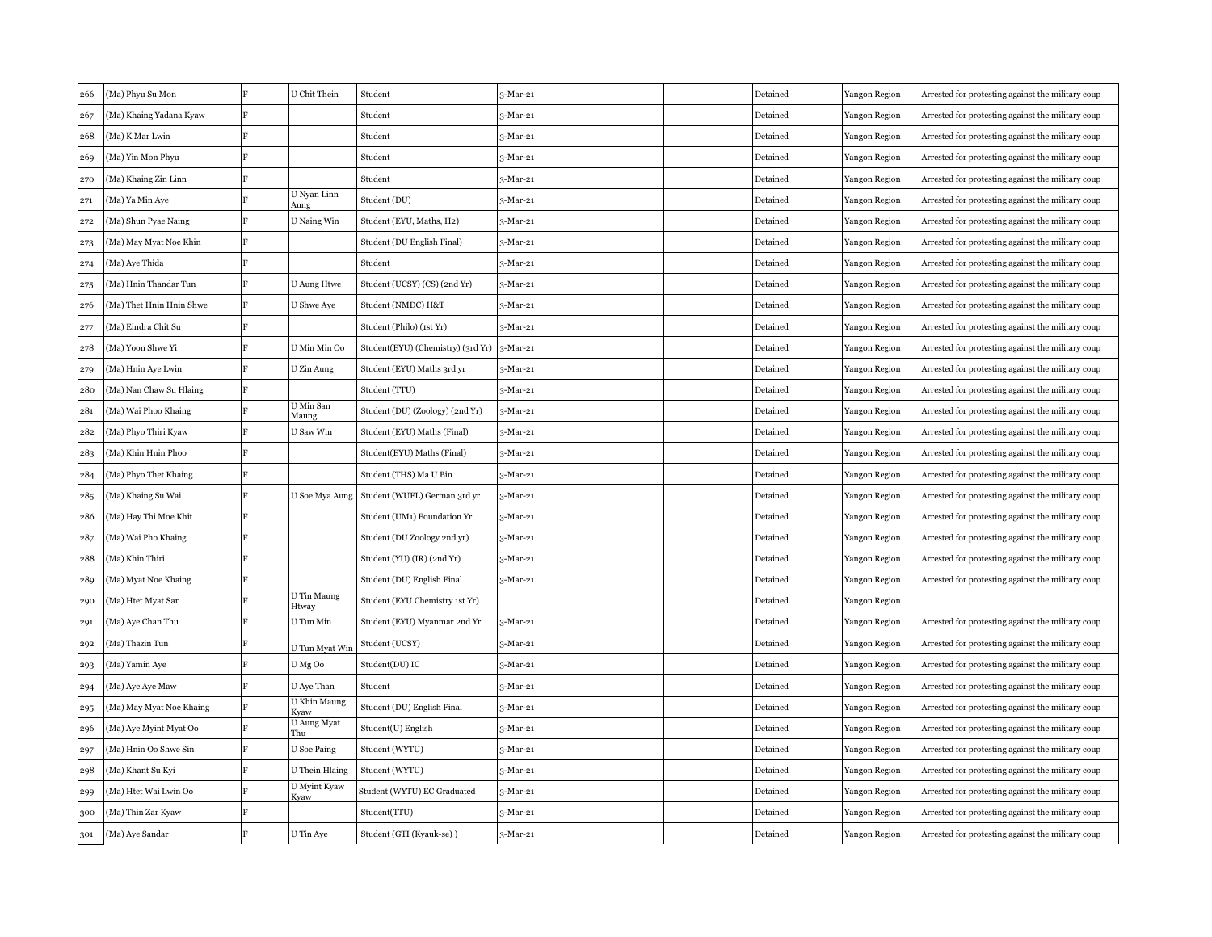| 266 | (Ma) Phyu Su Mon         |   | U Chit Thein             | Student                           | 3-Mar-21   |  | Detained | Yangon Region | Arrested for protesting against the military coup |
|-----|--------------------------|---|--------------------------|-----------------------------------|------------|--|----------|---------------|---------------------------------------------------|
| 267 | (Ma) Khaing Yadana Kyaw  |   |                          | Student                           | 3-Mar-21   |  | Detained | Yangon Region | Arrested for protesting against the military coup |
| 268 | (Ma) K Mar Lwin          |   |                          | Student                           | 3-Mar-21   |  | Detained | Yangon Region | Arrested for protesting against the military coup |
| 269 | (Ma) Yin Mon Phyu        |   |                          | Student                           | 3-Mar-21   |  | Detained | Yangon Region | Arrested for protesting against the military coup |
| 270 | (Ma) Khaing Zin Linn     |   |                          | Student                           | $3-Mar-21$ |  | Detained | Yangon Region | Arrested for protesting against the military coup |
| 271 | (Ma) Ya Min Aye          |   | U Nyan Linn<br>Aung      | Student (DU)                      | 3-Mar-21   |  | Detained | Yangon Region | Arrested for protesting against the military coup |
| 272 | (Ma) Shun Pyae Naing     |   | U Naing Win              | Student (EYU, Maths, H2)          | 3-Mar-21   |  | Detained | Yangon Region | Arrested for protesting against the military coup |
| 273 | (Ma) May Myat Noe Khin   |   |                          | Student (DU English Final)        | $3-Mar-21$ |  | Detained | Yangon Region | Arrested for protesting against the military coup |
| 274 | (Ma) Aye Thida           |   |                          | Student                           | 3-Mar-21   |  | Detained | Yangon Region | Arrested for protesting against the military coup |
| 275 | (Ma) Hnin Thandar Tun    |   | U Aung Htwe              | Student (UCSY) (CS) (2nd Yr)      | 3-Mar-21   |  | Detained | Yangon Region | Arrested for protesting against the military coup |
| 276 | (Ma) Thet Hnin Hnin Shwe |   | U Shwe Aye               | Student (NMDC) H&T                | 3-Mar-21   |  | Detained | Yangon Region | Arrested for protesting against the military coup |
| 277 | (Ma) Eindra Chit Su      |   |                          | Student (Philo) (1st Yr)          | 3-Mar-21   |  | Detained | Yangon Region | Arrested for protesting against the military coup |
| 278 | (Ma) Yoon Shwe Yi        |   | U Min Min Oo             | Student(EYU) (Chemistry) (3rd Yr) | 3-Mar-21   |  | Detained | Yangon Region | Arrested for protesting against the military coup |
| 279 | (Ma) Hnin Aye Lwin       |   | U Zin Aung               | Student (EYU) Maths 3rd yr        | 3-Mar-21   |  | Detained | Yangon Region | Arrested for protesting against the military coup |
| 280 | (Ma) Nan Chaw Su Hlaing  |   |                          | Student (TTU)                     | $3-Mar-21$ |  | Detained | Yangon Region | Arrested for protesting against the military coup |
| 281 | (Ma) Wai Phoo Khaing     | F | U Min San<br>Maung       | Student (DU) (Zoology) (2nd Yr)   | 3-Mar-21   |  | Detained | Yangon Region | Arrested for protesting against the military coup |
| 282 | (Ma) Phyo Thiri Kyaw     |   | U Saw Win                | Student (EYU) Maths (Final)       | 3-Mar-21   |  | Detained | Yangon Region | Arrested for protesting against the military coup |
| 283 | Ma) Khin Hnin Phoo       |   |                          | Student(EYU) Maths (Final)        | $3-Mar-21$ |  | Detained | Yangon Region | Arrested for protesting against the military coup |
| 284 | (Ma) Phyo Thet Khaing    |   |                          | Student (THS) Ma U Bin            | 3-Mar-21   |  | Detained | Yangon Region | Arrested for protesting against the military coup |
| 285 | (Ma) Khaing Su Wai       |   | U Soe Mya Aung           | Student (WUFL) German 3rd yr      | $3-Mar-21$ |  | Detained | Yangon Region | Arrested for protesting against the military coup |
| 286 | (Ma) Hay Thi Moe Khit    |   |                          | Student (UM1) Foundation Yr       | $3-Mar-21$ |  | Detained | Yangon Region | Arrested for protesting against the military coup |
| 287 | (Ma) Wai Pho Khaing      |   |                          | Student (DU Zoology 2nd yr)       | 3-Mar-21   |  | Detained | Yangon Region | Arrested for protesting against the military coup |
| 288 | (Ma) Khin Thiri          |   |                          | Student (YU) (IR) (2nd Yr)        | 3-Mar-21   |  | Detained | Yangon Region | Arrested for protesting against the military coup |
| 289 | (Ma) Myat Noe Khaing     |   |                          | Student (DU) English Final        | 3-Mar-21   |  | Detained | Yangon Region | Arrested for protesting against the military coup |
| 290 | (Ma) Htet Myat San       |   | U Tin Maung<br>Htwav     | Student (EYU Chemistry 1st Yr)    |            |  | Detained | Yangon Region |                                                   |
| 291 | (Ma) Aye Chan Thu        |   | U Tun Min                | Student (EYU) Myanmar 2nd Yr      | 3-Mar-21   |  | Detained | Yangon Region | Arrested for protesting against the military coup |
| 292 | (Ma) Thazin Tun          |   | U Tun Myat Win           | Student (UCSY)                    | 3-Mar-21   |  | Detained | Yangon Region | Arrested for protesting against the military coup |
| 293 | (Ma) Yamin Aye           |   | U MgOo                   | Student(DU) IC                    | $3-Mar-21$ |  | Detained | Yangon Region | Arrested for protesting against the military coup |
| 294 | Ma) Aye Aye Maw          |   | U Aye Than               | Student                           | 3-Mar-21   |  | Detained | Yangon Region | Arrested for protesting against the military coup |
| 295 | (Ma) May Myat Noe Khaing |   | U Khin Maung<br>.<br>vaw | Student (DU) English Final        | $3-Mar-21$ |  | Detained | Yangon Region | Arrested for protesting against the military coup |
| 296 | (Ma) Aye Myint Myat Oo   |   | U Aung Myat<br>Thu       | Student(U) English                | $3-Mar-21$ |  | Detained | Yangon Region | Arrested for protesting against the military coup |
| 297 | (Ma) Hnin Oo Shwe Sin    |   | U Soe Paing              | Student (WYTU)                    | 3-Mar-21   |  | Detained | Yangon Region | Arrested for protesting against the military coup |
| 298 | (Ma) Khant Su Kyi        |   | U Thein Hlaing           | Student (WYTU)                    | 3-Mar-21   |  | Detained | Yangon Region | Arrested for protesting against the military coup |
| 299 | (Ma) Htet Wai Lwin Oo    |   | U Myint Kyaw<br>Kyaw     | Student (WYTU) EC Graduated       | $3-Mar-21$ |  | Detained | Yangon Region | Arrested for protesting against the military coup |
| 300 | (Ma) Thin Zar Kyaw       |   |                          | Student(TTU)                      | $3-Mar-21$ |  | Detained | Yangon Region | Arrested for protesting against the military coup |
| 301 | (Ma) Aye Sandar          |   | U Tin Aye                | Student (GTI (Kyauk-se))          | $3-Mar-21$ |  | Detained | Yangon Region | Arrested for protesting against the military coup |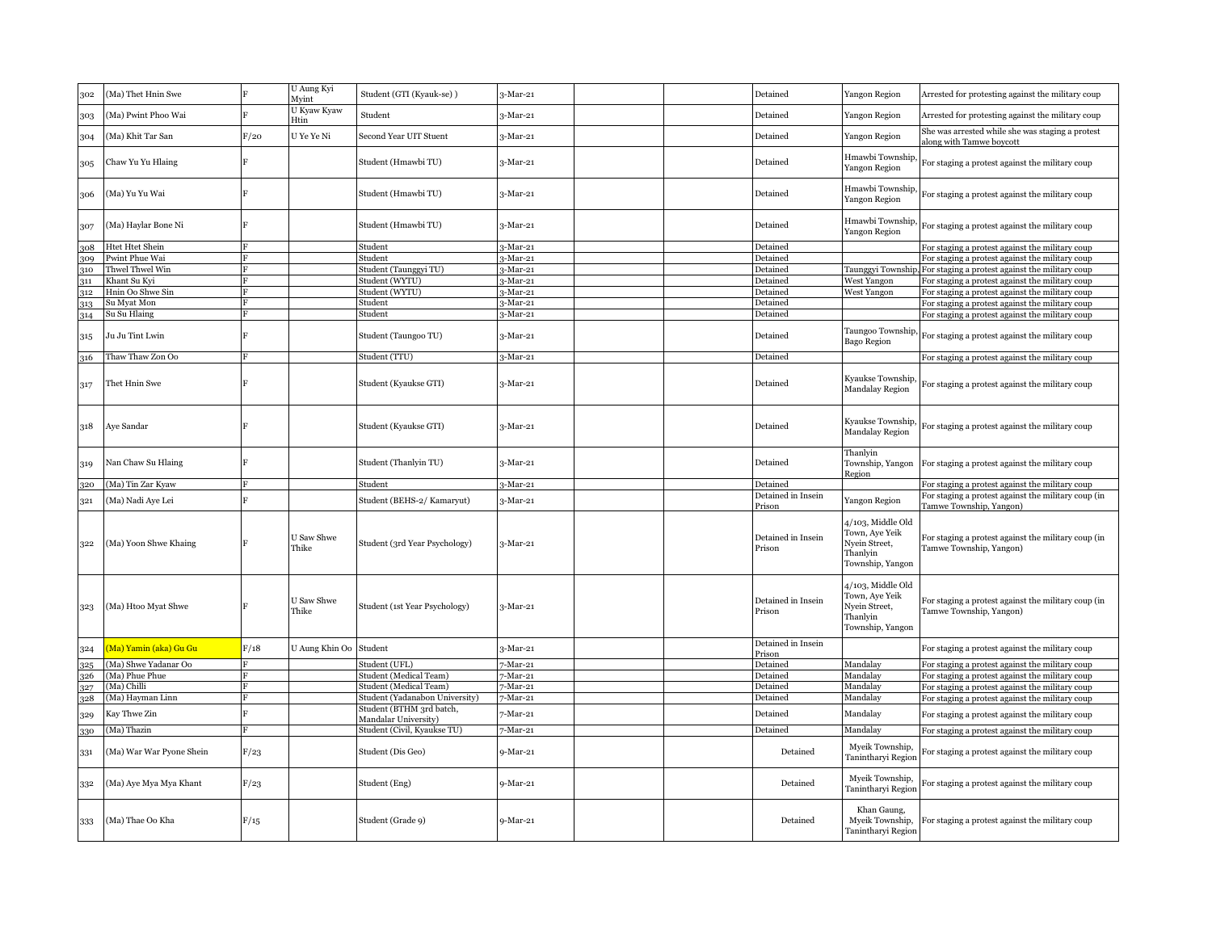| 302        | Ma) Thet Hnin Swe                       |      | U Aung Kyi<br>Myint | Student (GTI (Kyauk-se))                         | $3-Mar-21$           |  | Detained                     | Yangon Region                                                                           | Arrested for protesting against the military coup                                                  |
|------------|-----------------------------------------|------|---------------------|--------------------------------------------------|----------------------|--|------------------------------|-----------------------------------------------------------------------------------------|----------------------------------------------------------------------------------------------------|
| 303        | (Ma) Pwint Phoo Wai                     |      | U Kyaw Kyaw<br>Htin | Student                                          | 3-Mar-21             |  | Detained                     | Yangon Region                                                                           | Arrested for protesting against the military coup                                                  |
| 304        | (Ma) Khit Tar San                       | F/20 | U Ye Ye Ni          | Second Year UIT Stuent                           | 3-Mar-21             |  | Detained                     | Yangon Region                                                                           | She was arrested while she was staging a protest<br>along with Tamwe boycott                       |
| 305        | Chaw Yu Yu Hlaing                       |      |                     | Student (Hmawbi TU)                              | 3-Mar-21             |  | Detained                     | Hmawbi Township,<br>Yangon Region                                                       | For staging a protest against the military coup                                                    |
| 306        | (Ma) Yu Yu Wai                          |      |                     | Student (Hmawbi TU)                              | $3-Mar-21$           |  | Detained                     | Hmawbi Township,<br>Yangon Region                                                       | For staging a protest against the military coup                                                    |
| 307        | (Ma) Haylar Bone Ni                     |      |                     | Student (Hmawbi TU)                              | 3-Mar-21             |  | Detained                     | Hmawbi Township,<br>Yangon Region                                                       | For staging a protest against the military coup                                                    |
| 308        | <b>Htet Htet Shein</b>                  |      |                     | Student                                          | $3-Mar-21$           |  | Detained                     |                                                                                         | For staging a protest against the military coup                                                    |
| 309        | Pwint Phue Wai                          |      |                     | Student                                          | $-Mar-21$            |  | Detained                     |                                                                                         | For staging a protest against the military coup                                                    |
| 310        | Thwel Thwel Win                         |      |                     | Student (Taunggyi TU)                            | $3-Mar-21$           |  | Detained                     |                                                                                         | Taunggyi Township, For staging a protest against the military coup                                 |
| 311        | Khant Su Kyi                            |      |                     | Student (WYTU)                                   | $3-Mar-21$           |  | Detained                     | West Yangon                                                                             | For staging a protest against the military coup                                                    |
| 312        | Hnin Oo Shwe Sin                        |      |                     | Student (WYTU)                                   | $3-Mar-21$           |  | Detained                     | West Yangon                                                                             | For staging a protest against the military coup                                                    |
| 313        | Su Myat Mon                             |      |                     | Student                                          | $3-Mar-21$           |  | Detained                     |                                                                                         | For staging a protest against the military coup                                                    |
| 314        | Su Su Hlaing                            |      |                     | Student                                          | 3-Mar-21             |  | Detained                     |                                                                                         | For staging a protest against the military coup                                                    |
| 315        | Ju Ju Tint Lwin                         |      |                     | Student (Taungoo TU)                             | 3-Mar-21             |  | Detained                     | Taungoo Township,<br>Bago Region                                                        | For staging a protest against the military coup                                                    |
| 316        | Thaw Thaw Zon Oo                        |      |                     | Student (TTU)                                    | 3-Mar-21             |  | Detained                     |                                                                                         | For staging a protest against the military coup                                                    |
| 317        | Thet Hnin Swe                           |      |                     | Student (Kyaukse GTI)                            | $3-Mar-21$           |  | Detained                     | Kyaukse Township<br><b>Mandalay Region</b>                                              | For staging a protest against the military coup                                                    |
| 318        | Aye Sandar                              |      |                     | Student (Kyaukse GTI)                            | $3-Mar-21$           |  | Detained                     | Kyaukse Township,<br>Mandalay Region                                                    | For staging a protest against the military coup                                                    |
| 319        | Nan Chaw Su Hlaing                      |      |                     | Student (Thanlyin TU)                            | $3-Mar-21$           |  | Detained                     | Thanlyin<br>Region                                                                      | Township, Yangon For staging a protest against the military coup                                   |
| 320        | Ma) Tin Zar Kyaw                        |      |                     | Student                                          | 3-Mar-21             |  | Detained                     |                                                                                         | For staging a protest against the military coup                                                    |
| 321        | (Ma) Nadi Aye Lei                       |      |                     | Student (BEHS-2/ Kamaryut)                       | 3-Mar-21             |  | Detained in Insein           | Yangon Region                                                                           | For staging a protest against the military coup (in                                                |
|            |                                         |      |                     |                                                  |                      |  | Prison                       |                                                                                         | Tamwe Township, Yangon)                                                                            |
| 322        | (Ma) Yoon Shwe Khaing                   |      | U Saw Shwe<br>Thike | Student (3rd Year Psychology)                    | 3-Mar-21             |  | Detained in Insein<br>Prison | 4/103, Middle Old<br>Town, Aye Yeik<br>Nyein Street,<br>Thanlyin<br>Township, Yangon    | For staging a protest against the military coup (in<br>Tamwe Township, Yangon)                     |
| 323        | (Ma) Htoo Myat Shwe                     |      | U Saw Shwe<br>Thike | Student (1st Year Psychology)                    | $3-Mar-21$           |  | Detained in Insein<br>Prison | $4/103$ , Middle Old<br>Town, Aye Yeik<br>Nyein Street,<br>Thanlyin<br>Township, Yangon | For staging a protest against the military coup (in<br>Tamwe Township, Yangon)                     |
| 324        | Ma) Yamin (aka) Gu Gu                   | F/18 | U Aung Khin Oo      | Student                                          | $3-Mar-21$           |  | Detained in Insein<br>Prison |                                                                                         | For staging a protest against the military coup                                                    |
| 325        | Ma) Shwe Yadanar Oo                     |      |                     | Student (UFL)                                    | 7-Mar-21             |  | Detained                     | Mandalay                                                                                | For staging a protest against the military coup                                                    |
| 326        | (Ma) Phue Phue                          |      |                     | Student (Medical Team)                           | $7-Mar-21$           |  | Detained                     | Mandalay                                                                                | For staging a protest against the military coup                                                    |
| 327        | Ma) Chilli                              |      |                     | Student (Medical Team)                           | 7-Mar-21             |  | Detained                     | Mandalay                                                                                | For staging a protest against the military coup                                                    |
| 328        | Ma) Hayman Linn                         |      |                     | Student (Yadanabon University)                   | 7-Mar-21             |  | Detained                     | Mandalay                                                                                | For staging a protest against the military coup                                                    |
| 329        | Kay Thwe Zin                            |      |                     | Student (BTHM 3rd batch,                         | 7-Mar-21             |  | Detained                     | Mandalay                                                                                | For staging a protest against the military coup                                                    |
|            |                                         |      |                     | Mandalar University)                             |                      |  |                              |                                                                                         |                                                                                                    |
| 330<br>331 | (Ma) Thazin<br>(Ma) War War Pyone Shein | F/23 |                     | Student (Civil, Kyaukse TU)<br>Student (Dis Geo) | 7-Mar-21<br>9-Mar-21 |  | Detained<br>Detained         | Mandalay<br>Myeik Township,<br>Tanintharyi Region                                       | For staging a protest against the military coup<br>For staging a protest against the military coup |
| 332        | (Ma) Aye Mya Mya Khant                  | F/23 |                     | Student (Eng)                                    | $9-Mar-21$           |  | Detained                     | Myeik Township,<br>Tanintharyi Regior                                                   | For staging a protest against the military coup                                                    |
| 333        | (Ma) Thae Oo Kha                        | F/15 |                     | Student (Grade 9)                                | $9-Mar-21$           |  | Detained                     | Khan Gaung,<br>Myeik Township,<br>Tanintharyi Region                                    | For staging a protest against the military coup                                                    |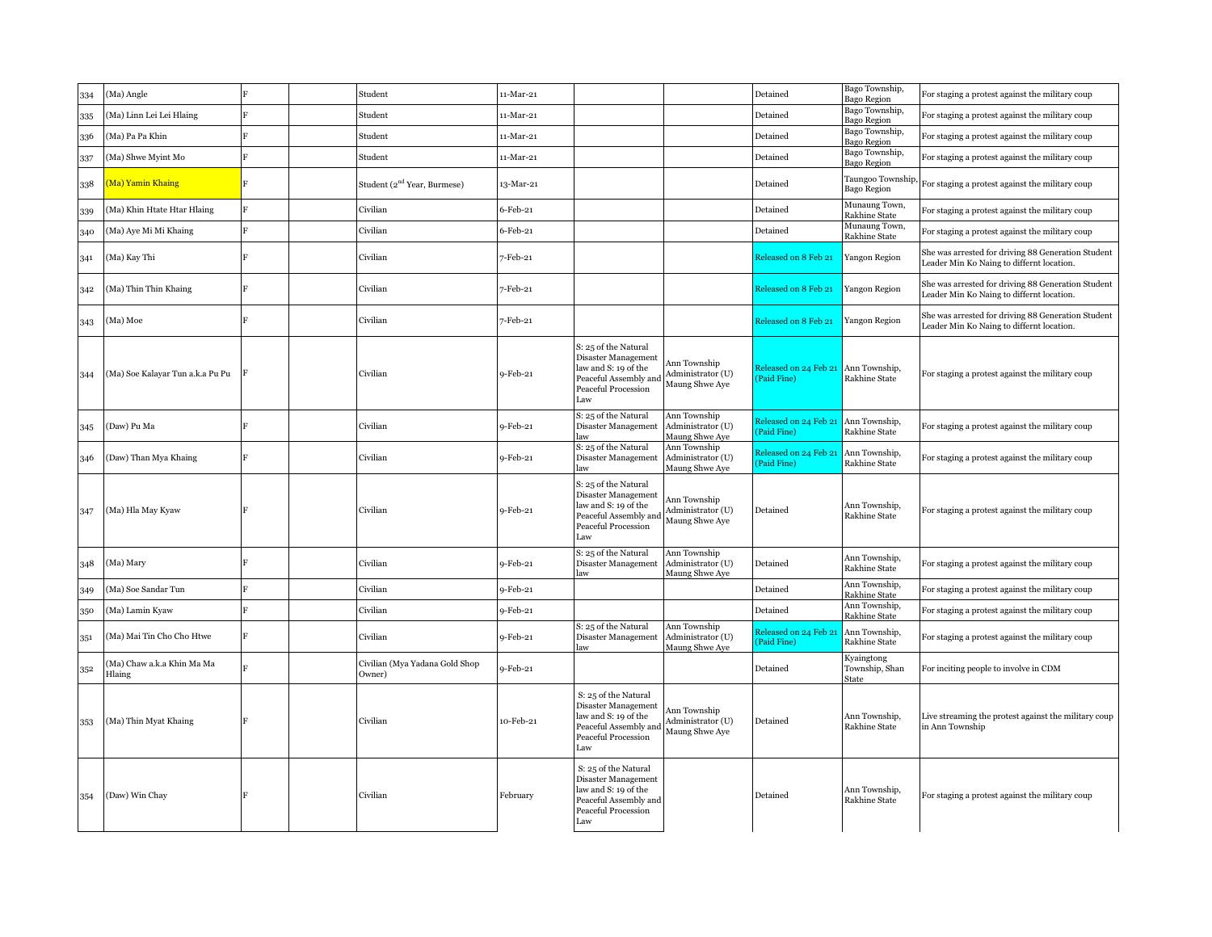| 334 | (Ma) Angle                           |  | Student                                  | 11-Mar-21     |                                                                                                                            |                                                     | Detained                             | Bago Township,<br><b>Bago Region</b>    | For staging a protest against the military coup                                                 |
|-----|--------------------------------------|--|------------------------------------------|---------------|----------------------------------------------------------------------------------------------------------------------------|-----------------------------------------------------|--------------------------------------|-----------------------------------------|-------------------------------------------------------------------------------------------------|
| 335 | (Ma) Linn Lei Lei Hlaing             |  | Student                                  | 11-Mar-21     |                                                                                                                            |                                                     | Detained                             | Bago Township,<br>Bago Region           | For staging a protest against the military coup                                                 |
| 336 | (Ma) Pa Pa Khin                      |  | Student                                  | 11-Mar-21     |                                                                                                                            |                                                     | Detained                             | Bago Township,<br>Bago Region           | For staging a protest against the military coup                                                 |
| 337 | (Ma) Shwe Myint Mo                   |  | Student                                  | 11-Mar-21     |                                                                                                                            |                                                     | Detained                             | Bago Township,<br>Bago Region           | For staging a protest against the military coup                                                 |
| 338 | Ma) Yamin Khaing                     |  | Student (2 <sup>nd</sup> Year, Burmese)  | 13-Mar-21     |                                                                                                                            |                                                     | Detained                             | Taungoo Township,<br><b>Bago Region</b> | For staging a protest against the military coup                                                 |
| 339 | (Ma) Khin Htate Htar Hlaing          |  | Civilian                                 | 6-Feb-21      |                                                                                                                            |                                                     | Detained                             | Munaung Town,<br>Rakhine State          | For staging a protest against the military coup                                                 |
| 340 | (Ma) Aye Mi Mi Khaing                |  | Civilian                                 | 5-Feb-21      |                                                                                                                            |                                                     | Detained                             | Munaung Town,<br><b>Rakhine State</b>   | For staging a protest against the military coup                                                 |
| 341 | (Ma) Kay Thi                         |  | Civilian                                 | 7-Feb-21      |                                                                                                                            |                                                     | Released on 8 Feb 21                 | <b>Yangon Region</b>                    | She was arrested for driving 88 Generation Student<br>Leader Min Ko Naing to differnt location. |
| 342 | (Ma) Thin Thin Khaing                |  | Civilian                                 | -Feb-21       |                                                                                                                            |                                                     | Released on 8 Feb 21                 | <b>Yangon Region</b>                    | She was arrested for driving 88 Generation Student<br>Leader Min Ko Naing to differnt location. |
| 343 | (Ma) Moe                             |  | Civilian                                 | 7-Feb-21      |                                                                                                                            |                                                     | Released on 8 Feb 21                 | Yangon Region                           | She was arrested for driving 88 Generation Student<br>Leader Min Ko Naing to differnt location. |
| 344 | (Ma) Soe Kalayar Tun a.k.a Pu Pu     |  | Civilian                                 | 9-Feb-21      | S: 25 of the Natural<br>Disaster Management<br>law and S: 19 of the<br>Peaceful Assembly and<br>Peaceful Procession<br>Law | Ann Township<br>Administrator (U)<br>Maung Shwe Aye | Released on 24 Feb 21<br>(Paid Fine) | Ann Township,<br><b>Rakhine State</b>   | For staging a protest against the military coup                                                 |
| 345 | (Daw) Pu Ma                          |  | Civilian                                 | $-Feb-21$     | S: 25 of the Natural<br>Disaster Management<br>aw                                                                          | Ann Township<br>Administrator (U)<br>Maung Shwe Aye | Released on 24 Feb 2:<br>(Paid Fine) | Ann Township,<br><b>Rakhine State</b>   | For staging a protest against the military coup                                                 |
| 346 | (Daw) Than Mya Khaing                |  | Civilian                                 | $-$ Feb $-21$ | S: 25 of the Natural<br>Disaster Management<br>law                                                                         | Ann Township<br>Administrator (U)<br>Maung Shwe Aye | Released on 24 Feb 21<br>(Paid Fine) | Ann Township,<br>Rakhine State          | For staging a protest against the military coup                                                 |
| 347 | (Ma) Hla May Kyaw                    |  | Civilian                                 | $9$ -Feb-21   | S: 25 of the Natural<br>Disaster Management<br>law and S: 19 of the<br>Peaceful Assembly and<br>Peaceful Procession<br>Law | Ann Township<br>Administrator (U)<br>Maung Shwe Aye | Detained                             | Ann Township,<br><b>Rakhine State</b>   | For staging a protest against the military coup                                                 |
| 348 | (Ma) Mary                            |  | Civilian                                 | )-Feb-21      | S: 25 of the Natural<br>Disaster Management<br>law                                                                         | Ann Township<br>Administrator (U)<br>Maung Shwe Aye | Detained                             | Ann Township,<br><b>Rakhine State</b>   | For staging a protest against the military coup                                                 |
| 349 | (Ma) Soe Sandar Tun                  |  | Civilian                                 | 9-Feb-21      |                                                                                                                            |                                                     | Detained                             | Ann Township,<br><b>Rakhine State</b>   | For staging a protest against the military coup                                                 |
| 350 | (Ma) Lamin Kyaw                      |  | Civilian                                 | )-Feb-21      |                                                                                                                            |                                                     | Detained                             | Ann Township,<br>Rakhine State          | For staging a protest against the military coup                                                 |
| 351 | (Ma) Mai Tin Cho Cho Htwe            |  | Civilian                                 | 9-Feb-21      | S: 25 of the Natural<br>Disaster Management<br>law                                                                         | Ann Township<br>Administrator (U)<br>Maung Shwe Aye | Released on 24 Feb 2<br>(Paid Fine)  | Ann Township,<br>Rakhine State          | For staging a protest against the military coup                                                 |
| 352 | (Ma) Chaw a.k.a Khin Ma Ma<br>Hlaing |  | Civilian (Mya Yadana Gold Shop<br>Owner) | 9-Feb-21      |                                                                                                                            |                                                     | Detained                             | Kyaingtong<br>Township, Shan<br>State   | For inciting people to involve in CDM                                                           |
| 353 | (Ma) Thin Myat Khaing                |  | Civilian                                 | 10-Feb-21     | S: 25 of the Natural<br>Disaster Management<br>law and S: 19 of the<br>Peaceful Assembly and<br>Peaceful Procession<br>Law | Ann Township<br>Administrator (U)<br>Maung Shwe Aye | Detained                             | Ann Township,<br><b>Rakhine State</b>   | Live streaming the protest against the military coup<br>in Ann Township                         |
| 354 | (Daw) Win Chay                       |  | Civilian                                 | February      | S: 25 of the Natural<br>Disaster Management<br>law and S: 19 of the<br>Peaceful Assembly and<br>Peaceful Procession<br>Law |                                                     | Detained                             | Ann Township,<br><b>Rakhine State</b>   | For staging a protest against the military coup                                                 |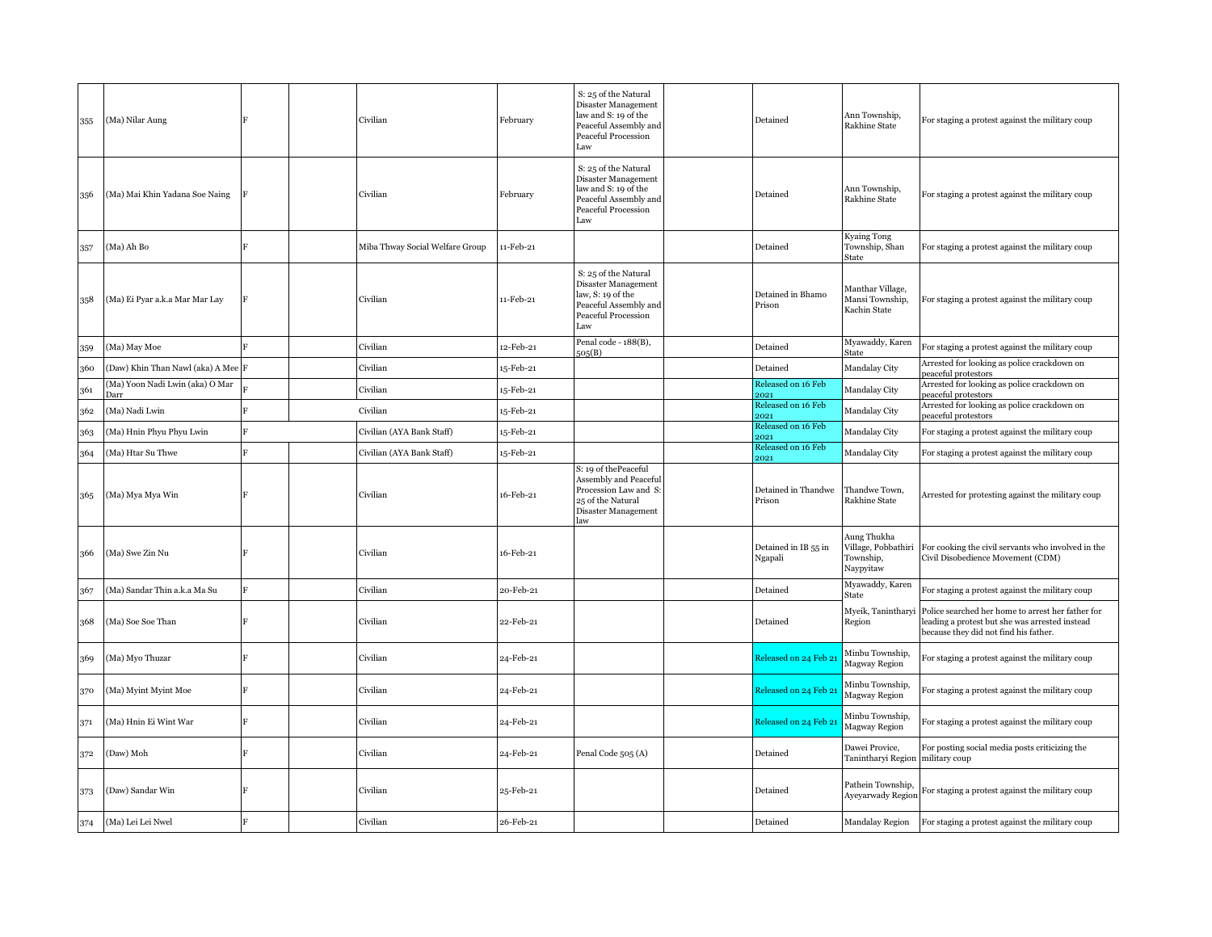| 355 | (Ma) Nilar Aung                         |  | Civilian                        | February  | S: 25 of the Natural<br>Disaster Management<br>law and S: 19 of the<br>Peaceful Assembly and<br>Peaceful Procession<br>Law | Detained                        | Ann Township,<br>Rakhine State                               | For staging a protest against the military coup                                                                                              |
|-----|-----------------------------------------|--|---------------------------------|-----------|----------------------------------------------------------------------------------------------------------------------------|---------------------------------|--------------------------------------------------------------|----------------------------------------------------------------------------------------------------------------------------------------------|
| 356 | (Ma) Mai Khin Yadana Soe Naing          |  | Civilian                        | February  | S: 25 of the Natural<br>Disaster Management<br>law and S: 19 of the<br>Peaceful Assembly and<br>Peaceful Procession<br>Law | Detained                        | Ann Township,<br><b>Rakhine State</b>                        | For staging a protest against the military coup                                                                                              |
| 357 | (Ma) Ah Bo                              |  | Miba Thway Social Welfare Group | 11-Feb-21 |                                                                                                                            | Detained                        | <b>Kyaing Tong</b><br>Township, Shan<br>State                | For staging a protest against the military coup                                                                                              |
| 358 | (Ma) Ei Pyar a.k.a Mar Mar Lay          |  | Civilian                        | 11-Feb-21 | S: 25 of the Natural<br>Disaster Management<br>law, S: 19 of the<br>Peaceful Assembly and<br>Peaceful Procession<br>Law    | Detained in Bhamo<br>Prison     | Manthar Village,<br>Mansi Township,<br>Kachin State          | For staging a protest against the military coup                                                                                              |
| 359 | (Ma) May Moe                            |  | Civilian                        | 12-Feb-21 | Penal code - 188(B),<br>505(B)                                                                                             | Detained                        | Myawaddy, Karen<br>State                                     | For staging a protest against the military coup                                                                                              |
| 360 | (Daw) Khin Than Nawl (aka) A Mee F      |  | Civilian                        | 15-Feb-21 |                                                                                                                            | Detained                        | Mandalay City                                                | Arrested for looking as police crackdown on<br>peaceful protestors                                                                           |
| 361 | (Ma) Yoon Nadi Lwin (aka) O Mar<br>Darr |  | Civilian                        | 15-Feb-21 |                                                                                                                            | Released on 16 Feb<br>2021      | Mandalay City                                                | Arrested for looking as police crackdown on<br>peaceful protestors                                                                           |
| 362 | (Ma) Nadi Lwin                          |  | Civilian                        | 15-Feb-21 |                                                                                                                            | Released on 16 Feb<br>2021      | Mandalay City                                                | Arrested for looking as police crackdown on<br>peaceful protestors                                                                           |
| 363 | (Ma) Hnin Phyu Phyu Lwin                |  | Civilian (AYA Bank Staff)       | 15-Feb-21 |                                                                                                                            | Released on 16 Feb<br>2021      | Mandalay City                                                | For staging a protest against the military coup                                                                                              |
| 364 | (Ma) Htar Su Thwe                       |  | Civilian (AYA Bank Staff)       | 15-Feb-21 |                                                                                                                            | Released on 16 Feb<br>2021      | Mandalay City                                                | For staging a protest against the military coup                                                                                              |
| 365 | (Ma) Mya Mya Win                        |  | Civilian                        | 16-Feb-21 | S: 19 of thePeaceful<br>Assembly and Peaceful<br>Procession Law and S:<br>25 of the Natural<br>Disaster Management<br>law  | Detained in Thandwe<br>Prison   | Thandwe Town,<br><b>Rakhine State</b>                        | Arrested for protesting against the military coup                                                                                            |
| 366 | (Ma) Swe Zin Nu                         |  | Civilian                        | 16-Feb-21 |                                                                                                                            | Detained in IB 55 in<br>Ngapali | Aung Thukha<br>Village, Pobbathiri<br>Township,<br>Naypyitaw | For cooking the civil servants who involved in the<br>Civil Disobedience Movement (CDM)                                                      |
| 367 | (Ma) Sandar Thin a.k.a Ma Su            |  | Civilian                        | 20-Feb-21 |                                                                                                                            | Detained                        | Myawaddy, Karen<br>State                                     | For staging a protest against the military coup                                                                                              |
| 368 | (Ma) Soe Soe Than                       |  | Civilian                        | 22-Feb-21 |                                                                                                                            | Detained                        | Myeik, Tanintharyi<br>Region                                 | Police searched her home to arrest her father for<br>leading a protest but she was arrested instead<br>because they did not find his father. |
| 369 | (Ma) Myo Thuzar                         |  | Civilian                        | 24-Feb-21 |                                                                                                                            | Released on 24 Feb 2            | Minbu Township,<br>Magway Region                             | For staging a protest against the military coup                                                                                              |
| 370 | (Ma) Myint Myint Moe                    |  | Civilian                        | 24-Feb-21 |                                                                                                                            | Released on 24 Feb 2            | Minbu Township,<br><b>Magway Region</b>                      | For staging a protest against the military coup                                                                                              |
| 371 | (Ma) Hnin Ei Wint War                   |  | Civilian                        | 24-Feb-21 |                                                                                                                            | Released on 24 Feb 2            | Minbu Township,<br>Magway Region                             | For staging a protest against the military coup                                                                                              |
| 372 | (Daw) Moh                               |  | Civilian                        | 24-Feb-21 | Penal Code 505 (A)                                                                                                         | Detained                        | Dawei Provice,<br>Tanintharyi Region                         | For posting social media posts criticizing the<br>military coup                                                                              |
| 373 | (Daw) Sandar Win                        |  | Civilian                        | 25-Feb-21 |                                                                                                                            | Detained                        | Pathein Township,<br>Ayeyarwady Region                       | For staging a protest against the military coup                                                                                              |
| 374 | (Ma) Lei Lei Nwel                       |  | Civilian                        | 26-Feb-21 |                                                                                                                            | Detained                        | Mandalay Region                                              | For staging a protest against the military coup                                                                                              |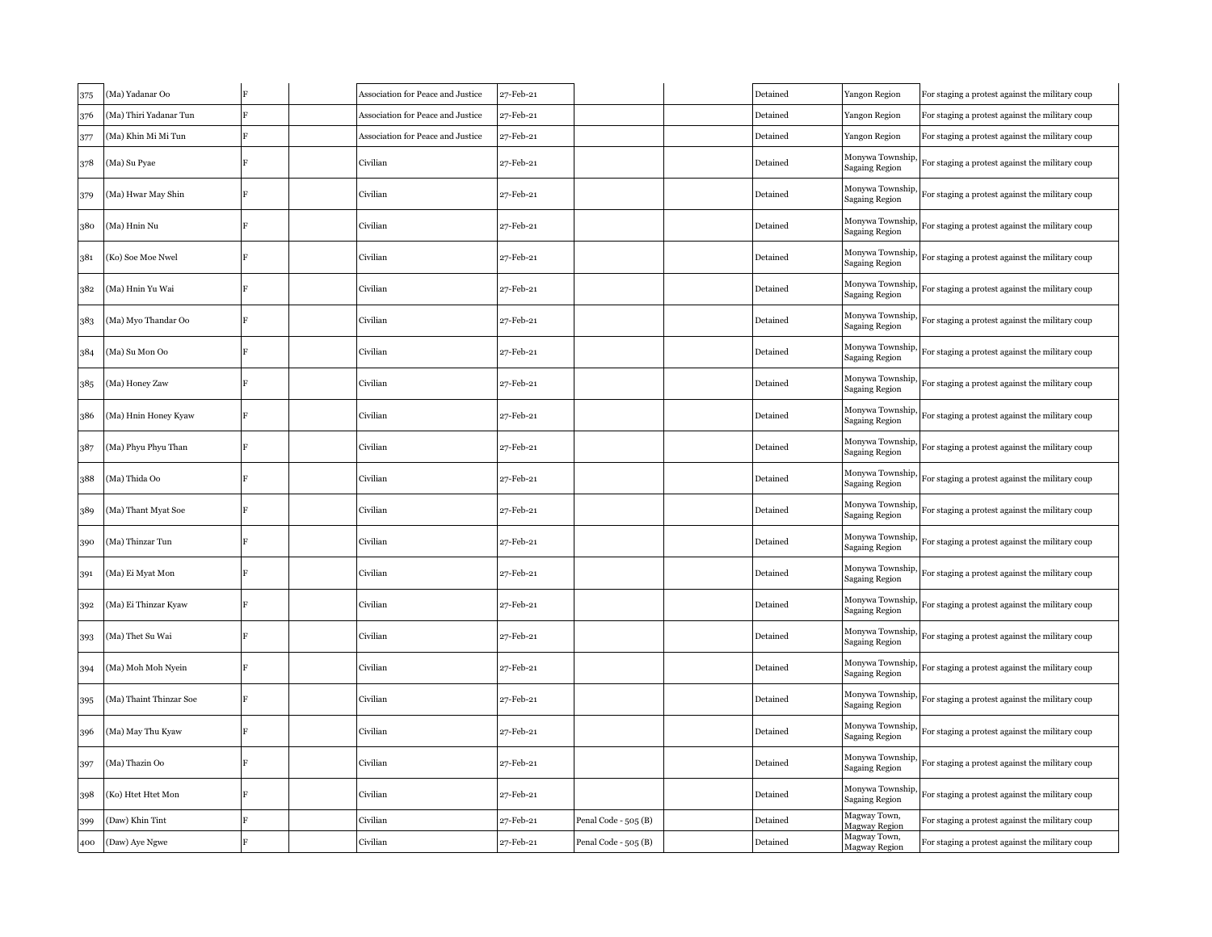| 375 | Ma) Yadanar Oo          |              | Association for Peace and Justice | 27-Feb-21 |                      | Detained | Yangon Region                             | For staging a protest against the military coup |
|-----|-------------------------|--------------|-----------------------------------|-----------|----------------------|----------|-------------------------------------------|-------------------------------------------------|
| 376 | (Ma) Thiri Yadanar Tun  | Ŀ.           | Association for Peace and Justice | 27-Feb-21 |                      | Detained | Yangon Region                             | For staging a protest against the military coup |
| 377 | (Ma) Khin Mi Mi Tun     | F            | Association for Peace and Justice | 27-Feb-21 |                      | Detained | Yangon Region                             | For staging a protest against the military coup |
| 378 | (Ma) Su Pyae            | R            | Civilian                          | 27-Feb-21 |                      | Detained | Monywa Township<br><b>Sagaing Region</b>  | For staging a protest against the military coup |
| 379 | (Ma) Hwar May Shin      |              | Civilian                          | 27-Feb-21 |                      | Detained | Monywa Township<br><b>Sagaing Region</b>  | For staging a protest against the military coup |
| 380 | (Ma) Hnin Nu            |              | Civilian                          | 27-Feb-21 |                      | Detained | Monywa Township<br><b>Sagaing Region</b>  | For staging a protest against the military coup |
| 381 | (Ko) Soe Moe Nwel       |              | Civilian                          | 27-Feb-21 |                      | Detained | Monywa Township<br><b>Sagaing Region</b>  | For staging a protest against the military coup |
| 382 | (Ma) Hnin Yu Wai        |              | Civilian                          | 27-Feb-21 |                      | Detained | Monywa Township<br><b>Sagaing Region</b>  | For staging a protest against the military coup |
| 383 | (Ma) Myo Thandar Oo     | F            | Civilian                          | 27-Feb-21 |                      | Detained | Monywa Township,<br><b>Sagaing Region</b> | For staging a protest against the military coup |
| 384 | (Ma) Su Mon Oo          | F            | Civilian                          | 27-Feb-21 |                      | Detained | Monywa Township<br><b>Sagaing Region</b>  | For staging a protest against the military coup |
| 385 | (Ma) Honey Zaw          |              | Civilian                          | 27-Feb-21 |                      | Detained | Monywa Township<br><b>Sagaing Region</b>  | For staging a protest against the military coup |
| 386 | (Ma) Hnin Honey Kyaw    | F            | Civilian                          | 27-Feb-21 |                      | Detained | Monywa Township<br><b>Sagaing Region</b>  | For staging a protest against the military coup |
| 387 | (Ma) Phyu Phyu Than     | F            | Civilian                          | 27-Feb-21 |                      | Detained | Monywa Township<br>Sagaing Region         | For staging a protest against the military coup |
| 388 | (Ma) Thida Oo           |              | Civilian                          | 27-Feb-21 |                      | Detained | Monywa Township<br><b>Sagaing Region</b>  | For staging a protest against the military coup |
| 389 | (Ma) Thant Myat Soe     | F            | Civilian                          | 27-Feb-21 |                      | Detained | Monywa Township<br><b>Sagaing Region</b>  | For staging a protest against the military coup |
| 390 | (Ma) Thinzar Tun        | F            | Civilian                          | 27-Feb-21 |                      | Detained | Monywa Township,<br><b>Sagaing Region</b> | For staging a protest against the military coup |
| 391 | (Ma) Ei Myat Mon        | F            | Civilian                          | 27-Feb-21 |                      | Detained | Monywa Township,<br><b>Sagaing Region</b> | For staging a protest against the military coup |
| 392 | (Ma) Ei Thinzar Kyaw    | $\mathbf{F}$ | Civilian                          | 27-Feb-21 |                      | Detained | Monywa Township,<br><b>Sagaing Region</b> | For staging a protest against the military coup |
| 393 | Ma) Thet Su Wai         |              | Civilian                          | 27-Feb-21 |                      | Detained | Monywa Township<br><b>Sagaing Region</b>  | For staging a protest against the military coup |
| 394 | (Ma) Moh Moh Nyein      |              | Civilian                          | 27-Feb-21 |                      | Detained | Monywa Township<br><b>Sagaing Region</b>  | For staging a protest against the military coup |
| 395 | (Ma) Thaint Thinzar Soe |              | Civilian                          | 27-Feb-21 |                      | Detained | Monywa Township<br><b>Sagaing Region</b>  | For staging a protest against the military coup |
| 396 | (Ma) May Thu Kyaw       |              | Civilian                          | 27-Feb-21 |                      | Detained | Monywa Township<br><b>Sagaing Region</b>  | For staging a protest against the military coup |
| 397 | Ma) Thazin Oo           | F            | Civilian                          | 27-Feb-21 |                      | Detained | Monywa Township<br><b>Sagaing Region</b>  | For staging a protest against the military coup |
| 398 | (Ko) Htet Htet Mon      |              | Civilian                          | 27-Feb-21 |                      | Detained | Monywa Township<br>Sagaing Region         | For staging a protest against the military coup |
| 399 | (Daw) Khin Tint         |              | Civilian                          | 27-Feb-21 | Penal Code - 505 (B) | Detained | Magway Town,<br><b>Magway Region</b>      | For staging a protest against the military coup |
| 400 | (Daw) Aye Ngwe          |              | Civilian                          | 27-Feb-21 | Penal Code - 505 (B) | Detained | Magway Town,<br>Magway Region             | For staging a protest against the military coup |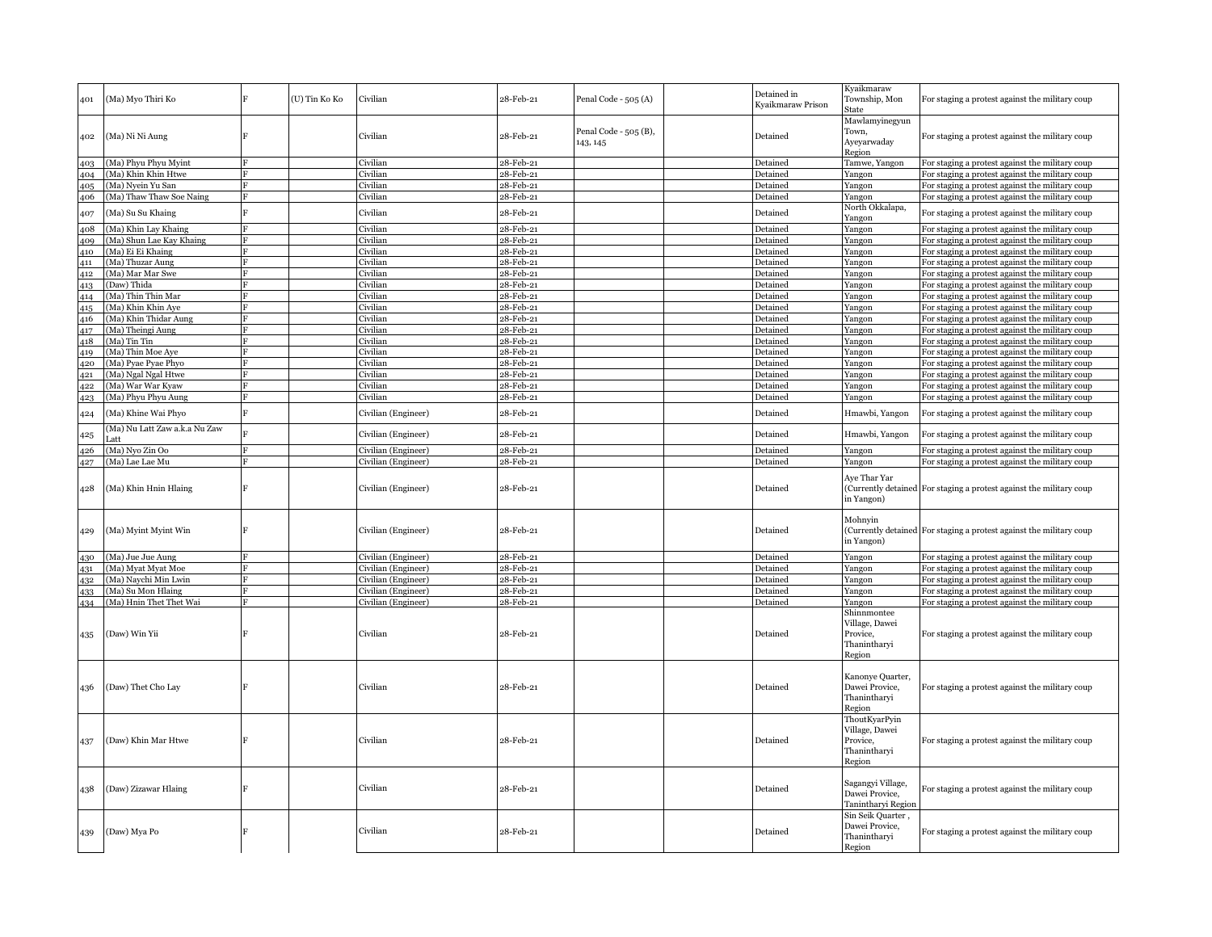| 401        | (Ma) Myo Thiri Ko                    |   | (U) Tin Ko Ko | Civilian            | 28-Feb-21 | Penal Code - 505 (A)              | Detained in<br>Kyaikmaraw Prison | Kyaikmaraw<br>Township, Mon<br>State                                  | For staging a protest against the military coup                     |
|------------|--------------------------------------|---|---------------|---------------------|-----------|-----------------------------------|----------------------------------|-----------------------------------------------------------------------|---------------------------------------------------------------------|
| 402        | (Ma) Ni Ni Aung                      |   |               | Civilian            | 28-Feb-21 | Penal Code - 505 (B),<br>143, 145 | Detained                         | Mawlamyinegyun<br>Town,<br>Ayeyarwaday<br>Region                      | For staging a protest against the military coup                     |
| 403        | Ma) Phyu Phyu Myint                  |   |               | Civilian            | 28-Feb-21 |                                   | Detained                         | Tamwe, Yangon                                                         | For staging a protest against the military coup                     |
| 404        | Ma) Khin Khin Htwe                   |   |               | Civilian            | 28-Feb-21 |                                   | Detained                         | Yangon                                                                | For staging a protest against the military coup                     |
| 405        | (Ma) Nyein Yu San                    |   |               | Civilian            | 28-Feb-21 |                                   | Detained                         | Yangon                                                                | For staging a protest against the military coup                     |
| 406        | (Ma) Thaw Thaw Soe Naing             |   |               | Civilian            | 28-Feb-21 |                                   | Detained                         | Yangon                                                                | For staging a protest against the military coup                     |
| 407        | (Ma) Su Su Khaing                    |   |               | Civilian            | 28-Feb-21 |                                   | Detained                         | North Okkalapa,<br>Yangon                                             | For staging a protest against the military coup                     |
| 408        | (Ma) Khin Lay Khaing                 |   |               | Civilian            | 28-Feb-21 |                                   | Detained                         | Yangon                                                                | For staging a protest against the military coup                     |
| 409        | (Ma) Shun Lae Kay Khaing             |   |               | Civilian            | 28-Feb-21 |                                   | Detained                         | Yangon                                                                | For staging a protest against the military coup                     |
| 410        | Ma) Ei Ei Khaing                     |   |               | Civilian            | 28-Feb-21 |                                   | Detained                         | Yangon                                                                | For staging a protest against the military coup                     |
| 411        | Ma) Thuzar Aung                      |   |               | Civilian            | 28-Feb-21 |                                   | Detained                         | Yangon                                                                | For staging a protest against the military coup                     |
| 412        | (Ma) Mar Mar Swe                     |   |               | Civilian            | 28-Feb-21 |                                   | Detained                         | Yangon                                                                | For staging a protest against the military coup                     |
| 413        | (Daw) Thida                          |   |               | Civilian            | 28-Feb-21 |                                   | Detained                         | Yangon                                                                | For staging a protest against the military coup                     |
| 414        | (Ma) Thin Thin Mar                   |   |               | Civilian            | 28-Feb-21 |                                   | Detained                         | Yangon                                                                | For staging a protest against the military coup                     |
| 415        | (Ma) Khin Khin Aye                   |   |               | Civilian            | 28-Feb-21 |                                   | Detained                         | Yangon                                                                | For staging a protest against the military coup                     |
|            | Ma) Khin Thidar Aung                 |   |               | Civilian            | 28-Feb-21 |                                   | Detained                         |                                                                       |                                                                     |
| 416<br>417 |                                      |   |               |                     |           |                                   | Detained                         | Yangon                                                                | For staging a protest against the military coup                     |
|            | (Ma) Theingi Aung                    |   |               | Civilian            | 28-Feb-21 |                                   |                                  | Yangon                                                                | For staging a protest against the military coup                     |
| 418        | (Ma) Tin Tin                         |   |               | Civilian            | 28-Feb-21 |                                   | Detained                         | Yangon                                                                | For staging a protest against the military coup                     |
| 419        | (Ma) Thin Moe Aye                    |   |               | Civilian            | 28-Feb-21 |                                   | Detained                         | Yangon                                                                | For staging a protest against the military coup                     |
| 420        | Ma) Pyae Pyae Phyo                   |   |               | Civilian            | 28-Feb-21 |                                   | Detained                         | Yangon                                                                | For staging a protest against the military coup                     |
| 421        | Ma) Ngal Ngal Htwe                   |   |               | Civilian            | 28-Feb-21 |                                   | Detained                         | Yangon                                                                | For staging a protest against the military coup                     |
| 422        | Ma) War War Kyaw                     |   |               | Civilian            | 28-Feb-21 |                                   | Detained                         | rangon                                                                | For staging a protest against the military coup                     |
| 423        | Ma) Phyu Phyu Aung                   |   |               | Civilian            | 28-Feb-21 |                                   | Detained                         | Yangon                                                                | For staging a protest against the military coup                     |
| 424        | (Ma) Khine Wai Phyo                  |   |               | Civilian (Engineer) | 28-Feb-21 |                                   | Detained                         | Hmawbi, Yangon                                                        | For staging a protest against the military coup                     |
| 425        | Ma) Nu Latt Zaw a.k.a Nu Zaw<br>att. |   |               | Civilian (Engineer) | 28-Feb-21 |                                   | Detained                         | Hmawbi, Yangon                                                        | For staging a protest against the military coup                     |
| 426        | (Ma) Nyo Zin Oo                      |   |               | Civilian (Engineer) | 28-Feb-21 |                                   | Detained                         | Yangon                                                                | For staging a protest against the military coup                     |
| 427        | (Ma) Lae Lae Mu                      |   |               | Civilian (Engineer) | 28-Feb-21 |                                   | Detained                         | Yangon                                                                | For staging a protest against the military coup                     |
| 428        | (Ma) Khin Hnin Hlaing                |   |               | Civilian (Engineer) | 28-Feb-21 |                                   | Detained                         | Aye Thar Yar<br>in Yangon)                                            | (Currently detained For staging a protest against the military coup |
| 429        | (Ma) Myint Myint Win                 |   |               | Civilian (Engineer) | 28-Feb-21 |                                   | Detained                         | Mohnyin<br>in Yangon)                                                 | (Currently detained For staging a protest against the military coup |
| 430        | Ma) Jue Jue Aung                     |   |               | Civilian (Engineer) | 28-Feb-21 |                                   | Detained                         | Yangon                                                                | For staging a protest against the military coup                     |
| 431        | (Ma) Myat Myat Moe                   |   |               | Civilian (Engineer) | 28-Feb-21 |                                   | Detained                         | Yangon                                                                | For staging a protest against the military coup                     |
| 432        | (Ma) Naychi Min Lwin                 |   |               | Civilian (Engineer) | 28-Feb-21 |                                   | Detained                         | Yangon                                                                | For staging a protest against the military coup                     |
| 433        | (Ma) Su Mon Hlaing                   |   |               | Civilian (Engineer) | 28-Feb-21 |                                   | Detained                         | Yangon                                                                | For staging a protest against the military coup                     |
| 434        | (Ma) Hnin Thet Thet Wai              | F |               | Civilian (Engineer) | 28-Feb-21 |                                   | Detained                         | Yangon                                                                | For staging a protest against the military coup                     |
| 435        | (Daw) Win Yii                        |   |               | Civilian            | 28-Feb-21 |                                   | Detained                         | Shinnmontee<br>Village, Dawei<br>Provice,<br>Thanintharyi<br>Region   | For staging a protest against the military coup                     |
| 436        | (Daw) Thet Cho Lay                   |   |               | Civilian            | 28-Feb-21 |                                   | Detained                         | Kanonye Quarter,<br>Dawei Provice,<br>Thanintharyi<br>Region          | For staging a protest against the military coup                     |
| 437        | (Daw) Khin Mar Htwe                  |   |               | Civilian            | 28-Feb-21 |                                   | Detained                         | ThoutKyarPyin<br>Village, Dawei<br>Provice,<br>Thanintharyi<br>Region | For staging a protest against the military coup                     |
| 438        | (Daw) Zizawar Hlaing                 |   |               | Civilian            | 28-Feb-21 |                                   | Detained                         | Sagangyi Village,<br>Dawei Provice,<br>Tanintharyi Region             | For staging a protest against the military coup                     |
| 439        | (Daw) Mya Po                         |   |               | Civilian            | 28-Feb-21 |                                   | Detained                         | Sin Seik Quarter,<br>Dawei Provice,<br>Thanintharvi<br>Region         | For staging a protest against the military coup                     |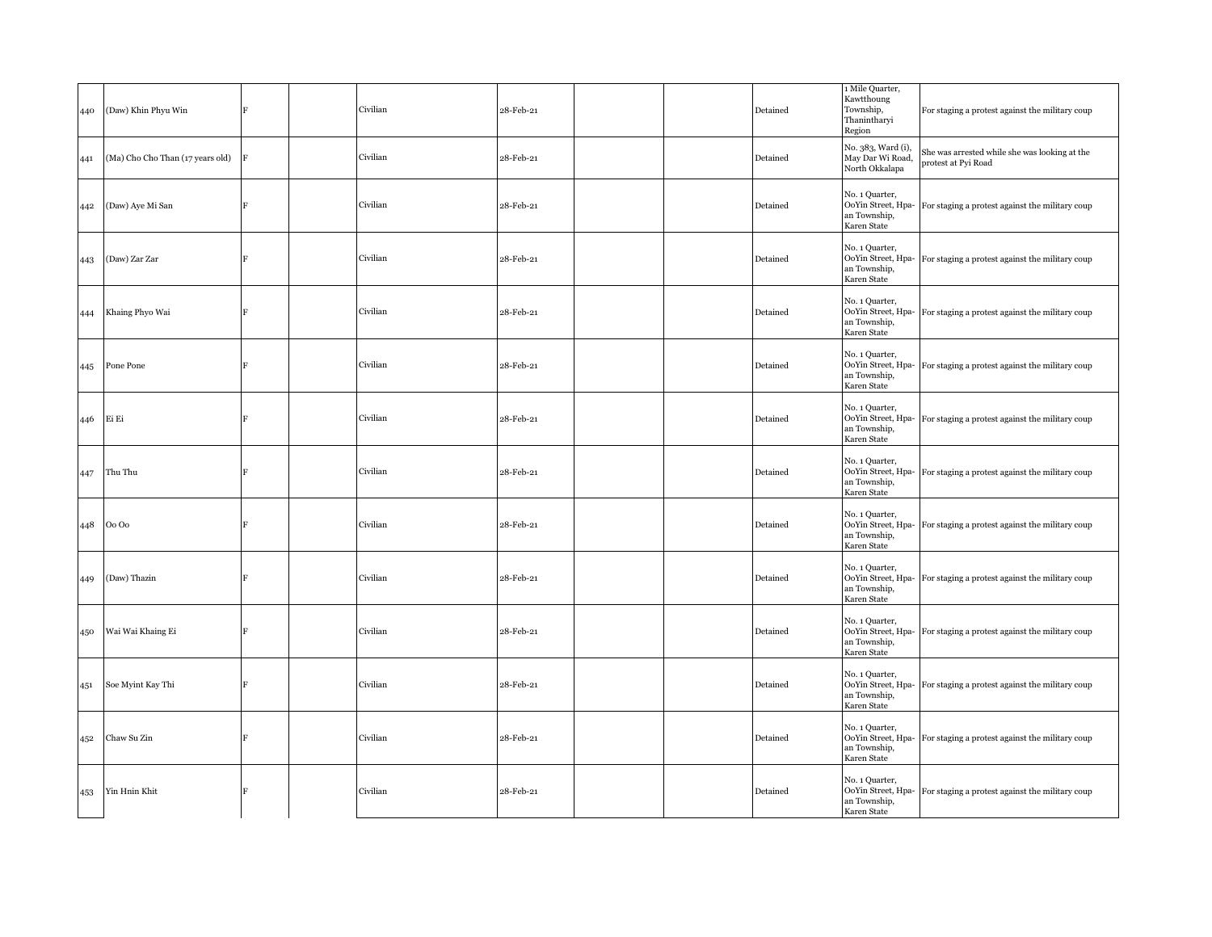| 440 | (Daw) Khin Phyu Win              |  | Civilian | 28-Feb-21 |  | Detained        | 1 Mile Quarter,<br>Kawtthoung<br>Township,<br>Thanintharyi<br>Region | For staging a protest against the military coup                      |
|-----|----------------------------------|--|----------|-----------|--|-----------------|----------------------------------------------------------------------|----------------------------------------------------------------------|
| 441 | (Ma) Cho Cho Than (17 years old) |  | Civilian | 28-Feb-21 |  | $\rm{Detained}$ | No. 383, Ward (i),<br>May Dar Wi Road,<br>North Okkalapa             | She was arrested while she was looking at the<br>protest at Pyi Road |
| 442 | (Daw) Aye Mi San                 |  | Civilian | 28-Feb-21 |  | Detained        | No. 1 Quarter,<br>an Township,<br>Karen State                        | OoYin Street, Hpa- For staging a protest against the military coup   |
| 443 | (Daw) Zar Zar                    |  | Civilian | 28-Feb-21 |  | Detained        | No. 1 Quarter,<br>an Township,<br>Karen State                        | OoYin Street, Hpa- For staging a protest against the military coup   |
| 444 | Khaing Phyo Wai                  |  | Civilian | 28-Feb-21 |  | Detained        | No. 1 Quarter,<br>an Township,<br>Karen State                        | OoYin Street, Hpa- For staging a protest against the military coup   |
| 445 | Pone Pone                        |  | Civilian | 28-Feb-21 |  | Detained        | No. 1 Quarter,<br>an Township,<br>Karen State                        | OoYin Street, Hpa- For staging a protest against the military coup   |
| 446 | Ei Ei                            |  | Civilian | 28-Feb-21 |  | Detained        | No. 1 Quarter,<br>an Township,<br>Karen State                        | OoYin Street, Hpa- For staging a protest against the military coup   |
| 447 | Thu Thu                          |  | Civilian | 28-Feb-21 |  | Detained        | No. 1 Quarter,<br>an Township,<br>Karen State                        | OoYin Street, Hpa- For staging a protest against the military coup   |
| 448 | Oo Oo                            |  | Civilian | 28-Feb-21 |  | Detained        | No. 1 Quarter,<br>an Township,<br>Karen State                        | OoYin Street, Hpa- For staging a protest against the military coup   |
| 449 | (Daw) Thazin                     |  | Civilian | 28-Feb-21 |  | Detained        | No. 1 Quarter,<br>an Township,<br>Karen State                        | OoYin Street, Hpa- For staging a protest against the military coup   |
| 450 | Wai Wai Khaing Ei                |  | Civilian | 28-Feb-21 |  | Detained        | No. 1 Quarter,<br>an Township,<br>Karen State                        | OoYin Street, Hpa- For staging a protest against the military coup   |
| 451 | Soe Myint Kay Thi                |  | Civilian | 28-Feb-21 |  | Detained        | No. 1 Quarter,<br>an Township,<br>Karen State                        | OoYin Street, Hpa- For staging a protest against the military coup   |
| 452 | Chaw Su Zin                      |  | Civilian | 28-Feb-21 |  | Detained        | No. 1 Quarter,<br>an Township,<br>Karen State                        | OoYin Street, Hpa- For staging a protest against the military coup   |
| 453 | Yin Hnin Khit                    |  | Civilian | 28-Feb-21 |  | Detained        | No. 1 Quarter,<br>an Township,<br>Karen State                        | OoYin Street, Hpa- For staging a protest against the military coup   |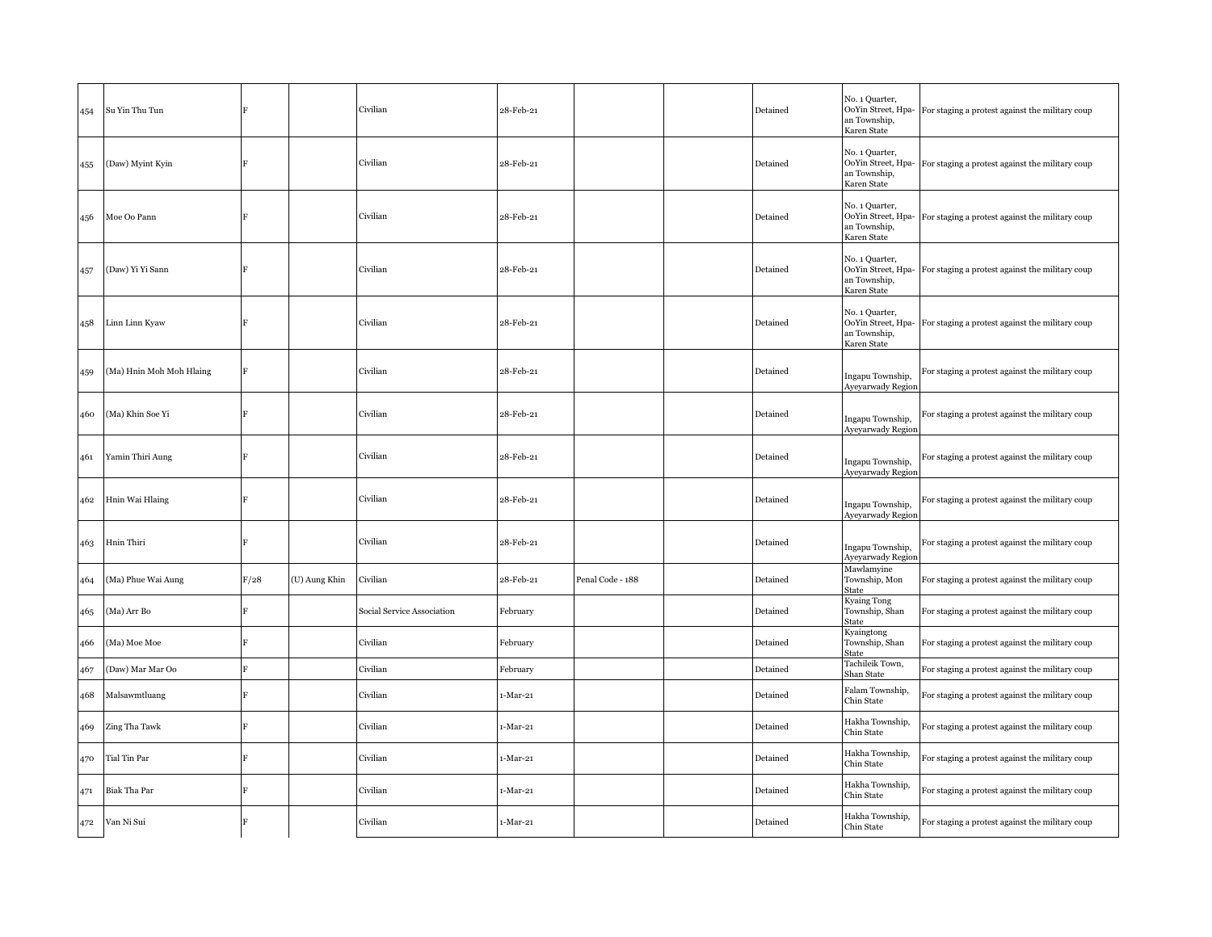| 454 | Su Yin Thu Tun           |      |               | Civilian                   | 28-Feb-21 |                  | Detained | No. 1 Quarter,<br>an Township,<br>Karen State                       | OoYin Street, Hpa-For staging a protest against the military coup |
|-----|--------------------------|------|---------------|----------------------------|-----------|------------------|----------|---------------------------------------------------------------------|-------------------------------------------------------------------|
| 455 | (Daw) Myint Kyin         |      |               | Civilian                   | 28-Feb-21 |                  | Detained | No. 1 Quarter,<br>OoYin Street, Hpa-<br>an Township,<br>Karen State | For staging a protest against the military coup                   |
| 456 | Moe Oo Pann              |      |               | Civilian                   | 28-Feb-21 |                  | Detained | No. 1 Quarter,<br>OoYin Street, Hpa-<br>an Township,<br>Karen State | For staging a protest against the military coup                   |
| 457 | (Daw) Yi Yi Sann         |      |               | Civilian                   | 28-Feb-21 |                  | Detained | No. 1 Quarter,<br>OoYin Street, Hpa-<br>an Township,<br>Karen State | For staging a protest against the military coup                   |
| 458 | Linn Linn Kyaw           |      |               | Civilian                   | 28-Feb-21 |                  | Detained | No. 1 Quarter,<br>OoYin Street, Hpa-<br>an Township,<br>Karen State | For staging a protest against the military coup                   |
| 459 | (Ma) Hnin Moh Moh Hlaing |      |               | Civilian                   | 28-Feb-21 |                  | Detained | Ingapu Township,<br>Ayeyarwady Region                               | For staging a protest against the military coup                   |
| 460 | (Ma) Khin Soe Yi         |      |               | Civilian                   | 28-Feb-21 |                  | Detained | Ingapu Township,<br>Ayeyarwady Region                               | For staging a protest against the military coup                   |
| 461 | Yamin Thiri Aung         |      |               | Civilian                   | 28-Feb-21 |                  | Detained | Ingapu Township,<br><b>Ayeyarwady Region</b>                        | For staging a protest against the military coup                   |
| 462 | Hnin Wai Hlaing          |      |               | Civilian                   | 28-Feb-21 |                  | Detained | Ingapu Township,<br>Ayeyarwady Region                               | For staging a protest against the military coup                   |
| 463 | Hnin Thiri               |      |               | Civilian                   | 28-Feb-21 |                  | Detained | Ingapu Township,<br><b>Ayeyarwady Region</b>                        | For staging a protest against the military coup                   |
| 464 | (Ma) Phue Wai Aung       | F/28 | (U) Aung Khin | Civilian                   | 28-Feb-21 | Penal Code - 188 | Detained | Mawlamyine<br>Township, Mon<br>State                                | For staging a protest against the military coup                   |
| 465 | (Ma) Arr Bo              |      |               | Social Service Association | February  |                  | Detained | Kyaing Tong<br>Township, Shan<br>State                              | For staging a protest against the military coup                   |
| 466 | (Ma) Moe Moe             |      |               | Civilian                   | February  |                  | Detained | Kyaingtong<br>Township, Shan<br>State                               | For staging a protest against the military coup                   |
| 467 | (Daw) Mar Mar Oo         | Е.   |               | Civilian                   | February  |                  | Detained | Tachileik Town,<br>Shan State                                       | For staging a protest against the military coup                   |
| 468 | Malsawmtluang            |      |               | Civilian                   | -Mar-21   |                  | Detained | Falam Township,<br>Chin State                                       | For staging a protest against the military coup                   |
| 469 | Zing Tha Tawk            |      |               | Civilian                   | -Mar-21   |                  | Detained | Hakha Township,<br>Chin State                                       | For staging a protest against the military coup                   |
| 470 | Tial Tin Par             |      |               | Civilian                   | -Mar-21   |                  | Detained | Hakha Township,<br>Chin State                                       | For staging a protest against the military coup                   |
| 471 | Biak Tha Par             |      |               | Civilian                   | $-Mar-21$ |                  | Detained | Hakha Township,<br>Chin State                                       | For staging a protest against the military coup                   |
| 472 | Van Ni Sui               |      |               | Civilian                   | ı-Mar-21  |                  | Detained | Hakha Township,<br>Chin State                                       | For staging a protest against the military coup                   |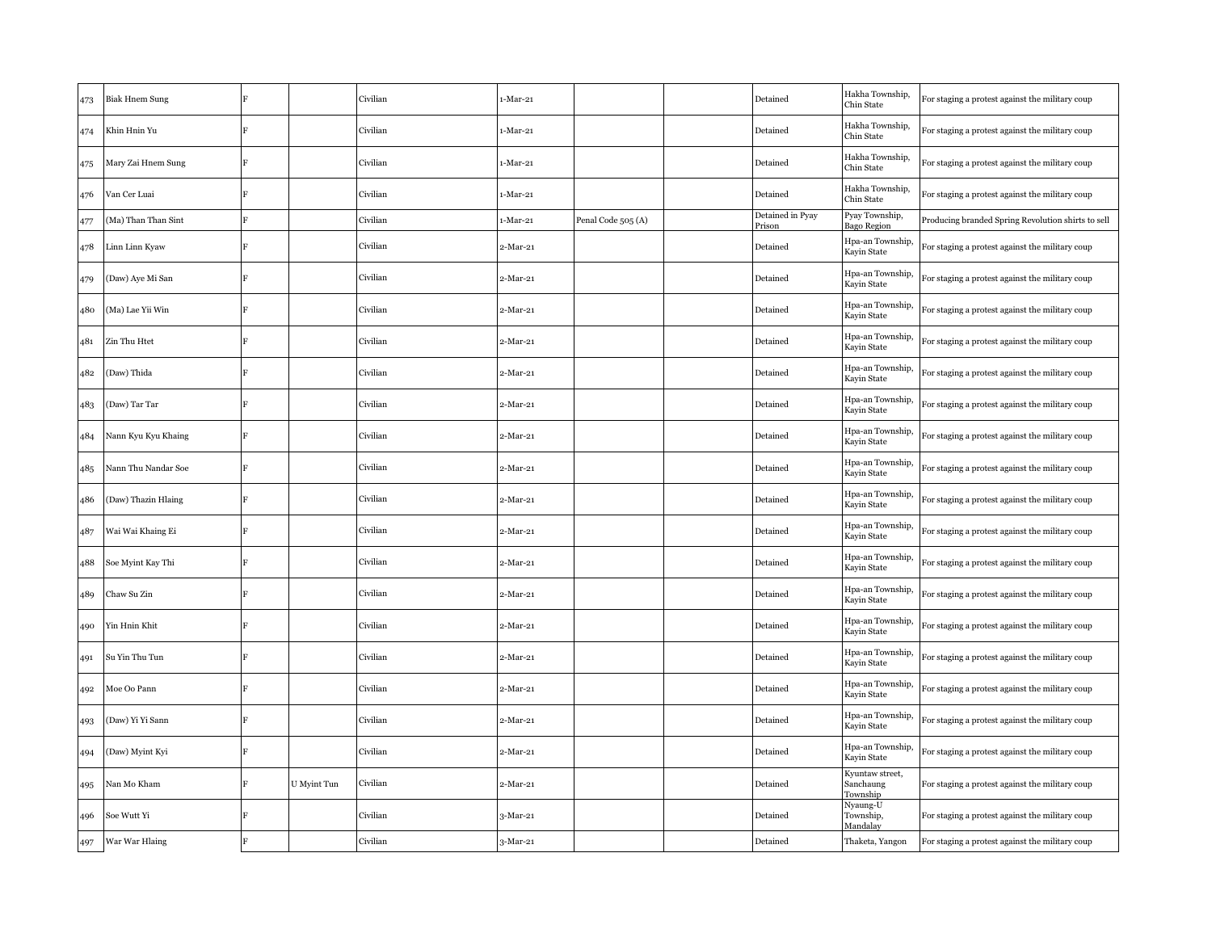| 473 | <b>Biak Hnem Sung</b> |             | Civilian | ı-Mar-21   |                    | Detained                   | Hakha Township,<br>Chin State            | For staging a protest against the military coup    |
|-----|-----------------------|-------------|----------|------------|--------------------|----------------------------|------------------------------------------|----------------------------------------------------|
| 474 | Khin Hnin Yu          |             | Civilian | -Mar-21    |                    | Detained                   | Hakha Township,<br>Chin State            | For staging a protest against the military coup    |
| 475 | Mary Zai Hnem Sung    |             | Civilian | $-Mar-21$  |                    | Detained                   | Hakha Township,<br>Chin State            | For staging a protest against the military coup    |
| 476 | Van Cer Luai          |             | Civilian | $-Mar-21$  |                    | Detained                   | Hakha Township,<br>Chin State            | For staging a protest against the military coup    |
| 477 | Ma) Than Than Sint    |             | Civilian | -Mar-21    | Penal Code 505 (A) | Detained in Pyay<br>Prison | Pyay Township,<br>Bago Region            | Producing branded Spring Revolution shirts to sell |
| 478 | Linn Linn Kyaw        |             | Civilian | 2-Mar-21   |                    | Detained                   | Hpa-an Township,<br>Kayin State          | For staging a protest against the military coup    |
| 479 | (Daw) Aye Mi San      |             | Civilian | 2-Mar-21   |                    | Detained                   | Hpa-an Township,<br>Kayin State          | For staging a protest against the military coup    |
| 480 | Ma) Lae Yii Win       |             | Civilian | 2-Mar-21   |                    | Detained                   | Hpa-an Township,<br>Kayin State          | For staging a protest against the military coup    |
| 481 | Zin Thu Htet          |             | Civilian | 2-Mar-21   |                    | Detained                   | Hpa-an Township,<br>Kavin State          | For staging a protest against the military coup    |
| 482 | (Daw) Thida           |             | Civilian | 2-Mar-21   |                    | Detained                   | Hpa-an Township,<br>Kayin State          | For staging a protest against the military coup    |
| 483 | [Daw) Tar Tar         |             | Civilian | 2-Mar-21   |                    | Detained                   | Hpa-an Township,<br>Kayin State          | For staging a protest against the military coup    |
| 484 | Nann Kyu Kyu Khaing   |             | Civilian | 2-Mar-21   |                    | Detained                   | Hpa-an Township,<br>Kayin State          | For staging a protest against the military coup    |
| 485 | Nann Thu Nandar Soe   |             | Civilian | 2-Mar-21   |                    | Detained                   | Hpa-an Township,<br>Kayin State          | For staging a protest against the military coup    |
| 486 | Daw) Thazin Hlaing    |             | Civilian | 2-Mar-21   |                    | Detained                   | Hpa-an Township,<br>Kayin State          | For staging a protest against the military coup    |
| 487 | Wai Wai Khaing Ei     |             | Civilian | 2-Mar-21   |                    | Detained                   | Hpa-an Township,<br>Kayin State          | For staging a protest against the military coup    |
| 488 | Soe Myint Kay Thi     |             | Civilian | 2-Mar-21   |                    | Detained                   | Hpa-an Township,<br>Kayin State          | For staging a protest against the military coup    |
| 489 | Chaw Su Zin           |             | Civilian | 2-Mar-21   |                    | Detained                   | Hpa-an Township,<br>Kayin State          | For staging a protest against the military coup    |
| 490 | Yin Hnin Khit         |             | Civilian | 2-Mar-21   |                    | Detained                   | Hpa-an Township,<br>Kayin State          | For staging a protest against the military coup    |
| 491 | Su Yin Thu Tun        |             | Civilian | 2-Mar-21   |                    | Detained                   | Hpa-an Township,<br>Kayin State          | For staging a protest against the military coup    |
| 492 | Moe Oo Pann           |             | Civilian | 2-Mar-21   |                    | Detained                   | Hpa-an Township,<br>Kayin State          | For staging a protest against the military coup    |
| 493 | Daw) Yi Yi Sann       |             | Civilian | 2-Mar-21   |                    | Detained                   | Hpa-an Township,<br>Kavin State          | For staging a protest against the military coup    |
| 494 | (Daw) Myint Kyi       |             | Civilian | 2-Mar-21   |                    | Detained                   | Hpa-an Township,<br>Kayin State          | For staging a protest against the military coup    |
| 495 | Nan Mo Kham           | U Myint Tun | Civilian | 2-Mar-21   |                    | Detained                   | Kyuntaw street,<br>Sanchaung<br>Township | For staging a protest against the military coup    |
| 496 | Soe Wutt Yi           |             | Civilian | $3-Mar-21$ |                    | Detained                   | Nyaung-U<br>Township,<br>Mandalay        | For staging a protest against the military coup    |
| 497 | War War Hlaing        |             | Civilian | $3-Mar-21$ |                    | Detained                   | Thaketa, Yangon                          | For staging a protest against the military coup    |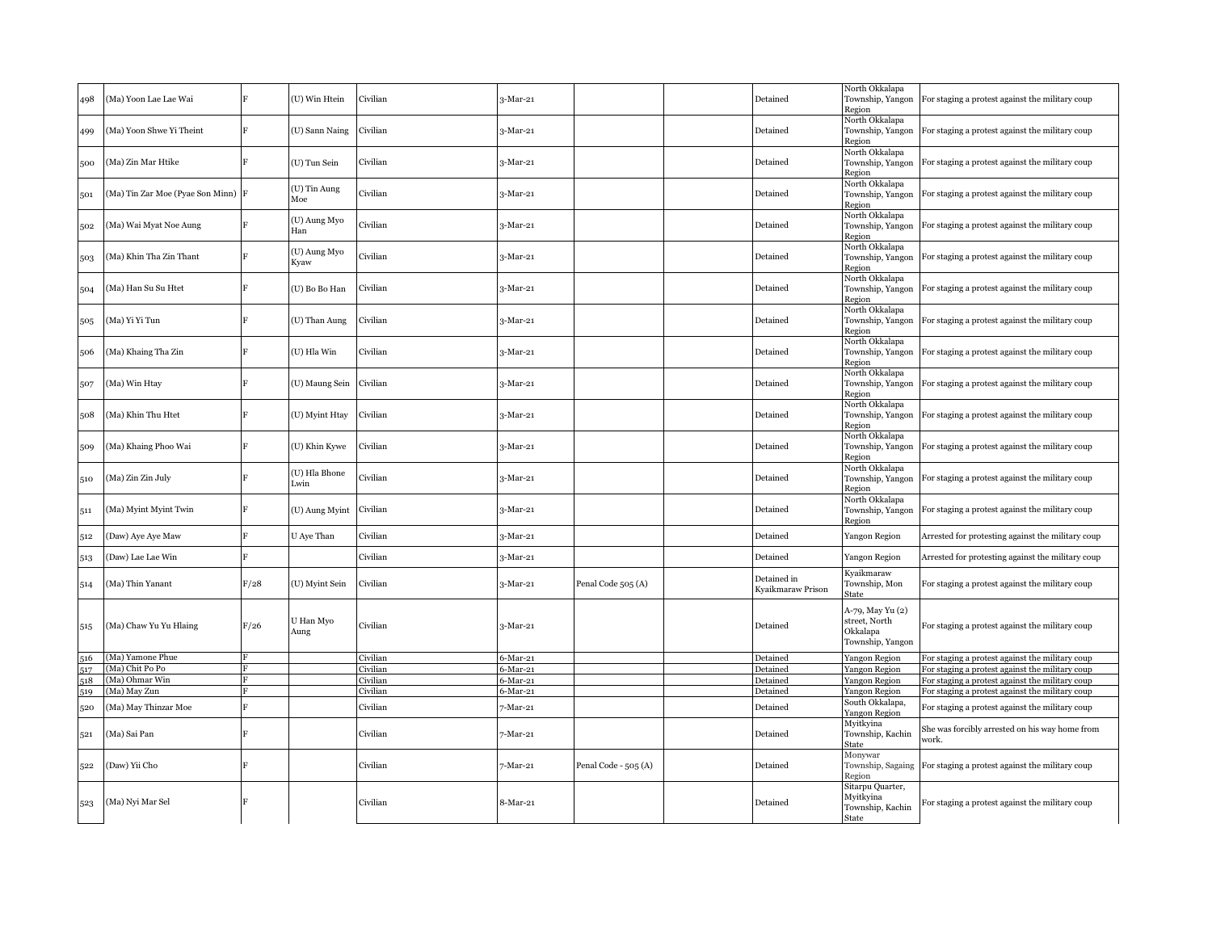| 498 | (Ma) Yoon Lae Lae Wai              |      | (U) Win Htein         | Civilian | 3-Mar-21   |                      | Detained                         | North Okkalapa<br>Region                                          | Township, Yangon For staging a protest against the military coup  |
|-----|------------------------------------|------|-----------------------|----------|------------|----------------------|----------------------------------|-------------------------------------------------------------------|-------------------------------------------------------------------|
| 499 | (Ma) Yoon Shwe Yi Theint           |      | (U) Sann Naing        | Civilian | 3-Mar-21   |                      | Detained                         | North Okkalapa<br>Township, Yangon<br>Region                      | For staging a protest against the military coup                   |
| 500 | (Ma) Zin Mar Htike                 |      | (U) Tun Sein          | Civilian | 3-Mar-21   |                      | Detained                         | North Okkalapa<br>Township, Yangon<br>Region                      | For staging a protest against the military coup                   |
| 501 | (Ma) Tin Zar Moe (Pyae Son Minn) F |      | (U) Tin Aung<br>Moe   | Civilian | 3-Mar-21   |                      | Detained                         | North Okkalapa<br>Township, Yangon<br>Region                      | For staging a protest against the military coup                   |
| 502 | (Ma) Wai Myat Noe Aung             |      | (U) Aung Myo<br>Han   | Civilian | 3-Mar-21   |                      | Detained                         | North Okkalapa<br>Township, Yangon<br>Region                      | For staging a protest against the military coup                   |
| 503 | (Ma) Khin Tha Zin Thant            |      | (U) Aung Myo<br>Kyaw  | Civilian | 3-Mar-21   |                      | Detained                         | North Okkalapa<br>Township, Yangon<br>Region                      | For staging a protest against the military coup                   |
| 504 | (Ma) Han Su Su Htet                |      | (U) Bo Bo Han         | Civilian | 3-Mar-21   |                      | Detained                         | North Okkalapa<br>Township, Yangon<br>Region                      | For staging a protest against the military coup                   |
| 505 | (Ma) Yi Yi Tun                     |      | (U) Than Aung         | Civilian | 3-Mar-21   |                      | Detained                         | North Okkalapa<br>Township, Yangon<br>Region                      | For staging a protest against the military coup                   |
| 506 | (Ma) Khaing Tha Zin                |      | (U) Hla Win           | Civilian | 3-Mar-21   |                      | Detained                         | North Okkalapa<br>Township, Yangon<br>Region                      | For staging a protest against the military coup                   |
| 507 | (Ma) Win Htay                      |      | (U) Maung Sein        | Civilian | 3-Mar-21   |                      | Detained                         | North Okkalapa<br>Township, Yangon<br>Region                      | For staging a protest against the military coup                   |
| 508 | (Ma) Khin Thu Htet                 |      | (U) Myint Htay        | Civilian | 3-Mar-21   |                      | Detained                         | North Okkalapa<br>Township, Yangon<br>Region                      | For staging a protest against the military coup                   |
| 509 | (Ma) Khaing Phoo Wai               |      | (U) Khin Kywe         | Civilian | 3-Mar-21   |                      | Detained                         | North Okkalapa<br>Township, Yangon<br>Region                      | For staging a protest against the military coup                   |
| 510 | (Ma) Zin Zin July                  |      | (U) Hla Bhone<br>Lwin | Civilian | 3-Mar-21   |                      | Detained                         | North Okkalapa<br>Township, Yangon<br>Region                      | For staging a protest against the military coup                   |
| 511 | (Ma) Myint Myint Twin              |      | (U) Aung Myint        | Civilian | 3-Mar-21   |                      | Detained                         | North Okkalapa<br>Township, Yangon<br>Region                      | For staging a protest against the military coup                   |
| 512 | (Daw) Aye Aye Maw                  |      | U Aye Than            | Civilian | $3-Mar-21$ |                      | Detained                         | Yangon Region                                                     | Arrested for protesting against the military coup                 |
| 513 | (Daw) Lae Lae Win                  |      |                       | Civilian | $3-Mar-21$ |                      | Detained                         | Yangon Region                                                     | Arrested for protesting against the military coup                 |
| 514 | (Ma) Thin Yanant                   | F/28 | (U) Myint Sein        | Civilian | 3-Mar-21   | Penal Code 505 (A)   | Detained in<br>Kyaikmaraw Prison | Kyaikmaraw<br>Township, Mon<br>State                              | For staging a protest against the military coup                   |
| 515 | (Ma) Chaw Yu Yu Hlaing             | F/26 | U Han Myo<br>Aung     | Civilian | 3-Mar-21   |                      | Detained                         | A-79, May Yu (2)<br>street, North<br>Okkalapa<br>Township, Yangon | For staging a protest against the military coup                   |
| 516 | (Ma) Yamone Phue                   |      |                       | Civilian | $6-Mar-21$ |                      | Detained                         | Yangon Region                                                     | For staging a protest against the military coup                   |
| 517 | Ma) Chit Po Po                     |      |                       | Civilian | $5-Mar-21$ |                      | Detained                         | Yangon Region                                                     | For staging a protest against the military coup                   |
| 518 | (Ma) Ohmar Win                     |      |                       | Civilian | $6-Mar-21$ |                      | Detained                         | Yangon Region                                                     | For staging a protest against the military coup                   |
| 519 | (Ma) May Zun                       |      |                       | Civilian | 6-Mar-21   |                      | Detained                         | Yangon Region                                                     | For staging a protest against the military coup                   |
| 520 | (Ma) May Thinzar Moe               |      |                       | Civilian | 7-Mar-21   |                      | Detained                         | South Okkalapa<br>Yangon Region                                   | For staging a protest against the military coup                   |
| 521 | (Ma) Sai Pan                       |      |                       | Civilian | 7-Mar-21   |                      | Detained                         | Myitkyina<br>Township, Kachin<br>State                            | She was forcibly arrested on his way home from<br>work.           |
| 522 | (Daw) Yii Cho                      |      |                       | Civilian | -Mar-21    | Penal Code - 505 (A) | Detained                         | Monywar<br>Region                                                 | Township, Sagaing For staging a protest against the military coup |
| 523 | (Ma) Nyi Mar Sel                   |      |                       | Civilian | 8-Mar-21   |                      | Detained                         | Sitarpu Quarter,<br>Myitkyina<br>Township, Kachin<br>State        | For staging a protest against the military coup                   |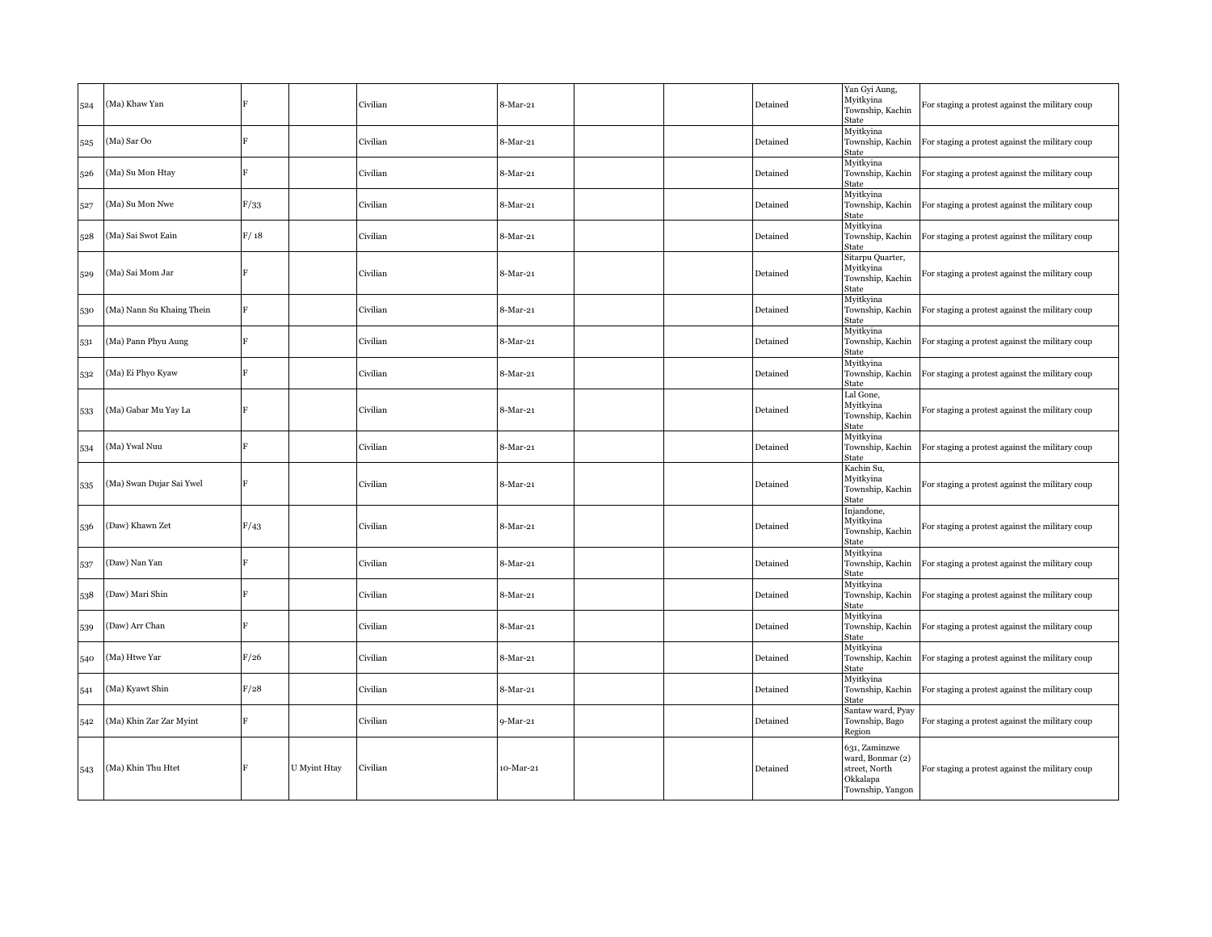| 524 | (Ma) Khaw Yan             |      |              | Civilian | 8-Mar-21   |  | Detained | Yan Gyi Aung,<br>Myitkyina<br>Township, Kachin<br>State                            | For staging a protest against the military coup |
|-----|---------------------------|------|--------------|----------|------------|--|----------|------------------------------------------------------------------------------------|-------------------------------------------------|
| 525 | (Ma) Sar Oo               |      |              | Civilian | 8-Mar-21   |  | Detained | Myitkyina<br>Township, Kachin<br>State                                             | For staging a protest against the military coup |
| 526 | (Ma) Su Mon Htay          | Е.   |              | Civilian | 8-Mar-21   |  | Detained | Myitkyina<br>Township, Kachin<br>State                                             | For staging a protest against the military coup |
| 527 | (Ma) Su Mon Nwe           | F/33 |              | Civilian | 8-Mar-21   |  | Detained | Myitkyina<br>Township, Kachin<br>State                                             | For staging a protest against the military coup |
| 528 | (Ma) Sai Swot Eain        | F/18 |              | Civilian | 8-Mar-21   |  | Detained | Myitkyina<br>Township, Kachin<br>State                                             | For staging a protest against the military coup |
| 529 | (Ma) Sai Mom Jar          |      |              | Civilian | 8-Mar-21   |  | Detained | Sitarpu Quarter,<br>Myitkyina<br>Township, Kachin<br>State                         | For staging a protest against the military coup |
| 530 | (Ma) Nann Su Khaing Thein | F    |              | Civilian | 8-Mar-21   |  | Detained | Myitkyina<br>Township, Kachin<br>State                                             | For staging a protest against the military coup |
| 531 | (Ma) Pann Phyu Aung       | F.   |              | Civilian | 8-Mar-21   |  | Detained | Myitkyina<br>Township, Kachin<br>State                                             | For staging a protest against the military coup |
| 532 | (Ma) Ei Phyo Kyaw         | F.   |              | Civilian | 8-Mar-21   |  | Detained | Myitkyina<br>Township, Kachin<br>State                                             | For staging a protest against the military coup |
| 533 | (Ma) Gabar Mu Yay La      | F.   |              | Civilian | 8-Mar-21   |  | Detained | Lal Gone,<br>Myitkyina<br>Township, Kachin<br>State                                | For staging a protest against the military coup |
| 534 | (Ma) Ywal Nuu             |      |              | Civilian | 8-Mar-21   |  | Detained | Myitkyina<br>Township, Kachin<br>State                                             | For staging a protest against the military coup |
| 535 | (Ma) Swan Dujar Sai Ywel  | R.   |              | Civilian | 8-Mar-21   |  | Detained | Kachin Su,<br>Myitkyina<br>Township, Kachin<br>State                               | For staging a protest against the military coup |
| 536 | (Daw) Khawn Zet           | F/43 |              | Civilian | 8-Mar-21   |  | Detained | Injandone,<br>Myitkyina<br>Township, Kachin<br>State                               | For staging a protest against the military coup |
| 537 | Daw) Nan Yan              |      |              | Civilian | 8-Mar-21   |  | Detained | Myitkyina<br>Township, Kachin<br>State                                             | For staging a protest against the military coup |
| 538 | (Daw) Mari Shin           |      |              | Civilian | 8-Mar-21   |  | Detained | Myitkyina<br>Township, Kachin<br>State                                             | For staging a protest against the military coup |
| 539 | (Daw) Arr Chan            |      |              | Civilian | 8-Mar-21   |  | Detained | Mvitkyina<br>Township, Kachin<br>State                                             | For staging a protest against the military coup |
| 540 | (Ma) Htwe Yar             | F/26 |              | Civilian | 8-Mar-21   |  | Detained | Myitkyina<br>Township, Kachin<br>State                                             | For staging a protest against the military coup |
| 541 | (Ma) Kyawt Shin           | F/28 |              | Civilian | 8-Mar-21   |  | Detained | Myitkyina<br>Township, Kachin<br>State                                             | For staging a protest against the military coup |
| 542 | (Ma) Khin Zar Zar Myint   | F    |              | Civilian | $9-Mar-21$ |  | Detained | Santaw ward, Pyay<br>Township, Bago<br>Region                                      | For staging a protest against the military coup |
| 543 | (Ma) Khin Thu Htet        | F    | U Myint Htay | Civilian | 10-Mar-21  |  | Detained | 631, Zaminzwe<br>ward, Bonmar (2)<br>street, North<br>Okkalapa<br>Township, Yangon | For staging a protest against the military coup |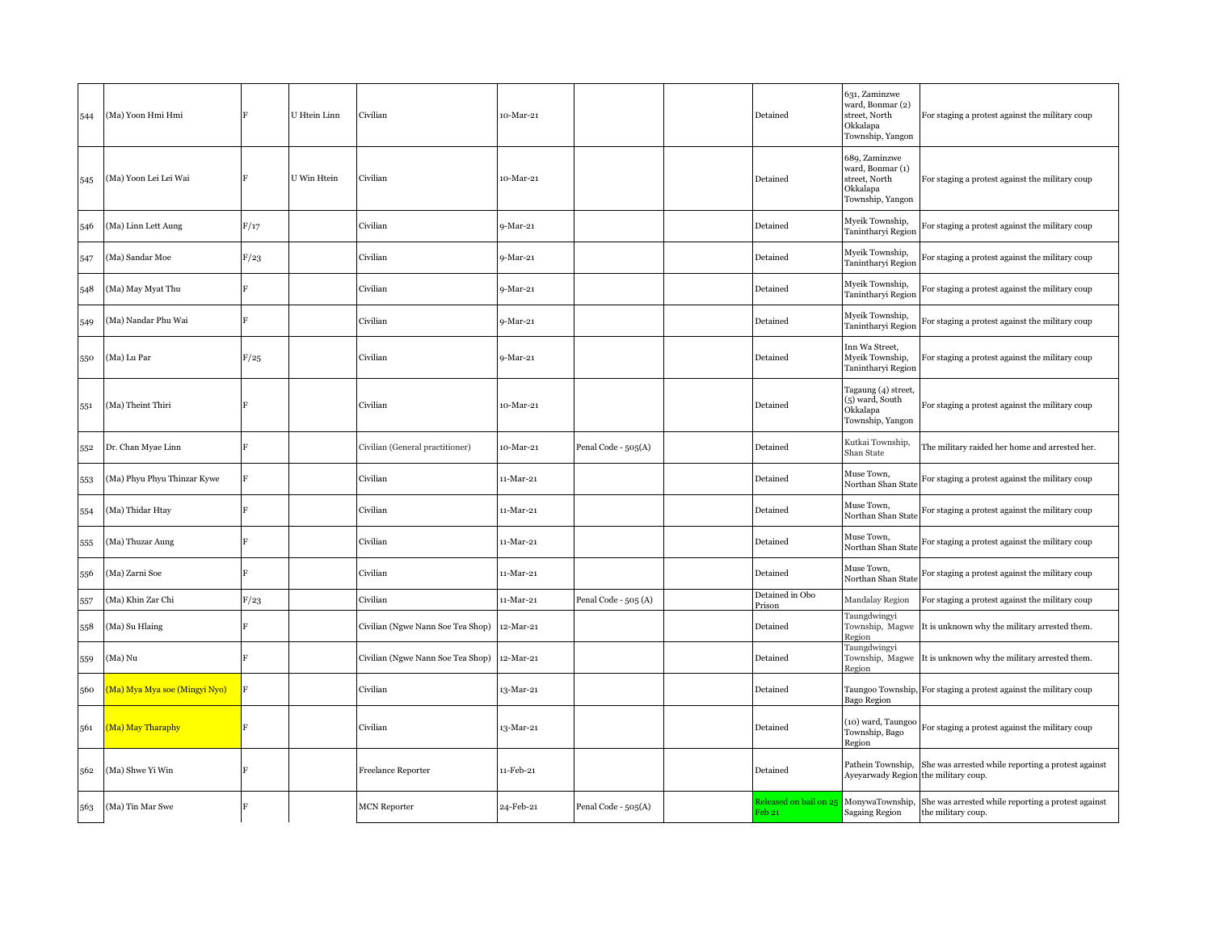| 544 | (Ma) Yoon Hmi Hmi            |            | U Htein Linn | Civilian                          | 10-Mar-21  |                      | Detained                  | 631, Zaminzwe<br>ward, Bonmar (2)<br>street, North<br>Okkalapa<br>Township, Yangon | For staging a protest against the military coup                                                                 |
|-----|------------------------------|------------|--------------|-----------------------------------|------------|----------------------|---------------------------|------------------------------------------------------------------------------------|-----------------------------------------------------------------------------------------------------------------|
| 545 | (Ma) Yoon Lei Lei Wai        |            | U Win Htein  | Civilian                          | 10-Mar-21  |                      | Detained                  | 689, Zaminzwe<br>ward, Bonmar (1)<br>street, North<br>Okkalapa<br>Township, Yangon | For staging a protest against the military coup                                                                 |
| 546 | (Ma) Linn Lett Aung          | F/17       |              | Civilian                          | $9-Mar-21$ |                      | Detained                  | Myeik Township,<br>Tanintharyi Region                                              | For staging a protest against the military coup                                                                 |
| 547 | (Ma) Sandar Moe              | F/23       |              | Civilian                          | 9-Mar-21   |                      | Detained                  | Myeik Township,<br>Tanintharyi Region                                              | For staging a protest against the military coup                                                                 |
| 548 | (Ma) May Myat Thu            |            |              | Civilian                          | 9-Mar-21   |                      | Detained                  | Myeik Township,<br>Tanintharyi Region                                              | For staging a protest against the military coup                                                                 |
| 549 | (Ma) Nandar Phu Wai          |            |              | Civilian                          | 9-Mar-21   |                      | Detained                  | Myeik Township,<br>Tanintharyi Region                                              | For staging a protest against the military coup                                                                 |
| 550 | (Ma) Lu Par                  | $\rm F/25$ |              | Civilian                          | $9-Mar-21$ |                      | Detained                  | Inn Wa Street,<br>Myeik Township,<br>Tanintharyi Regior                            | For staging a protest against the military coup                                                                 |
| 551 | (Ma) Theint Thiri            |            |              | Civilian                          | 10-Mar-21  |                      | Detained                  | Tagaung (4) street,<br>(5) ward, South<br>Okkalapa<br>Township, Yangon             | For staging a protest against the military coup                                                                 |
| 552 | Dr. Chan Myae Linn           |            |              | Civilian (General practitioner)   | 10-Mar-21  | Penal Code - 505(A)  | Detained                  | Kutkai Township,<br>Shan State                                                     | The military raided her home and arrested her.                                                                  |
| 553 | (Ma) Phyu Phyu Thinzar Kywe  |            |              | Civilian                          | 11-Mar-21  |                      | Detained                  | Muse Town,<br>Northan Shan State                                                   | For staging a protest against the military coup                                                                 |
| 554 | (Ma) Thidar Htay             |            |              | Civilian                          | 11-Mar-21  |                      | Detained                  | Muse Town,<br>Northan Shan State                                                   | For staging a protest against the military coup                                                                 |
| 555 | (Ma) Thuzar Aung             |            |              | Civilian                          | 11-Mar-21  |                      | Detained                  | Muse Town,<br>Northan Shan State                                                   | For staging a protest against the military coup                                                                 |
| 556 | (Ma) Zarni Soe               |            |              | Civilian                          | 11-Mar-21  |                      | Detained                  | Muse Town,<br>Northan Shan State                                                   | For staging a protest against the military coup                                                                 |
| 557 | (Ma) Khin Zar Chi            | F/23       |              | Civilian                          | 11-Mar-21  | Penal Code - 505 (A) | Detained in Obo<br>Prison | Mandalay Region                                                                    | For staging a protest against the military coup                                                                 |
| 558 | (Ma) Su Hlaing               |            |              | Civilian (Ngwe Nann Soe Tea Shop) | 12-Mar-21  |                      | Detained                  | Taungdwingyi<br>Township, Magwe<br>Region                                          | It is unknown why the military arrested them.                                                                   |
| 559 | (Ma) Nu                      |            |              | Civilian (Ngwe Nann Soe Tea Shop) | 12-Mar-21  |                      | Detained                  | Taungdwingyi<br>Region                                                             | Township, Magwe It is unknown why the military arrested them.                                                   |
| 560 | Ma) Mya Mya soe (Mingyi Nyo) |            |              | Civilian                          | 13-Mar-21  |                      | Detained                  | <b>Bago Region</b>                                                                 | Taungoo Township, For staging a protest against the military coup                                               |
| 561 | Ma) May Tharaphy             |            |              | Civilian                          | 13-Mar-21  |                      | Detained                  | (10) ward, Taungoo<br>Township, Bago<br>Region                                     | For staging a protest against the military coup                                                                 |
| 562 | (Ma) Shwe Yi Win             |            |              | <b>Freelance Reporter</b>         | 11-Feb-21  |                      | Detained                  | Ayeyarwady Region the military coup.                                               | Pathein Township, She was arrested while reporting a protest against                                            |
| 563 | (Ma) Tin Mar Swe             |            |              | <b>MCN</b> Reporter               | 24-Feb-21  | Penal Code - 505(A)  | Feb 21                    | <b>Sagaing Region</b>                                                              | Released on bail on 25 MonywaTownship, She was arrested while reporting a protest against<br>the military coup. |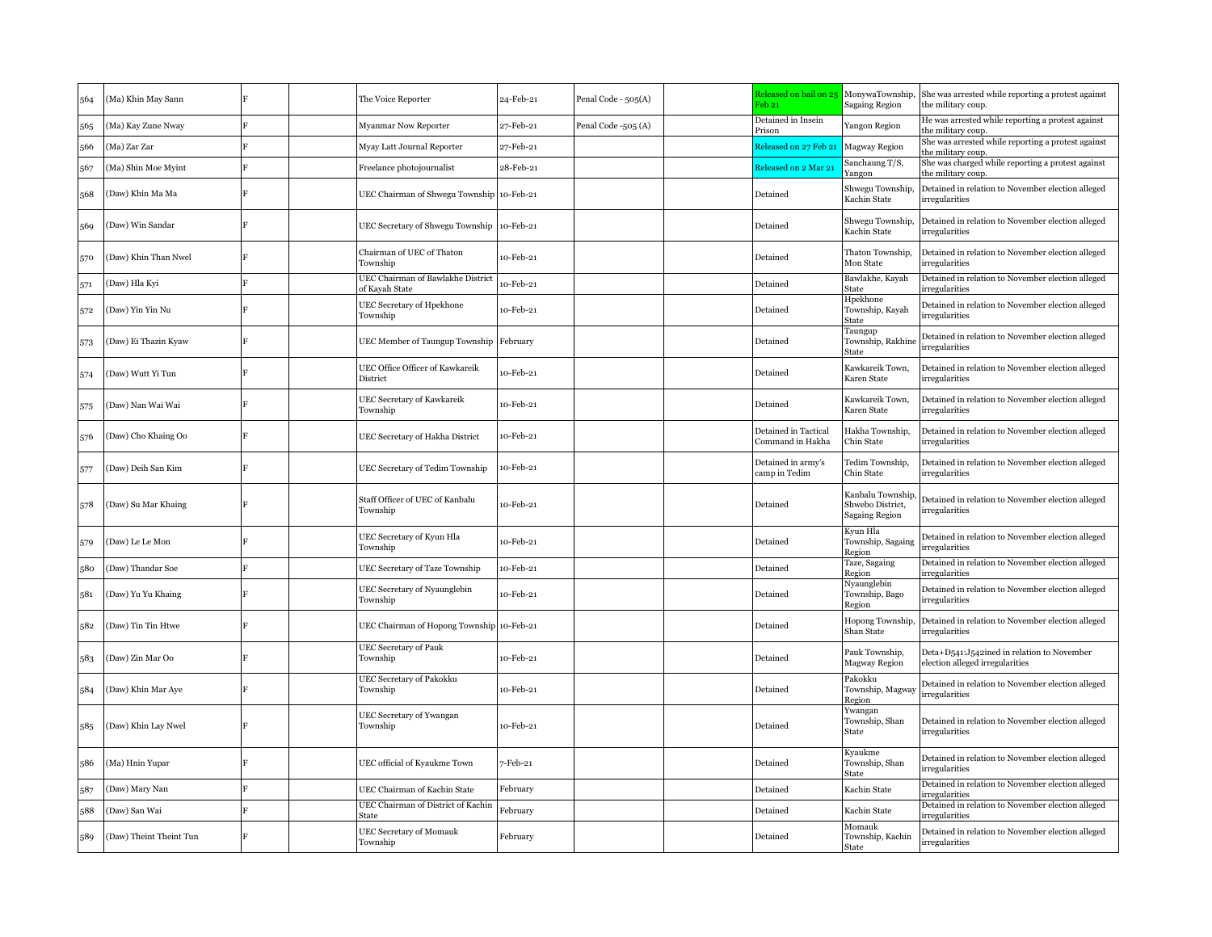| 564 | (Ma) Khin May Sann      |  | The Voice Reporter                                  | 24-Feb-21 | Penal Code - 505(A) | Released on bail on 25 MonywaTownship,<br>eb 21 | Sagaing Region                                                | She was arrested while reporting a protest against<br>the military coup.      |
|-----|-------------------------|--|-----------------------------------------------------|-----------|---------------------|-------------------------------------------------|---------------------------------------------------------------|-------------------------------------------------------------------------------|
| 565 | (Ma) Kay Zune Nway      |  | <b>Myanmar Now Reporter</b>                         | 27-Feb-21 | Penal Code -505 (A) | Detained in Insein<br>Prison                    | Yangon Region                                                 | He was arrested while reporting a protest against<br>the military coup.       |
| 566 | (Ma) Zar Zar            |  | Myay Latt Journal Reporter                          | 27-Feb-21 |                     | Released on 27 Feb 21                           | Magway Region                                                 | She was arrested while reporting a protest against<br>the military coup.      |
| 567 | (Ma) Shin Moe Myint     |  | Freelance photojournalist                           | 28-Feb-21 |                     | Released on 2 Mar 21                            | Sanchaung T/S,<br>Yangon                                      | She was charged while reporting a protest against<br>he military coup.        |
| 568 | Daw) Khin Ma Ma         |  | UEC Chairman of Shwegu Township 10-Feb-21           |           |                     | Detained                                        | Shwegu Township,<br>Kachin State                              | Detained in relation to November election alleged<br>irregularities           |
| 569 | (Daw) Win Sandar        |  | UEC Secretary of Shwegu Township                    | 10-Feb-21 |                     | Detained                                        | Shwegu Township,<br>Kachin State                              | Detained in relation to November election alleged<br>rregularities            |
| 570 | (Daw) Khin Than Nwel    |  | Chairman of UEC of Thaton<br>Fownship               | 10-Feb-21 |                     | Detained                                        | Thaton Township,<br>Mon State                                 | Detained in relation to November election alleged<br>rregularities            |
| 571 | Daw) Hla Kyi            |  | UEC Chairman of Bawlakhe District<br>of Kayah State | 10-Feb-21 |                     | Detained                                        | Bawlakhe, Kayah<br>State                                      | Detained in relation to November election alleged<br>rregularities            |
| 572 | (Daw) Yin Yin Nu        |  | UEC Secretary of Hpekhone<br>Township               | 10-Feb-21 |                     | Detained                                        | Hpekhone<br>Township, Kayah<br>State                          | Detained in relation to November election alleged<br>rregularities            |
| 573 | (Daw) Ei Thazin Kyaw    |  | UEC Member of Taungup Township                      | February  |                     | Detained                                        | Taungup<br>Township, Rakhin<br>State                          | Detained in relation to November election alleged<br>rregularities            |
| 574 | Daw) Wutt Yi Tun        |  | UEC Office Officer of Kawkareik<br>District         | 10-Feb-21 |                     | Detained                                        | Kawkareik Town,<br>Karen State                                | Detained in relation to November election alleged<br>rregularities            |
| 575 | (Daw) Nan Wai Wai       |  | UEC Secretary of Kawkareik<br>Township              | 10-Feb-21 |                     | Detained                                        | Kawkareik Town,<br>Karen State                                | Detained in relation to November election alleged<br>rregularities            |
| 576 | (Daw) Cho Khaing Oo     |  | UEC Secretary of Hakha District                     | 10-Feb-21 |                     | Detained in Tactical<br>Command in Hakha        | Hakha Township,<br>Chin State                                 | Detained in relation to November election alleged<br>rregularities            |
| 577 | (Daw) Deih San Kim      |  | UEC Secretary of Tedim Township                     | 10-Feb-21 |                     | Detained in army's<br>camp in Tedim             | Tedim Township,<br>Chin State                                 | Detained in relation to November election alleged<br>rregularities            |
| 578 | (Daw) Su Mar Khaing     |  | Staff Officer of UEC of Kanbalu<br>Township         | 10-Feb-21 |                     | Detained                                        | Kanbalu Township<br>Shwebo District,<br><b>Sagaing Region</b> | Detained in relation to November election alleged<br>rregularities            |
| 579 | (Daw) Le Le Mon         |  | UEC Secretary of Kyun Hla<br>Fownship               | 10-Feb-21 |                     | Detained                                        | Kyun Hla<br>Township, Sagaing<br>Region                       | Detained in relation to November election alleged<br>rregularities            |
| 580 | Daw) Thandar Soe        |  | UEC Secretary of Taze Township                      | 10-Feb-21 |                     | Detained                                        | Taze, Sagaing<br>Region                                       | Detained in relation to November election alleged<br>rregularities            |
| 581 | (Daw) Yu Yu Khaing      |  | UEC Secretary of Nyaunglebin<br>Township            | 10-Feb-21 |                     | Detained                                        | Nyaunglebin<br>Township, Bago<br>Region                       | Detained in relation to November election alleged<br>irregularities           |
| 582 | (Daw) Tin Tin Htwe      |  | UEC Chairman of Hopong Township 10-Feb-21           |           |                     | Detained                                        | Hopong Township,<br>Shan State                                | Detained in relation to November election alleged<br>rregularities            |
| 583 | Daw) Zin Mar Oo         |  | <b>UEC Secretary of Pauk</b><br>Township            | 10-Feb-21 |                     | Detained                                        | Pauk Township,<br>Magway Region                               | Deta+D541:J542ined in relation to November<br>election alleged irregularities |
| 584 | (Daw) Khin Mar Aye      |  | UEC Secretary of Pakokku<br>Fownship                | 10-Feb-21 |                     | Detained                                        | Pakokku<br>Township, Magway<br>Region                         | Detained in relation to November election alleged<br>rregularities            |
| 585 | (Daw) Khin Lay Nwel     |  | UEC Secretary of Ywangan<br>Township                | 10-Feb-21 |                     | Detained                                        | Ywangan<br>Township, Shan<br>State                            | Detained in relation to November election alleged<br>irregularities           |
| 586 | (Ma) Hnin Yupar         |  | UEC official of Kyaukme Town                        | -Feb-21   |                     | Detained                                        | Kyaukme<br>Township, Shan<br>State                            | Detained in relation to November election alleged<br>irregularities           |
| 587 | [Daw) Mary Nan          |  | UEC Chairman of Kachin State                        | February  |                     | Detained                                        | Kachin State                                                  | Detained in relation to November election alleged<br>rregularities            |
| 588 | [Daw) San Wai           |  | UEC Chairman of District of Kachin<br>State         | February  |                     | Detained                                        | Kachin State                                                  | Detained in relation to November election alleged<br>rregularities            |
| 589 | (Daw) Theint Theint Tun |  | <b>UEC Secretary of Momauk</b><br>Township          | February  |                     | Detained                                        | Momauk<br>Township, Kachin<br>State                           | Detained in relation to November election alleged<br>irregularities           |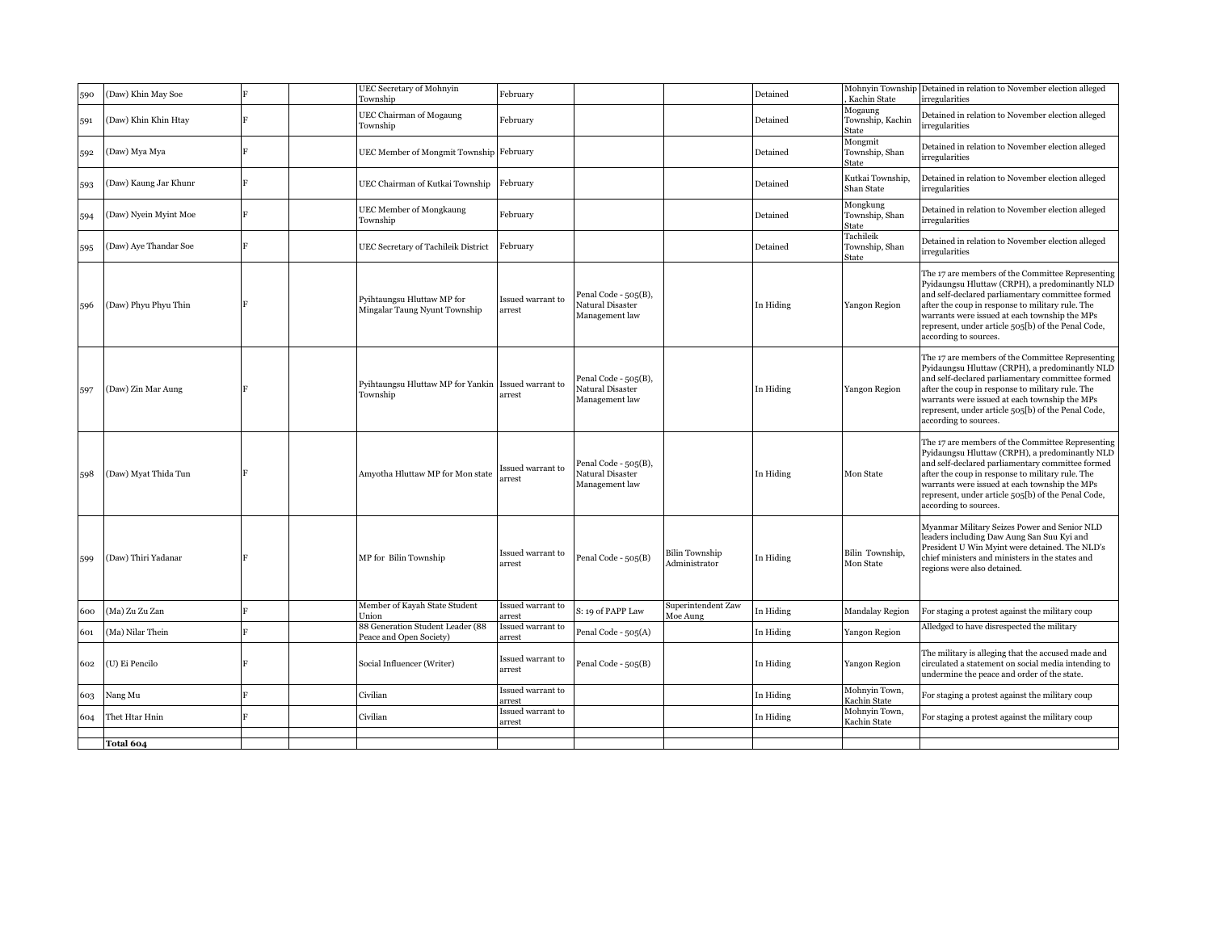| 590 | (Daw) Khin May Soe    |  | UEC Secretary of Mohnyin<br>Township                        | February                           |                                                                   |                                        | Detained  | Mohnyin Township<br>Kachin State            | Detained in relation to November election alleged<br>irregularities                                                                                                                                                                                                                                                                        |
|-----|-----------------------|--|-------------------------------------------------------------|------------------------------------|-------------------------------------------------------------------|----------------------------------------|-----------|---------------------------------------------|--------------------------------------------------------------------------------------------------------------------------------------------------------------------------------------------------------------------------------------------------------------------------------------------------------------------------------------------|
| 591 | (Daw) Khin Khin Htay  |  | UEC Chairman of Mogaung<br>Fownship                         | February                           |                                                                   |                                        | Detained  | Mogaung<br>Township, Kachin<br>State        | Detained in relation to November election alleged<br>irregularities                                                                                                                                                                                                                                                                        |
| 592 | (Daw) Mya Mya         |  | UEC Member of Mongmit Township February                     |                                    |                                                                   |                                        | Detained  | Mongmit<br>Township, Shan<br><b>State</b>   | Detained in relation to November election alleged<br>irregularities                                                                                                                                                                                                                                                                        |
| 593 | (Daw) Kaung Jar Khunr |  | UEC Chairman of Kutkai Township                             | February                           |                                                                   |                                        | Detained  | Kutkai Township,<br>Shan State              | Detained in relation to November election alleged<br>irregularities                                                                                                                                                                                                                                                                        |
| 594 | (Daw) Nyein Myint Moe |  | UEC Member of Mongkaung<br>Township                         | February                           |                                                                   |                                        | Detained  | Mongkung<br>Township, Shan<br>State         | Detained in relation to November election alleged<br>irregularities                                                                                                                                                                                                                                                                        |
| 595 | (Daw) Aye Thandar Soe |  | UEC Secretary of Tachileik District                         | February                           |                                                                   |                                        | Detained  | Tachileik<br>Township, Shan<br><b>State</b> | Detained in relation to November election alleged<br>irregularities                                                                                                                                                                                                                                                                        |
| 596 | (Daw) Phyu Phyu Thin  |  | Pyihtaungsu Hluttaw MP for<br>Mingalar Taung Nyunt Township | Issued warrant to<br>arrest        | Penal Code - 505(B),<br>Vatural Disaster<br>Management law        |                                        | In Hiding | Yangon Region                               | The 17 are members of the Committee Representing<br>Pyidaungsu Hluttaw (CRPH), a predominantly NLD<br>and self-declared parliamentary committee formed<br>after the coup in response to military rule. The<br>warrants were issued at each township the MPs<br>represent, under article 505[b) of the Penal Code,<br>according to sources. |
| 597 | (Daw) Zin Mar Aung    |  | Pyihtaungsu Hluttaw MP for Yankin<br>Township               | Issued warrant to<br>arrest        | Penal Code - 505(B),<br><b>Natural Disaster</b><br>Management law |                                        | In Hiding | Yangon Region                               | The 17 are members of the Committee Representing<br>Pyidaungsu Hluttaw (CRPH), a predominantly NLD<br>and self-declared parliamentary committee formed<br>after the coup in response to military rule. The<br>warrants were issued at each township the MPs<br>represent, under article 505[b) of the Penal Code,<br>according to sources. |
| 598 | (Daw) Myat Thida Tun  |  | Amyotha Hluttaw MP for Mon state                            | Issued warrant to<br><b>arrest</b> | Penal Code - 505(B),<br><b>Natural Disaster</b><br>Management law |                                        | In Hiding | Mon State                                   | The 17 are members of the Committee Representing<br>Pyidaungsu Hluttaw (CRPH), a predominantly NLD<br>and self-declared parliamentary committee formed<br>after the coup in response to military rule. The<br>warrants were issued at each township the MPs<br>represent, under article 505[b) of the Penal Code,<br>according to sources. |
| 599 | (Daw) Thiri Yadanar   |  | MP for Bilin Township                                       | Issued warrant to<br>arrest        | Penal Code - 505(B)                                               | <b>Bilin Township</b><br>Administrator | In Hiding | Bilin Township,<br>Mon State                | Myanmar Military Seizes Power and Senior NLD<br>leaders including Daw Aung San Suu Kyi and<br>President U Win Myint were detained. The NLD's<br>chief ministers and ministers in the states and<br>regions were also detained.                                                                                                             |
| 600 | (Ma) Zu Zu Zan        |  | Member of Kayah State Student<br>Union                      | Issued warrant to<br>arrest        | S: 19 of PAPP Law                                                 | Superintendent Zaw<br>Moe Aung         | In Hiding | Mandalay Region                             | For staging a protest against the military coup                                                                                                                                                                                                                                                                                            |
| 601 | (Ma) Nilar Thein      |  | 88 Generation Student Leader (88<br>Peace and Open Society) | Issued warrant to<br>urrest        | Penal Code - 505(A)                                               |                                        | In Hiding | Yangon Region                               | Alledged to have disrespected the military                                                                                                                                                                                                                                                                                                 |
| 602 | (U) Ei Pencilo        |  | Social Influencer (Writer)                                  | Issued warrant to<br>arrest        | Penal Code - 505(B)                                               |                                        | In Hiding | Yangon Region                               | The military is alleging that the accused made and<br>circulated a statement on social media intending to<br>undermine the peace and order of the state.                                                                                                                                                                                   |
| 603 | Nang Mu               |  | Civilian                                                    | Issued warrant to<br>rrest         |                                                                   |                                        | In Hiding | Mohnyin Town,<br>Kachin State               | For staging a protest against the military coup                                                                                                                                                                                                                                                                                            |
| 604 | Thet Htar Hnin        |  | Civilian                                                    | Issued warrant to<br>arrest        |                                                                   |                                        | In Hiding | Mohnyin Town,<br>Kachin State               | For staging a protest against the military coup                                                                                                                                                                                                                                                                                            |
|     |                       |  |                                                             |                                    |                                                                   |                                        |           |                                             |                                                                                                                                                                                                                                                                                                                                            |
|     | Total 604             |  |                                                             |                                    |                                                                   |                                        |           |                                             |                                                                                                                                                                                                                                                                                                                                            |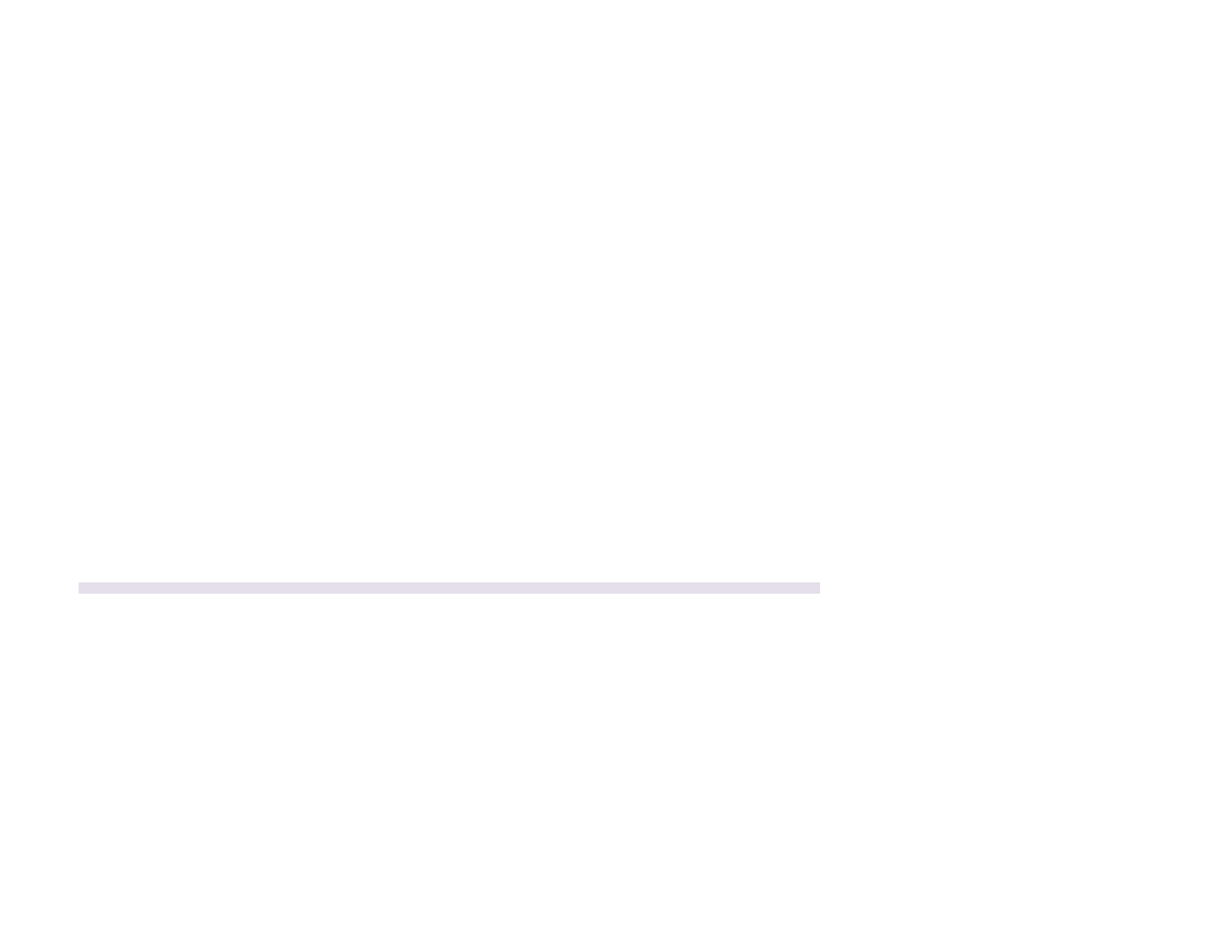the control of the control of the control of the control of the control of the control of the control of the control of the control of the control of